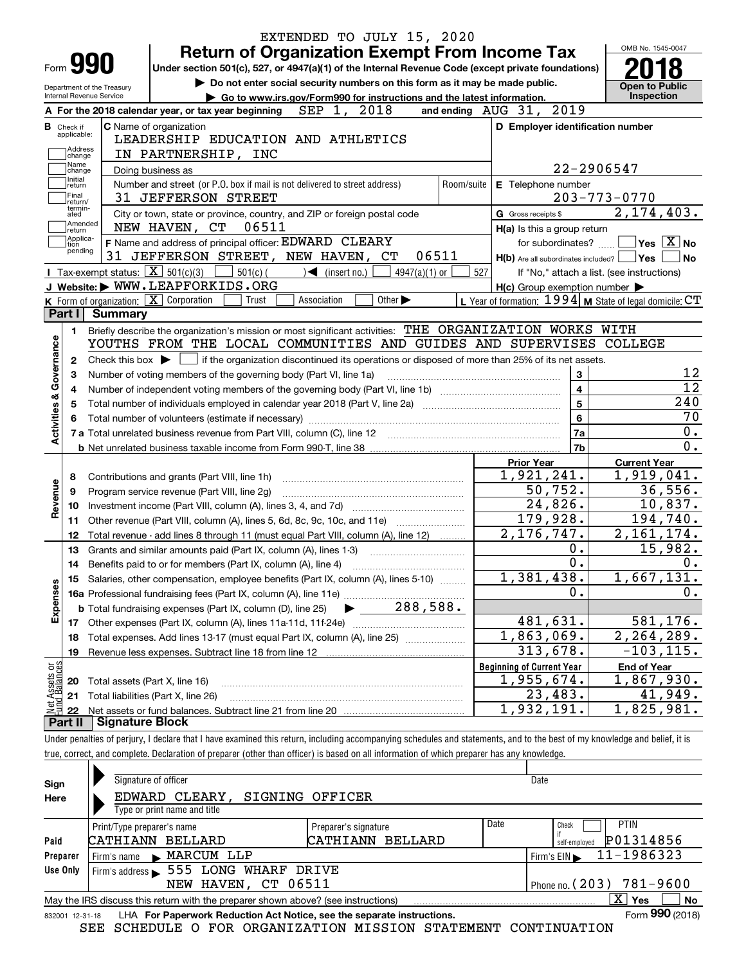|                                                        |                                                                                                                                                                                                   | EXTENDED TO JULY 15, 2020                                                                                                                                                  |            |                                                             |                                                              |  |  |  |
|--------------------------------------------------------|---------------------------------------------------------------------------------------------------------------------------------------------------------------------------------------------------|----------------------------------------------------------------------------------------------------------------------------------------------------------------------------|------------|-------------------------------------------------------------|--------------------------------------------------------------|--|--|--|
|                                                        |                                                                                                                                                                                                   | <b>Return of Organization Exempt From Income Tax</b>                                                                                                                       |            |                                                             | OMB No. 1545-0047                                            |  |  |  |
| Form 990                                               |                                                                                                                                                                                                   | Under section 501(c), 527, or 4947(a)(1) of the Internal Revenue Code (except private foundations)                                                                         |            |                                                             |                                                              |  |  |  |
| Department of the Treasury<br>Internal Revenue Service |                                                                                                                                                                                                   | Do not enter social security numbers on this form as it may be made public.                                                                                                |            |                                                             | <b>Open to Public</b><br>Inspection                          |  |  |  |
|                                                        |                                                                                                                                                                                                   | Go to www.irs.gov/Form990 for instructions and the latest information.<br>SEP 1, 2018<br>A For the 2018 calendar year, or tax year beginning                               |            | and ending AUG 31, 2019                                     |                                                              |  |  |  |
| <b>B</b> Check if                                      |                                                                                                                                                                                                   | C Name of organization                                                                                                                                                     |            | D Employer identification number                            |                                                              |  |  |  |
| applicable:                                            |                                                                                                                                                                                                   | LEADERSHIP EDUCATION AND ATHLETICS                                                                                                                                         |            |                                                             |                                                              |  |  |  |
| Address<br>change                                      |                                                                                                                                                                                                   | IN PARTNERSHIP, INC                                                                                                                                                        |            |                                                             |                                                              |  |  |  |
| Name<br>change                                         |                                                                                                                                                                                                   | Doing business as                                                                                                                                                          |            | 22-2906547                                                  |                                                              |  |  |  |
| Initial<br>return                                      |                                                                                                                                                                                                   | Number and street (or P.O. box if mail is not delivered to street address)                                                                                                 | Room/suite | E Telephone number                                          |                                                              |  |  |  |
| Final<br>return/                                       |                                                                                                                                                                                                   | 31 JEFFERSON STREET                                                                                                                                                        |            |                                                             | $203 - 773 - 0770$                                           |  |  |  |
| termin-<br>ated                                        |                                                                                                                                                                                                   | City or town, state or province, country, and ZIP or foreign postal code                                                                                                   |            | G Gross receipts \$                                         | 2, 174, 403.                                                 |  |  |  |
| Amended<br> return                                     |                                                                                                                                                                                                   | NEW HAVEN, CT<br>06511                                                                                                                                                     |            | H(a) Is this a group return                                 |                                                              |  |  |  |
| Applica-<br>tion                                       |                                                                                                                                                                                                   | F Name and address of principal officer: EDWARD CLEARY                                                                                                                     |            | for subordinates?                                           | $\blacksquare$ Yes $\lceil$ $\overline{\mathrm{X}}\rceil$ No |  |  |  |
| pending                                                |                                                                                                                                                                                                   | 31 JEFFERSON STREET, NEW HAVEN, CT                                                                                                                                         | 06511      | H(b) Are all subordinates included?   Yes                   | ∣No                                                          |  |  |  |
|                                                        |                                                                                                                                                                                                   | Tax-exempt status: $\boxed{\mathbf{X}}$ 501(c)(3)<br>$501(c)$ (<br>$\sqrt{\frac{1}{1}}$ (insert no.)<br>4947(a)(1) or                                                      |            | 527                                                         | If "No," attach a list. (see instructions)                   |  |  |  |
|                                                        |                                                                                                                                                                                                   | J Website: WWW.LEAPFORKIDS.ORG                                                                                                                                             |            | $H(c)$ Group exemption number $\blacktriangleright$         |                                                              |  |  |  |
|                                                        |                                                                                                                                                                                                   | <b>K</b> Form of organization: $\boxed{\mathbf{X}}$ Corporation<br>Other $\blacktriangleright$<br>Trust<br>Association                                                     |            | L Year of formation: $1994$ M State of legal domicile: $CT$ |                                                              |  |  |  |
| Part I                                                 | <b>Summary</b>                                                                                                                                                                                    |                                                                                                                                                                            |            |                                                             |                                                              |  |  |  |
| 1.                                                     |                                                                                                                                                                                                   | Briefly describe the organization's mission or most significant activities: THE ORGANIZATION WORKS WITH                                                                    |            |                                                             |                                                              |  |  |  |
| Governance                                             |                                                                                                                                                                                                   | YOUTHS FROM THE LOCAL COMMUNITIES AND GUIDES AND SUPERVISES COLLEGE                                                                                                        |            |                                                             |                                                              |  |  |  |
| $\mathbf{2}$                                           |                                                                                                                                                                                                   | Check this box $\blacktriangleright$ $\blacksquare$ if the organization discontinued its operations or disposed of more than 25% of its net assets.                        |            |                                                             |                                                              |  |  |  |
| з                                                      |                                                                                                                                                                                                   | Number of voting members of the governing body (Part VI, line 1a)                                                                                                          | 3          | 12<br>$\overline{12}$                                       |                                                              |  |  |  |
|                                                        | $\overline{4}$<br>4<br>$\overline{5}$<br>Total number of individuals employed in calendar year 2018 (Part V, line 2a) manufacture of individuals employed in calendar year 2018 (Part V, line 2a) |                                                                                                                                                                            |            |                                                             |                                                              |  |  |  |
| <b>Activities &amp;</b><br>5                           |                                                                                                                                                                                                   |                                                                                                                                                                            |            |                                                             | 240<br>70                                                    |  |  |  |
|                                                        |                                                                                                                                                                                                   |                                                                                                                                                                            |            | 6                                                           | 0.                                                           |  |  |  |
|                                                        |                                                                                                                                                                                                   |                                                                                                                                                                            |            | 7a<br>7b                                                    | $\overline{0}$ .                                             |  |  |  |
|                                                        |                                                                                                                                                                                                   |                                                                                                                                                                            |            | <b>Prior Year</b>                                           | <b>Current Year</b>                                          |  |  |  |
| 8                                                      |                                                                                                                                                                                                   | Contributions and grants (Part VIII, line 1h)                                                                                                                              |            | 1,921,241.                                                  | 1,919,041.                                                   |  |  |  |
| 9                                                      |                                                                                                                                                                                                   | Program service revenue (Part VIII, line 2g)                                                                                                                               |            | 50,752.                                                     | 36,556.                                                      |  |  |  |
| Revenue<br>10                                          |                                                                                                                                                                                                   |                                                                                                                                                                            |            | 24,826.                                                     | 10,837.                                                      |  |  |  |
| 11                                                     |                                                                                                                                                                                                   | Other revenue (Part VIII, column (A), lines 5, 6d, 8c, 9c, 10c, and 11e)                                                                                                   |            |                                                             |                                                              |  |  |  |
| 12                                                     |                                                                                                                                                                                                   | Total revenue - add lines 8 through 11 (must equal Part VIII, column (A), line 12)                                                                                         |            | 179,928.<br>2, 176, 747.                                    | 194,740.<br>2, 161, 174.                                     |  |  |  |
| 13                                                     |                                                                                                                                                                                                   | Grants and similar amounts paid (Part IX, column (A), lines 1-3)                                                                                                           |            | $0$ .                                                       | 15,982.                                                      |  |  |  |
|                                                        |                                                                                                                                                                                                   | 14 Benefits paid to or for members (Part IX, column (A), line 4)                                                                                                           |            | $\overline{0}$ .                                            | 0.                                                           |  |  |  |
|                                                        |                                                                                                                                                                                                   | 15 Salaries, other compensation, employee benefits (Part IX, column (A), lines 5-10)                                                                                       |            | 1,381,438.                                                  | 1,667,131.                                                   |  |  |  |
|                                                        |                                                                                                                                                                                                   |                                                                                                                                                                            |            | 0.                                                          | 0.                                                           |  |  |  |
| Expenses                                               |                                                                                                                                                                                                   |                                                                                                                                                                            |            |                                                             |                                                              |  |  |  |
|                                                        |                                                                                                                                                                                                   |                                                                                                                                                                            |            | 481,631.                                                    | 581,176.                                                     |  |  |  |
| 18                                                     |                                                                                                                                                                                                   | Total expenses. Add lines 13-17 (must equal Part IX, column (A), line 25)                                                                                                  |            | $\overline{1,863}$ , 069.                                   | 2, 264, 289.                                                 |  |  |  |
| 19                                                     |                                                                                                                                                                                                   | Revenue less expenses. Subtract line 18 from line 12                                                                                                                       |            | 313,678.                                                    | $-103, 115.$                                                 |  |  |  |
|                                                        |                                                                                                                                                                                                   |                                                                                                                                                                            |            | <b>Beginning of Current Year</b>                            | <b>End of Year</b>                                           |  |  |  |
| 20                                                     |                                                                                                                                                                                                   | Total assets (Part X, line 16)                                                                                                                                             |            | 1,955,674.                                                  | 1,867,930.                                                   |  |  |  |
| : Assets or<br>dBalances<br>21                         |                                                                                                                                                                                                   | Total liabilities (Part X, line 26)                                                                                                                                        |            | 23,483.                                                     | 41,949.                                                      |  |  |  |
| 혏<br>22                                                |                                                                                                                                                                                                   |                                                                                                                                                                            |            | 1,932,191.                                                  | 1,825,981.                                                   |  |  |  |
| Part II                                                | <b>Signature Block</b>                                                                                                                                                                            |                                                                                                                                                                            |            |                                                             |                                                              |  |  |  |
|                                                        |                                                                                                                                                                                                   | Under penalties of perjury, I declare that I have examined this return, including accompanying schedules and statements, and to the best of my knowledge and belief, it is |            |                                                             |                                                              |  |  |  |
|                                                        |                                                                                                                                                                                                   | true, correct, and complete. Declaration of preparer (other than officer) is based on all information of which preparer has any knowledge.                                 |            |                                                             |                                                              |  |  |  |
|                                                        |                                                                                                                                                                                                   |                                                                                                                                                                            |            |                                                             |                                                              |  |  |  |
| Sian                                                   |                                                                                                                                                                                                   | Signature of officer                                                                                                                                                       |            | Date                                                        |                                                              |  |  |  |

| Sign     | Signature of officer                                                              | Dale                         |                                          |  |  |  |  |  |  |  |  |  |
|----------|-----------------------------------------------------------------------------------|------------------------------|------------------------------------------|--|--|--|--|--|--|--|--|--|
| Here     | EDWARD CLEARY, SIGNING OFFICER                                                    |                              |                                          |  |  |  |  |  |  |  |  |  |
|          | Type or print name and title                                                      |                              |                                          |  |  |  |  |  |  |  |  |  |
|          | Print/Type preparer's name                                                        | Date<br>Preparer's signature | <b>PTIN</b><br>Check                     |  |  |  |  |  |  |  |  |  |
| Paid     | CATHIANN BELLARD                                                                  | CATHIANN BELLARD             | P01314856<br>self-employed               |  |  |  |  |  |  |  |  |  |
| Preparer | $\blacktriangleright$ MARCUM LLP<br>Firm's name                                   |                              | 11-1986323<br>Firm's $EIN$               |  |  |  |  |  |  |  |  |  |
| Use Only | Firm's address > 555 LONG WHARF DRIVE                                             |                              |                                          |  |  |  |  |  |  |  |  |  |
|          | Phone no. $(203)$ 781-9600<br>NEW HAVEN, CT 06511                                 |                              |                                          |  |  |  |  |  |  |  |  |  |
|          | May the IRS discuss this return with the preparer shown above? (see instructions) |                              | $\overline{\mathrm{X}}$ Yes<br><b>No</b> |  |  |  |  |  |  |  |  |  |
|          |                                                                                   |                              | $F = 000 \text{ (0010)}$                 |  |  |  |  |  |  |  |  |  |

832001\_12-31-18 LHA **For Paperwork Reduction Act Notice, see the separate instructions.** Form 990 (2018) SEE SCHEDULE O FOR ORGANIZATION MISSION STATEMENT CONTINUATION

**990**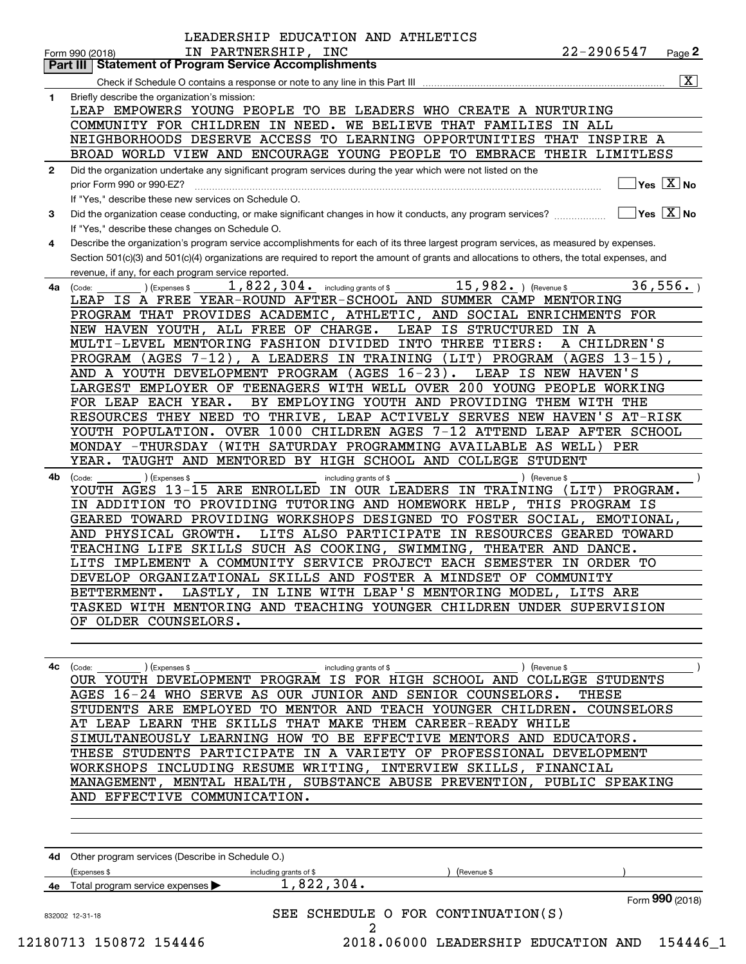|              | <b>Part III Statement of Program Service Accomplishments</b><br>$\overline{\mathbf{x}}$                                                                 |
|--------------|---------------------------------------------------------------------------------------------------------------------------------------------------------|
|              |                                                                                                                                                         |
| 1            | Briefly describe the organization's mission:<br>LEAP EMPOWERS YOUNG PEOPLE TO BE LEADERS WHO CREATE A NURTURING                                         |
|              | COMMUNITY FOR CHILDREN IN NEED. WE BELIEVE THAT FAMILIES IN ALL                                                                                         |
|              | NEIGHBORHOODS DESERVE ACCESS TO LEARNING OPPORTUNITIES THAT INSPIRE A                                                                                   |
|              | BROAD WORLD VIEW AND ENCOURAGE YOUNG PEOPLE TO EMBRACE THEIR LIMITLESS                                                                                  |
|              |                                                                                                                                                         |
| $\mathbf{2}$ | Did the organization undertake any significant program services during the year which were not listed on the                                            |
|              | $Yes \quad X$ No<br>prior Form 990 or 990-EZ?                                                                                                           |
|              | If "Yes," describe these new services on Schedule O.                                                                                                    |
| 3            | $\Box$ Yes $[\overline{\mathrm{X}}]$ No<br>Did the organization cease conducting, or make significant changes in how it conducts, any program services? |
|              | If "Yes," describe these changes on Schedule O.                                                                                                         |
| 4            | Describe the organization's program service accomplishments for each of its three largest program services, as measured by expenses.                    |
|              | Section 501(c)(3) and 501(c)(4) organizations are required to report the amount of grants and allocations to others, the total expenses, and            |
|              | revenue, if any, for each program service reported.                                                                                                     |
| 4a           | 36, 556.<br>$15,982.$ ) (Revenue \$<br>$1,822,304$ $\cdot$ including grants of \$<br>(Expenses \$<br>(Code:                                             |
|              | LEAP IS A FREE YEAR-ROUND AFTER-SCHOOL AND SUMMER CAMP MENTORING                                                                                        |
|              | PROGRAM THAT PROVIDES ACADEMIC, ATHLETIC, AND SOCIAL ENRICHMENTS FOR                                                                                    |
|              | NEW HAVEN YOUTH, ALL FREE OF CHARGE.<br>LEAP IS STRUCTURED IN A                                                                                         |
|              | MULTI-LEVEL MENTORING FASHION DIVIDED INTO THREE TIERS:<br>A CHILDREN'S                                                                                 |
|              | PROGRAM (AGES $7-12$ ), A LEADERS IN TRAINING (LIT)<br>$(AGES 13-15)$ ,<br>PROGRAM                                                                      |
|              | AND A YOUTH DEVELOPMENT PROGRAM (AGES 16-23).<br>LEAP IS NEW HAVEN'S                                                                                    |
|              | LARGEST EMPLOYER OF TEENAGERS WITH WELL OVER 200 YOUNG PEOPLE WORKING                                                                                   |
|              | BY EMPLOYING YOUTH AND PROVIDING THEM WITH THE<br>FOR LEAP EACH YEAR.                                                                                   |
|              | RESOURCES THEY NEED TO THRIVE, LEAP ACTIVELY SERVES NEW HAVEN'S AT-RISK                                                                                 |
|              | YOUTH POPULATION. OVER 1000 CHILDREN AGES 7-12 ATTEND LEAP AFTER SCHOOL                                                                                 |
|              | (WITH SATURDAY PROGRAMMING AVAILABLE AS WELL)<br>MONDAY -THURSDAY<br>PER                                                                                |
|              | TAUGHT AND MENTORED BY HIGH SCHOOL AND COLLEGE STUDENT<br>YEAR.                                                                                         |
| 4b           | ) (Expenses \$<br>(Code:<br>(Revenue \$<br>including grants of \$                                                                                       |
|              | YOUTH AGES 13-15 ARE ENROLLED IN OUR LEADERS IN TRAINING (LIT) PROGRAM.                                                                                 |
|              | IN ADDITION TO PROVIDING TUTORING AND HOMEWORK HELP, THIS PROGRAM IS                                                                                    |
|              | GEARED TOWARD PROVIDING WORKSHOPS DESIGNED TO FOSTER SOCIAL, EMOTIONAL,                                                                                 |
|              | AND PHYSICAL GROWTH.<br>LITS ALSO PARTICIPATE IN RESOURCES GEARED TOWARD                                                                                |
|              | TEACHING LIFE SKILLS SUCH AS COOKING, SWIMMING, THEATER AND DANCE.                                                                                      |
|              | LITS IMPLEMENT A COMMUNITY SERVICE PROJECT EACH SEMESTER IN ORDER TO                                                                                    |
|              | DEVELOP ORGANIZATIONAL SKILLS AND FOSTER A MINDSET OF COMMUNITY                                                                                         |
|              | LASTLY, IN LINE WITH LEAP'S MENTORING MODEL, LITS ARE<br>BETTERMENT.                                                                                    |
|              | TASKED WITH MENTORING AND TEACHING YOUNGER CHILDREN UNDER SUPERVISION                                                                                   |
|              | OF OLDER COUNSELORS.                                                                                                                                    |
|              |                                                                                                                                                         |
|              |                                                                                                                                                         |
| 4c           | (Code:<br>(Expenses \$<br>(Revenue \$<br>including grants of \$                                                                                         |
|              | OUR YOUTH DEVELOPMENT PROGRAM IS FOR HIGH SCHOOL AND COLLEGE STUDENTS                                                                                   |
|              | AGES 16-24 WHO SERVE AS OUR JUNIOR AND SENIOR COUNSELORS.<br>THESE                                                                                      |
|              | STUDENTS ARE EMPLOYED TO MENTOR AND TEACH YOUNGER CHILDREN. COUNSELORS                                                                                  |
|              | AT LEAP LEARN THE SKILLS THAT MAKE THEM CAREER-READY WHILE                                                                                              |
|              | SIMULTANEOUSLY LEARNING HOW TO BE EFFECTIVE MENTORS AND EDUCATORS.                                                                                      |
|              | THESE STUDENTS PARTICIPATE IN A VARIETY OF PROFESSIONAL DEVELOPMENT                                                                                     |
|              | WORKSHOPS INCLUDING RESUME WRITING, INTERVIEW SKILLS, FINANCIAL                                                                                         |
|              | MANAGEMENT, MENTAL HEALTH, SUBSTANCE ABUSE PREVENTION, PUBLIC SPEAKING                                                                                  |
|              | AND EFFECTIVE COMMUNICATION.                                                                                                                            |
|              |                                                                                                                                                         |
|              |                                                                                                                                                         |
|              |                                                                                                                                                         |
|              | 4d Other program services (Describe in Schedule O.)                                                                                                     |
|              | Expenses \$<br>including grants of \$<br>(Revenue \$                                                                                                    |
|              | 1,822,304.<br>Total program service expenses                                                                                                            |
|              | Form 990 (2018)                                                                                                                                         |
|              | SEE SCHEDULE O FOR CONTINUATION(S)                                                                                                                      |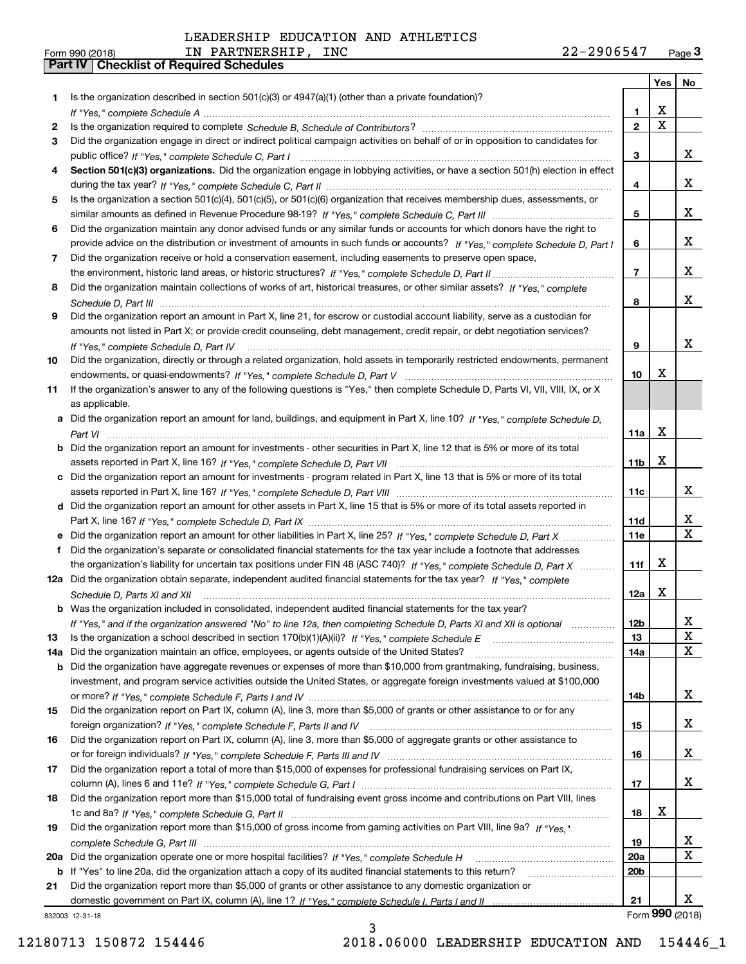| Form 990 (2018) | PARTNERSHIP<br>ΙN                                | INC | $22 - 2906547$ | Page $\mathbf{3}$ |
|-----------------|--------------------------------------------------|-----|----------------|-------------------|
|                 | <b>Part IV   Checklist of Required Schedules</b> |     |                |                   |

| Is the organization described in section $501(c)(3)$ or $4947(a)(1)$ (other than a private foundation)?<br>1<br>X<br>1.<br>$\overline{\mathtt{x}}$<br>$\mathbf 2$<br>2<br>Did the organization engage in direct or indirect political campaign activities on behalf of or in opposition to candidates for<br>3<br>x<br>3<br>Section 501(c)(3) organizations. Did the organization engage in lobbying activities, or have a section 501(h) election in effect<br>4<br>x<br>4<br>Is the organization a section 501(c)(4), 501(c)(5), or 501(c)(6) organization that receives membership dues, assessments, or<br>5<br>x<br>5<br>Did the organization maintain any donor advised funds or any similar funds or accounts for which donors have the right to<br>6<br>x<br>provide advice on the distribution or investment of amounts in such funds or accounts? If "Yes," complete Schedule D, Part I<br>6<br>Did the organization receive or hold a conservation easement, including easements to preserve open space,<br>7<br>x<br>$\overline{7}$<br>Did the organization maintain collections of works of art, historical treasures, or other similar assets? If "Yes," complete<br>8<br>x<br>8<br>Did the organization report an amount in Part X, line 21, for escrow or custodial account liability, serve as a custodian for<br>9<br>amounts not listed in Part X; or provide credit counseling, debt management, credit repair, or debt negotiation services?<br>x<br>9<br>If "Yes," complete Schedule D, Part IV<br>Did the organization, directly or through a related organization, hold assets in temporarily restricted endowments, permanent<br>10<br>X<br>10<br>If the organization's answer to any of the following questions is "Yes," then complete Schedule D, Parts VI, VIII, VIII, IX, or X<br>11<br>as applicable.<br>a Did the organization report an amount for land, buildings, and equipment in Part X, line 10? If "Yes," complete Schedule D,<br>X<br>11a<br><b>b</b> Did the organization report an amount for investments - other securities in Part X, line 12 that is 5% or more of its total<br>X<br>11 <sub>b</sub><br>c Did the organization report an amount for investments - program related in Part X, line 13 that is 5% or more of its total<br>x<br>11c<br>d Did the organization report an amount for other assets in Part X, line 15 that is 5% or more of its total assets reported in<br>x<br>11d<br>$\overline{\mathtt{x}}$<br>11e<br>Did the organization's separate or consolidated financial statements for the tax year include a footnote that addresses<br>f<br>X<br>the organization's liability for uncertain tax positions under FIN 48 (ASC 740)? If "Yes," complete Schedule D, Part X<br>11f<br>12a Did the organization obtain separate, independent audited financial statements for the tax year? If "Yes," complete<br>X<br>12a<br>Schedule D, Parts XI and XII<br><b>b</b> Was the organization included in consolidated, independent audited financial statements for the tax year?<br>If "Yes," and if the organization answered "No" to line 12a, then completing Schedule D, Parts XI and XII is optional<br>12b<br>X,<br>X<br>13<br>13<br>$\overline{\mathbf{x}}$<br>Did the organization maintain an office, employees, or agents outside of the United States?<br>14a<br>14a<br>Did the organization have aggregate revenues or expenses of more than \$10,000 from grantmaking, fundraising, business,<br>b<br>investment, and program service activities outside the United States, or aggregate foreign investments valued at \$100,000<br>x<br>14b<br>Did the organization report on Part IX, column (A), line 3, more than \$5,000 of grants or other assistance to or for any<br>15<br>x<br>15<br>Did the organization report on Part IX, column (A), line 3, more than \$5,000 of aggregate grants or other assistance to<br>16<br>x<br>16<br>Did the organization report a total of more than \$15,000 of expenses for professional fundraising services on Part IX,<br>17<br>x<br>17<br>Did the organization report more than \$15,000 total of fundraising event gross income and contributions on Part VIII, lines<br>18<br>х<br>18<br>Did the organization report more than \$15,000 of gross income from gaming activities on Part VIII, line 9a? If "Yes."<br>19<br>X<br>19<br>$\overline{\mathbf{x}}$<br>20a<br>20a<br>If "Yes" to line 20a, did the organization attach a copy of its audited financial statements to this return?<br>20b<br>b<br>Did the organization report more than \$5,000 of grants or other assistance to any domestic organization or<br>21<br>x<br>21<br>832003 12-31-18 |  | <b>Yes</b> | No |
|--------------------------------------------------------------------------------------------------------------------------------------------------------------------------------------------------------------------------------------------------------------------------------------------------------------------------------------------------------------------------------------------------------------------------------------------------------------------------------------------------------------------------------------------------------------------------------------------------------------------------------------------------------------------------------------------------------------------------------------------------------------------------------------------------------------------------------------------------------------------------------------------------------------------------------------------------------------------------------------------------------------------------------------------------------------------------------------------------------------------------------------------------------------------------------------------------------------------------------------------------------------------------------------------------------------------------------------------------------------------------------------------------------------------------------------------------------------------------------------------------------------------------------------------------------------------------------------------------------------------------------------------------------------------------------------------------------------------------------------------------------------------------------------------------------------------------------------------------------------------------------------------------------------------------------------------------------------------------------------------------------------------------------------------------------------------------------------------------------------------------------------------------------------------------------------------------------------------------------------------------------------------------------------------------------------------------------------------------------------------------------------------------------------------------------------------------------------------------------------------------------------------------------------------------------------------------------------------------------------------------------------------------------------------------------------------------------------------------------------------------------------------------------------------------------------------------------------------------------------------------------------------------------------------------------------------------------------------------------------------------------------------------------------------------------------------------------------------------------------------------------------------------------------------------------------------------------------------------------------------------------------------------------------------------------------------------------------------------------------------------------------------------------------------------------------------------------------------------------------------------------------------------------------------------------------------------------------------------------------------------------------------------------------------------------------------------------------------------------------------------------------------------------------------------------------------------------------------------------------------------------------------------------------------------------------------------------------------------------------------------------------------------------------------------------------------------------------------------------------------------------------------------------------------------------------------------------------------------------------------------------------------------------------------------------------------------------------------------------------------------------------------------------------------------------------------------------------------------------------------------------------------------------------------------------------------------------------------------------------------------------------------------------------------------------------|--|------------|----|
|                                                                                                                                                                                                                                                                                                                                                                                                                                                                                                                                                                                                                                                                                                                                                                                                                                                                                                                                                                                                                                                                                                                                                                                                                                                                                                                                                                                                                                                                                                                                                                                                                                                                                                                                                                                                                                                                                                                                                                                                                                                                                                                                                                                                                                                                                                                                                                                                                                                                                                                                                                                                                                                                                                                                                                                                                                                                                                                                                                                                                                                                                                                                                                                                                                                                                                                                                                                                                                                                                                                                                                                                                                                                                                                                                                                                                                                                                                                                                                                                                                                                                                                                                                                                                                                                                                                                                                                                                                                                                                                                                                                                                                                                                      |  |            |    |
|                                                                                                                                                                                                                                                                                                                                                                                                                                                                                                                                                                                                                                                                                                                                                                                                                                                                                                                                                                                                                                                                                                                                                                                                                                                                                                                                                                                                                                                                                                                                                                                                                                                                                                                                                                                                                                                                                                                                                                                                                                                                                                                                                                                                                                                                                                                                                                                                                                                                                                                                                                                                                                                                                                                                                                                                                                                                                                                                                                                                                                                                                                                                                                                                                                                                                                                                                                                                                                                                                                                                                                                                                                                                                                                                                                                                                                                                                                                                                                                                                                                                                                                                                                                                                                                                                                                                                                                                                                                                                                                                                                                                                                                                                      |  |            |    |
|                                                                                                                                                                                                                                                                                                                                                                                                                                                                                                                                                                                                                                                                                                                                                                                                                                                                                                                                                                                                                                                                                                                                                                                                                                                                                                                                                                                                                                                                                                                                                                                                                                                                                                                                                                                                                                                                                                                                                                                                                                                                                                                                                                                                                                                                                                                                                                                                                                                                                                                                                                                                                                                                                                                                                                                                                                                                                                                                                                                                                                                                                                                                                                                                                                                                                                                                                                                                                                                                                                                                                                                                                                                                                                                                                                                                                                                                                                                                                                                                                                                                                                                                                                                                                                                                                                                                                                                                                                                                                                                                                                                                                                                                                      |  |            |    |
|                                                                                                                                                                                                                                                                                                                                                                                                                                                                                                                                                                                                                                                                                                                                                                                                                                                                                                                                                                                                                                                                                                                                                                                                                                                                                                                                                                                                                                                                                                                                                                                                                                                                                                                                                                                                                                                                                                                                                                                                                                                                                                                                                                                                                                                                                                                                                                                                                                                                                                                                                                                                                                                                                                                                                                                                                                                                                                                                                                                                                                                                                                                                                                                                                                                                                                                                                                                                                                                                                                                                                                                                                                                                                                                                                                                                                                                                                                                                                                                                                                                                                                                                                                                                                                                                                                                                                                                                                                                                                                                                                                                                                                                                                      |  |            |    |
|                                                                                                                                                                                                                                                                                                                                                                                                                                                                                                                                                                                                                                                                                                                                                                                                                                                                                                                                                                                                                                                                                                                                                                                                                                                                                                                                                                                                                                                                                                                                                                                                                                                                                                                                                                                                                                                                                                                                                                                                                                                                                                                                                                                                                                                                                                                                                                                                                                                                                                                                                                                                                                                                                                                                                                                                                                                                                                                                                                                                                                                                                                                                                                                                                                                                                                                                                                                                                                                                                                                                                                                                                                                                                                                                                                                                                                                                                                                                                                                                                                                                                                                                                                                                                                                                                                                                                                                                                                                                                                                                                                                                                                                                                      |  |            |    |
|                                                                                                                                                                                                                                                                                                                                                                                                                                                                                                                                                                                                                                                                                                                                                                                                                                                                                                                                                                                                                                                                                                                                                                                                                                                                                                                                                                                                                                                                                                                                                                                                                                                                                                                                                                                                                                                                                                                                                                                                                                                                                                                                                                                                                                                                                                                                                                                                                                                                                                                                                                                                                                                                                                                                                                                                                                                                                                                                                                                                                                                                                                                                                                                                                                                                                                                                                                                                                                                                                                                                                                                                                                                                                                                                                                                                                                                                                                                                                                                                                                                                                                                                                                                                                                                                                                                                                                                                                                                                                                                                                                                                                                                                                      |  |            |    |
|                                                                                                                                                                                                                                                                                                                                                                                                                                                                                                                                                                                                                                                                                                                                                                                                                                                                                                                                                                                                                                                                                                                                                                                                                                                                                                                                                                                                                                                                                                                                                                                                                                                                                                                                                                                                                                                                                                                                                                                                                                                                                                                                                                                                                                                                                                                                                                                                                                                                                                                                                                                                                                                                                                                                                                                                                                                                                                                                                                                                                                                                                                                                                                                                                                                                                                                                                                                                                                                                                                                                                                                                                                                                                                                                                                                                                                                                                                                                                                                                                                                                                                                                                                                                                                                                                                                                                                                                                                                                                                                                                                                                                                                                                      |  |            |    |
|                                                                                                                                                                                                                                                                                                                                                                                                                                                                                                                                                                                                                                                                                                                                                                                                                                                                                                                                                                                                                                                                                                                                                                                                                                                                                                                                                                                                                                                                                                                                                                                                                                                                                                                                                                                                                                                                                                                                                                                                                                                                                                                                                                                                                                                                                                                                                                                                                                                                                                                                                                                                                                                                                                                                                                                                                                                                                                                                                                                                                                                                                                                                                                                                                                                                                                                                                                                                                                                                                                                                                                                                                                                                                                                                                                                                                                                                                                                                                                                                                                                                                                                                                                                                                                                                                                                                                                                                                                                                                                                                                                                                                                                                                      |  |            |    |
|                                                                                                                                                                                                                                                                                                                                                                                                                                                                                                                                                                                                                                                                                                                                                                                                                                                                                                                                                                                                                                                                                                                                                                                                                                                                                                                                                                                                                                                                                                                                                                                                                                                                                                                                                                                                                                                                                                                                                                                                                                                                                                                                                                                                                                                                                                                                                                                                                                                                                                                                                                                                                                                                                                                                                                                                                                                                                                                                                                                                                                                                                                                                                                                                                                                                                                                                                                                                                                                                                                                                                                                                                                                                                                                                                                                                                                                                                                                                                                                                                                                                                                                                                                                                                                                                                                                                                                                                                                                                                                                                                                                                                                                                                      |  |            |    |
|                                                                                                                                                                                                                                                                                                                                                                                                                                                                                                                                                                                                                                                                                                                                                                                                                                                                                                                                                                                                                                                                                                                                                                                                                                                                                                                                                                                                                                                                                                                                                                                                                                                                                                                                                                                                                                                                                                                                                                                                                                                                                                                                                                                                                                                                                                                                                                                                                                                                                                                                                                                                                                                                                                                                                                                                                                                                                                                                                                                                                                                                                                                                                                                                                                                                                                                                                                                                                                                                                                                                                                                                                                                                                                                                                                                                                                                                                                                                                                                                                                                                                                                                                                                                                                                                                                                                                                                                                                                                                                                                                                                                                                                                                      |  |            |    |
|                                                                                                                                                                                                                                                                                                                                                                                                                                                                                                                                                                                                                                                                                                                                                                                                                                                                                                                                                                                                                                                                                                                                                                                                                                                                                                                                                                                                                                                                                                                                                                                                                                                                                                                                                                                                                                                                                                                                                                                                                                                                                                                                                                                                                                                                                                                                                                                                                                                                                                                                                                                                                                                                                                                                                                                                                                                                                                                                                                                                                                                                                                                                                                                                                                                                                                                                                                                                                                                                                                                                                                                                                                                                                                                                                                                                                                                                                                                                                                                                                                                                                                                                                                                                                                                                                                                                                                                                                                                                                                                                                                                                                                                                                      |  |            |    |
|                                                                                                                                                                                                                                                                                                                                                                                                                                                                                                                                                                                                                                                                                                                                                                                                                                                                                                                                                                                                                                                                                                                                                                                                                                                                                                                                                                                                                                                                                                                                                                                                                                                                                                                                                                                                                                                                                                                                                                                                                                                                                                                                                                                                                                                                                                                                                                                                                                                                                                                                                                                                                                                                                                                                                                                                                                                                                                                                                                                                                                                                                                                                                                                                                                                                                                                                                                                                                                                                                                                                                                                                                                                                                                                                                                                                                                                                                                                                                                                                                                                                                                                                                                                                                                                                                                                                                                                                                                                                                                                                                                                                                                                                                      |  |            |    |
|                                                                                                                                                                                                                                                                                                                                                                                                                                                                                                                                                                                                                                                                                                                                                                                                                                                                                                                                                                                                                                                                                                                                                                                                                                                                                                                                                                                                                                                                                                                                                                                                                                                                                                                                                                                                                                                                                                                                                                                                                                                                                                                                                                                                                                                                                                                                                                                                                                                                                                                                                                                                                                                                                                                                                                                                                                                                                                                                                                                                                                                                                                                                                                                                                                                                                                                                                                                                                                                                                                                                                                                                                                                                                                                                                                                                                                                                                                                                                                                                                                                                                                                                                                                                                                                                                                                                                                                                                                                                                                                                                                                                                                                                                      |  |            |    |
|                                                                                                                                                                                                                                                                                                                                                                                                                                                                                                                                                                                                                                                                                                                                                                                                                                                                                                                                                                                                                                                                                                                                                                                                                                                                                                                                                                                                                                                                                                                                                                                                                                                                                                                                                                                                                                                                                                                                                                                                                                                                                                                                                                                                                                                                                                                                                                                                                                                                                                                                                                                                                                                                                                                                                                                                                                                                                                                                                                                                                                                                                                                                                                                                                                                                                                                                                                                                                                                                                                                                                                                                                                                                                                                                                                                                                                                                                                                                                                                                                                                                                                                                                                                                                                                                                                                                                                                                                                                                                                                                                                                                                                                                                      |  |            |    |
|                                                                                                                                                                                                                                                                                                                                                                                                                                                                                                                                                                                                                                                                                                                                                                                                                                                                                                                                                                                                                                                                                                                                                                                                                                                                                                                                                                                                                                                                                                                                                                                                                                                                                                                                                                                                                                                                                                                                                                                                                                                                                                                                                                                                                                                                                                                                                                                                                                                                                                                                                                                                                                                                                                                                                                                                                                                                                                                                                                                                                                                                                                                                                                                                                                                                                                                                                                                                                                                                                                                                                                                                                                                                                                                                                                                                                                                                                                                                                                                                                                                                                                                                                                                                                                                                                                                                                                                                                                                                                                                                                                                                                                                                                      |  |            |    |
|                                                                                                                                                                                                                                                                                                                                                                                                                                                                                                                                                                                                                                                                                                                                                                                                                                                                                                                                                                                                                                                                                                                                                                                                                                                                                                                                                                                                                                                                                                                                                                                                                                                                                                                                                                                                                                                                                                                                                                                                                                                                                                                                                                                                                                                                                                                                                                                                                                                                                                                                                                                                                                                                                                                                                                                                                                                                                                                                                                                                                                                                                                                                                                                                                                                                                                                                                                                                                                                                                                                                                                                                                                                                                                                                                                                                                                                                                                                                                                                                                                                                                                                                                                                                                                                                                                                                                                                                                                                                                                                                                                                                                                                                                      |  |            |    |
|                                                                                                                                                                                                                                                                                                                                                                                                                                                                                                                                                                                                                                                                                                                                                                                                                                                                                                                                                                                                                                                                                                                                                                                                                                                                                                                                                                                                                                                                                                                                                                                                                                                                                                                                                                                                                                                                                                                                                                                                                                                                                                                                                                                                                                                                                                                                                                                                                                                                                                                                                                                                                                                                                                                                                                                                                                                                                                                                                                                                                                                                                                                                                                                                                                                                                                                                                                                                                                                                                                                                                                                                                                                                                                                                                                                                                                                                                                                                                                                                                                                                                                                                                                                                                                                                                                                                                                                                                                                                                                                                                                                                                                                                                      |  |            |    |
|                                                                                                                                                                                                                                                                                                                                                                                                                                                                                                                                                                                                                                                                                                                                                                                                                                                                                                                                                                                                                                                                                                                                                                                                                                                                                                                                                                                                                                                                                                                                                                                                                                                                                                                                                                                                                                                                                                                                                                                                                                                                                                                                                                                                                                                                                                                                                                                                                                                                                                                                                                                                                                                                                                                                                                                                                                                                                                                                                                                                                                                                                                                                                                                                                                                                                                                                                                                                                                                                                                                                                                                                                                                                                                                                                                                                                                                                                                                                                                                                                                                                                                                                                                                                                                                                                                                                                                                                                                                                                                                                                                                                                                                                                      |  |            |    |
|                                                                                                                                                                                                                                                                                                                                                                                                                                                                                                                                                                                                                                                                                                                                                                                                                                                                                                                                                                                                                                                                                                                                                                                                                                                                                                                                                                                                                                                                                                                                                                                                                                                                                                                                                                                                                                                                                                                                                                                                                                                                                                                                                                                                                                                                                                                                                                                                                                                                                                                                                                                                                                                                                                                                                                                                                                                                                                                                                                                                                                                                                                                                                                                                                                                                                                                                                                                                                                                                                                                                                                                                                                                                                                                                                                                                                                                                                                                                                                                                                                                                                                                                                                                                                                                                                                                                                                                                                                                                                                                                                                                                                                                                                      |  |            |    |
|                                                                                                                                                                                                                                                                                                                                                                                                                                                                                                                                                                                                                                                                                                                                                                                                                                                                                                                                                                                                                                                                                                                                                                                                                                                                                                                                                                                                                                                                                                                                                                                                                                                                                                                                                                                                                                                                                                                                                                                                                                                                                                                                                                                                                                                                                                                                                                                                                                                                                                                                                                                                                                                                                                                                                                                                                                                                                                                                                                                                                                                                                                                                                                                                                                                                                                                                                                                                                                                                                                                                                                                                                                                                                                                                                                                                                                                                                                                                                                                                                                                                                                                                                                                                                                                                                                                                                                                                                                                                                                                                                                                                                                                                                      |  |            |    |
|                                                                                                                                                                                                                                                                                                                                                                                                                                                                                                                                                                                                                                                                                                                                                                                                                                                                                                                                                                                                                                                                                                                                                                                                                                                                                                                                                                                                                                                                                                                                                                                                                                                                                                                                                                                                                                                                                                                                                                                                                                                                                                                                                                                                                                                                                                                                                                                                                                                                                                                                                                                                                                                                                                                                                                                                                                                                                                                                                                                                                                                                                                                                                                                                                                                                                                                                                                                                                                                                                                                                                                                                                                                                                                                                                                                                                                                                                                                                                                                                                                                                                                                                                                                                                                                                                                                                                                                                                                                                                                                                                                                                                                                                                      |  |            |    |
|                                                                                                                                                                                                                                                                                                                                                                                                                                                                                                                                                                                                                                                                                                                                                                                                                                                                                                                                                                                                                                                                                                                                                                                                                                                                                                                                                                                                                                                                                                                                                                                                                                                                                                                                                                                                                                                                                                                                                                                                                                                                                                                                                                                                                                                                                                                                                                                                                                                                                                                                                                                                                                                                                                                                                                                                                                                                                                                                                                                                                                                                                                                                                                                                                                                                                                                                                                                                                                                                                                                                                                                                                                                                                                                                                                                                                                                                                                                                                                                                                                                                                                                                                                                                                                                                                                                                                                                                                                                                                                                                                                                                                                                                                      |  |            |    |
|                                                                                                                                                                                                                                                                                                                                                                                                                                                                                                                                                                                                                                                                                                                                                                                                                                                                                                                                                                                                                                                                                                                                                                                                                                                                                                                                                                                                                                                                                                                                                                                                                                                                                                                                                                                                                                                                                                                                                                                                                                                                                                                                                                                                                                                                                                                                                                                                                                                                                                                                                                                                                                                                                                                                                                                                                                                                                                                                                                                                                                                                                                                                                                                                                                                                                                                                                                                                                                                                                                                                                                                                                                                                                                                                                                                                                                                                                                                                                                                                                                                                                                                                                                                                                                                                                                                                                                                                                                                                                                                                                                                                                                                                                      |  |            |    |
|                                                                                                                                                                                                                                                                                                                                                                                                                                                                                                                                                                                                                                                                                                                                                                                                                                                                                                                                                                                                                                                                                                                                                                                                                                                                                                                                                                                                                                                                                                                                                                                                                                                                                                                                                                                                                                                                                                                                                                                                                                                                                                                                                                                                                                                                                                                                                                                                                                                                                                                                                                                                                                                                                                                                                                                                                                                                                                                                                                                                                                                                                                                                                                                                                                                                                                                                                                                                                                                                                                                                                                                                                                                                                                                                                                                                                                                                                                                                                                                                                                                                                                                                                                                                                                                                                                                                                                                                                                                                                                                                                                                                                                                                                      |  |            |    |
|                                                                                                                                                                                                                                                                                                                                                                                                                                                                                                                                                                                                                                                                                                                                                                                                                                                                                                                                                                                                                                                                                                                                                                                                                                                                                                                                                                                                                                                                                                                                                                                                                                                                                                                                                                                                                                                                                                                                                                                                                                                                                                                                                                                                                                                                                                                                                                                                                                                                                                                                                                                                                                                                                                                                                                                                                                                                                                                                                                                                                                                                                                                                                                                                                                                                                                                                                                                                                                                                                                                                                                                                                                                                                                                                                                                                                                                                                                                                                                                                                                                                                                                                                                                                                                                                                                                                                                                                                                                                                                                                                                                                                                                                                      |  |            |    |
|                                                                                                                                                                                                                                                                                                                                                                                                                                                                                                                                                                                                                                                                                                                                                                                                                                                                                                                                                                                                                                                                                                                                                                                                                                                                                                                                                                                                                                                                                                                                                                                                                                                                                                                                                                                                                                                                                                                                                                                                                                                                                                                                                                                                                                                                                                                                                                                                                                                                                                                                                                                                                                                                                                                                                                                                                                                                                                                                                                                                                                                                                                                                                                                                                                                                                                                                                                                                                                                                                                                                                                                                                                                                                                                                                                                                                                                                                                                                                                                                                                                                                                                                                                                                                                                                                                                                                                                                                                                                                                                                                                                                                                                                                      |  |            |    |
|                                                                                                                                                                                                                                                                                                                                                                                                                                                                                                                                                                                                                                                                                                                                                                                                                                                                                                                                                                                                                                                                                                                                                                                                                                                                                                                                                                                                                                                                                                                                                                                                                                                                                                                                                                                                                                                                                                                                                                                                                                                                                                                                                                                                                                                                                                                                                                                                                                                                                                                                                                                                                                                                                                                                                                                                                                                                                                                                                                                                                                                                                                                                                                                                                                                                                                                                                                                                                                                                                                                                                                                                                                                                                                                                                                                                                                                                                                                                                                                                                                                                                                                                                                                                                                                                                                                                                                                                                                                                                                                                                                                                                                                                                      |  |            |    |
|                                                                                                                                                                                                                                                                                                                                                                                                                                                                                                                                                                                                                                                                                                                                                                                                                                                                                                                                                                                                                                                                                                                                                                                                                                                                                                                                                                                                                                                                                                                                                                                                                                                                                                                                                                                                                                                                                                                                                                                                                                                                                                                                                                                                                                                                                                                                                                                                                                                                                                                                                                                                                                                                                                                                                                                                                                                                                                                                                                                                                                                                                                                                                                                                                                                                                                                                                                                                                                                                                                                                                                                                                                                                                                                                                                                                                                                                                                                                                                                                                                                                                                                                                                                                                                                                                                                                                                                                                                                                                                                                                                                                                                                                                      |  |            |    |
|                                                                                                                                                                                                                                                                                                                                                                                                                                                                                                                                                                                                                                                                                                                                                                                                                                                                                                                                                                                                                                                                                                                                                                                                                                                                                                                                                                                                                                                                                                                                                                                                                                                                                                                                                                                                                                                                                                                                                                                                                                                                                                                                                                                                                                                                                                                                                                                                                                                                                                                                                                                                                                                                                                                                                                                                                                                                                                                                                                                                                                                                                                                                                                                                                                                                                                                                                                                                                                                                                                                                                                                                                                                                                                                                                                                                                                                                                                                                                                                                                                                                                                                                                                                                                                                                                                                                                                                                                                                                                                                                                                                                                                                                                      |  |            |    |
|                                                                                                                                                                                                                                                                                                                                                                                                                                                                                                                                                                                                                                                                                                                                                                                                                                                                                                                                                                                                                                                                                                                                                                                                                                                                                                                                                                                                                                                                                                                                                                                                                                                                                                                                                                                                                                                                                                                                                                                                                                                                                                                                                                                                                                                                                                                                                                                                                                                                                                                                                                                                                                                                                                                                                                                                                                                                                                                                                                                                                                                                                                                                                                                                                                                                                                                                                                                                                                                                                                                                                                                                                                                                                                                                                                                                                                                                                                                                                                                                                                                                                                                                                                                                                                                                                                                                                                                                                                                                                                                                                                                                                                                                                      |  |            |    |
|                                                                                                                                                                                                                                                                                                                                                                                                                                                                                                                                                                                                                                                                                                                                                                                                                                                                                                                                                                                                                                                                                                                                                                                                                                                                                                                                                                                                                                                                                                                                                                                                                                                                                                                                                                                                                                                                                                                                                                                                                                                                                                                                                                                                                                                                                                                                                                                                                                                                                                                                                                                                                                                                                                                                                                                                                                                                                                                                                                                                                                                                                                                                                                                                                                                                                                                                                                                                                                                                                                                                                                                                                                                                                                                                                                                                                                                                                                                                                                                                                                                                                                                                                                                                                                                                                                                                                                                                                                                                                                                                                                                                                                                                                      |  |            |    |
|                                                                                                                                                                                                                                                                                                                                                                                                                                                                                                                                                                                                                                                                                                                                                                                                                                                                                                                                                                                                                                                                                                                                                                                                                                                                                                                                                                                                                                                                                                                                                                                                                                                                                                                                                                                                                                                                                                                                                                                                                                                                                                                                                                                                                                                                                                                                                                                                                                                                                                                                                                                                                                                                                                                                                                                                                                                                                                                                                                                                                                                                                                                                                                                                                                                                                                                                                                                                                                                                                                                                                                                                                                                                                                                                                                                                                                                                                                                                                                                                                                                                                                                                                                                                                                                                                                                                                                                                                                                                                                                                                                                                                                                                                      |  |            |    |
|                                                                                                                                                                                                                                                                                                                                                                                                                                                                                                                                                                                                                                                                                                                                                                                                                                                                                                                                                                                                                                                                                                                                                                                                                                                                                                                                                                                                                                                                                                                                                                                                                                                                                                                                                                                                                                                                                                                                                                                                                                                                                                                                                                                                                                                                                                                                                                                                                                                                                                                                                                                                                                                                                                                                                                                                                                                                                                                                                                                                                                                                                                                                                                                                                                                                                                                                                                                                                                                                                                                                                                                                                                                                                                                                                                                                                                                                                                                                                                                                                                                                                                                                                                                                                                                                                                                                                                                                                                                                                                                                                                                                                                                                                      |  |            |    |
|                                                                                                                                                                                                                                                                                                                                                                                                                                                                                                                                                                                                                                                                                                                                                                                                                                                                                                                                                                                                                                                                                                                                                                                                                                                                                                                                                                                                                                                                                                                                                                                                                                                                                                                                                                                                                                                                                                                                                                                                                                                                                                                                                                                                                                                                                                                                                                                                                                                                                                                                                                                                                                                                                                                                                                                                                                                                                                                                                                                                                                                                                                                                                                                                                                                                                                                                                                                                                                                                                                                                                                                                                                                                                                                                                                                                                                                                                                                                                                                                                                                                                                                                                                                                                                                                                                                                                                                                                                                                                                                                                                                                                                                                                      |  |            |    |
|                                                                                                                                                                                                                                                                                                                                                                                                                                                                                                                                                                                                                                                                                                                                                                                                                                                                                                                                                                                                                                                                                                                                                                                                                                                                                                                                                                                                                                                                                                                                                                                                                                                                                                                                                                                                                                                                                                                                                                                                                                                                                                                                                                                                                                                                                                                                                                                                                                                                                                                                                                                                                                                                                                                                                                                                                                                                                                                                                                                                                                                                                                                                                                                                                                                                                                                                                                                                                                                                                                                                                                                                                                                                                                                                                                                                                                                                                                                                                                                                                                                                                                                                                                                                                                                                                                                                                                                                                                                                                                                                                                                                                                                                                      |  |            |    |
|                                                                                                                                                                                                                                                                                                                                                                                                                                                                                                                                                                                                                                                                                                                                                                                                                                                                                                                                                                                                                                                                                                                                                                                                                                                                                                                                                                                                                                                                                                                                                                                                                                                                                                                                                                                                                                                                                                                                                                                                                                                                                                                                                                                                                                                                                                                                                                                                                                                                                                                                                                                                                                                                                                                                                                                                                                                                                                                                                                                                                                                                                                                                                                                                                                                                                                                                                                                                                                                                                                                                                                                                                                                                                                                                                                                                                                                                                                                                                                                                                                                                                                                                                                                                                                                                                                                                                                                                                                                                                                                                                                                                                                                                                      |  |            |    |
|                                                                                                                                                                                                                                                                                                                                                                                                                                                                                                                                                                                                                                                                                                                                                                                                                                                                                                                                                                                                                                                                                                                                                                                                                                                                                                                                                                                                                                                                                                                                                                                                                                                                                                                                                                                                                                                                                                                                                                                                                                                                                                                                                                                                                                                                                                                                                                                                                                                                                                                                                                                                                                                                                                                                                                                                                                                                                                                                                                                                                                                                                                                                                                                                                                                                                                                                                                                                                                                                                                                                                                                                                                                                                                                                                                                                                                                                                                                                                                                                                                                                                                                                                                                                                                                                                                                                                                                                                                                                                                                                                                                                                                                                                      |  |            |    |
|                                                                                                                                                                                                                                                                                                                                                                                                                                                                                                                                                                                                                                                                                                                                                                                                                                                                                                                                                                                                                                                                                                                                                                                                                                                                                                                                                                                                                                                                                                                                                                                                                                                                                                                                                                                                                                                                                                                                                                                                                                                                                                                                                                                                                                                                                                                                                                                                                                                                                                                                                                                                                                                                                                                                                                                                                                                                                                                                                                                                                                                                                                                                                                                                                                                                                                                                                                                                                                                                                                                                                                                                                                                                                                                                                                                                                                                                                                                                                                                                                                                                                                                                                                                                                                                                                                                                                                                                                                                                                                                                                                                                                                                                                      |  |            |    |
|                                                                                                                                                                                                                                                                                                                                                                                                                                                                                                                                                                                                                                                                                                                                                                                                                                                                                                                                                                                                                                                                                                                                                                                                                                                                                                                                                                                                                                                                                                                                                                                                                                                                                                                                                                                                                                                                                                                                                                                                                                                                                                                                                                                                                                                                                                                                                                                                                                                                                                                                                                                                                                                                                                                                                                                                                                                                                                                                                                                                                                                                                                                                                                                                                                                                                                                                                                                                                                                                                                                                                                                                                                                                                                                                                                                                                                                                                                                                                                                                                                                                                                                                                                                                                                                                                                                                                                                                                                                                                                                                                                                                                                                                                      |  |            |    |
|                                                                                                                                                                                                                                                                                                                                                                                                                                                                                                                                                                                                                                                                                                                                                                                                                                                                                                                                                                                                                                                                                                                                                                                                                                                                                                                                                                                                                                                                                                                                                                                                                                                                                                                                                                                                                                                                                                                                                                                                                                                                                                                                                                                                                                                                                                                                                                                                                                                                                                                                                                                                                                                                                                                                                                                                                                                                                                                                                                                                                                                                                                                                                                                                                                                                                                                                                                                                                                                                                                                                                                                                                                                                                                                                                                                                                                                                                                                                                                                                                                                                                                                                                                                                                                                                                                                                                                                                                                                                                                                                                                                                                                                                                      |  |            |    |
|                                                                                                                                                                                                                                                                                                                                                                                                                                                                                                                                                                                                                                                                                                                                                                                                                                                                                                                                                                                                                                                                                                                                                                                                                                                                                                                                                                                                                                                                                                                                                                                                                                                                                                                                                                                                                                                                                                                                                                                                                                                                                                                                                                                                                                                                                                                                                                                                                                                                                                                                                                                                                                                                                                                                                                                                                                                                                                                                                                                                                                                                                                                                                                                                                                                                                                                                                                                                                                                                                                                                                                                                                                                                                                                                                                                                                                                                                                                                                                                                                                                                                                                                                                                                                                                                                                                                                                                                                                                                                                                                                                                                                                                                                      |  |            |    |
|                                                                                                                                                                                                                                                                                                                                                                                                                                                                                                                                                                                                                                                                                                                                                                                                                                                                                                                                                                                                                                                                                                                                                                                                                                                                                                                                                                                                                                                                                                                                                                                                                                                                                                                                                                                                                                                                                                                                                                                                                                                                                                                                                                                                                                                                                                                                                                                                                                                                                                                                                                                                                                                                                                                                                                                                                                                                                                                                                                                                                                                                                                                                                                                                                                                                                                                                                                                                                                                                                                                                                                                                                                                                                                                                                                                                                                                                                                                                                                                                                                                                                                                                                                                                                                                                                                                                                                                                                                                                                                                                                                                                                                                                                      |  |            |    |
|                                                                                                                                                                                                                                                                                                                                                                                                                                                                                                                                                                                                                                                                                                                                                                                                                                                                                                                                                                                                                                                                                                                                                                                                                                                                                                                                                                                                                                                                                                                                                                                                                                                                                                                                                                                                                                                                                                                                                                                                                                                                                                                                                                                                                                                                                                                                                                                                                                                                                                                                                                                                                                                                                                                                                                                                                                                                                                                                                                                                                                                                                                                                                                                                                                                                                                                                                                                                                                                                                                                                                                                                                                                                                                                                                                                                                                                                                                                                                                                                                                                                                                                                                                                                                                                                                                                                                                                                                                                                                                                                                                                                                                                                                      |  |            |    |
|                                                                                                                                                                                                                                                                                                                                                                                                                                                                                                                                                                                                                                                                                                                                                                                                                                                                                                                                                                                                                                                                                                                                                                                                                                                                                                                                                                                                                                                                                                                                                                                                                                                                                                                                                                                                                                                                                                                                                                                                                                                                                                                                                                                                                                                                                                                                                                                                                                                                                                                                                                                                                                                                                                                                                                                                                                                                                                                                                                                                                                                                                                                                                                                                                                                                                                                                                                                                                                                                                                                                                                                                                                                                                                                                                                                                                                                                                                                                                                                                                                                                                                                                                                                                                                                                                                                                                                                                                                                                                                                                                                                                                                                                                      |  |            |    |
|                                                                                                                                                                                                                                                                                                                                                                                                                                                                                                                                                                                                                                                                                                                                                                                                                                                                                                                                                                                                                                                                                                                                                                                                                                                                                                                                                                                                                                                                                                                                                                                                                                                                                                                                                                                                                                                                                                                                                                                                                                                                                                                                                                                                                                                                                                                                                                                                                                                                                                                                                                                                                                                                                                                                                                                                                                                                                                                                                                                                                                                                                                                                                                                                                                                                                                                                                                                                                                                                                                                                                                                                                                                                                                                                                                                                                                                                                                                                                                                                                                                                                                                                                                                                                                                                                                                                                                                                                                                                                                                                                                                                                                                                                      |  |            |    |
|                                                                                                                                                                                                                                                                                                                                                                                                                                                                                                                                                                                                                                                                                                                                                                                                                                                                                                                                                                                                                                                                                                                                                                                                                                                                                                                                                                                                                                                                                                                                                                                                                                                                                                                                                                                                                                                                                                                                                                                                                                                                                                                                                                                                                                                                                                                                                                                                                                                                                                                                                                                                                                                                                                                                                                                                                                                                                                                                                                                                                                                                                                                                                                                                                                                                                                                                                                                                                                                                                                                                                                                                                                                                                                                                                                                                                                                                                                                                                                                                                                                                                                                                                                                                                                                                                                                                                                                                                                                                                                                                                                                                                                                                                      |  |            |    |
|                                                                                                                                                                                                                                                                                                                                                                                                                                                                                                                                                                                                                                                                                                                                                                                                                                                                                                                                                                                                                                                                                                                                                                                                                                                                                                                                                                                                                                                                                                                                                                                                                                                                                                                                                                                                                                                                                                                                                                                                                                                                                                                                                                                                                                                                                                                                                                                                                                                                                                                                                                                                                                                                                                                                                                                                                                                                                                                                                                                                                                                                                                                                                                                                                                                                                                                                                                                                                                                                                                                                                                                                                                                                                                                                                                                                                                                                                                                                                                                                                                                                                                                                                                                                                                                                                                                                                                                                                                                                                                                                                                                                                                                                                      |  |            |    |
|                                                                                                                                                                                                                                                                                                                                                                                                                                                                                                                                                                                                                                                                                                                                                                                                                                                                                                                                                                                                                                                                                                                                                                                                                                                                                                                                                                                                                                                                                                                                                                                                                                                                                                                                                                                                                                                                                                                                                                                                                                                                                                                                                                                                                                                                                                                                                                                                                                                                                                                                                                                                                                                                                                                                                                                                                                                                                                                                                                                                                                                                                                                                                                                                                                                                                                                                                                                                                                                                                                                                                                                                                                                                                                                                                                                                                                                                                                                                                                                                                                                                                                                                                                                                                                                                                                                                                                                                                                                                                                                                                                                                                                                                                      |  |            |    |
|                                                                                                                                                                                                                                                                                                                                                                                                                                                                                                                                                                                                                                                                                                                                                                                                                                                                                                                                                                                                                                                                                                                                                                                                                                                                                                                                                                                                                                                                                                                                                                                                                                                                                                                                                                                                                                                                                                                                                                                                                                                                                                                                                                                                                                                                                                                                                                                                                                                                                                                                                                                                                                                                                                                                                                                                                                                                                                                                                                                                                                                                                                                                                                                                                                                                                                                                                                                                                                                                                                                                                                                                                                                                                                                                                                                                                                                                                                                                                                                                                                                                                                                                                                                                                                                                                                                                                                                                                                                                                                                                                                                                                                                                                      |  |            |    |
|                                                                                                                                                                                                                                                                                                                                                                                                                                                                                                                                                                                                                                                                                                                                                                                                                                                                                                                                                                                                                                                                                                                                                                                                                                                                                                                                                                                                                                                                                                                                                                                                                                                                                                                                                                                                                                                                                                                                                                                                                                                                                                                                                                                                                                                                                                                                                                                                                                                                                                                                                                                                                                                                                                                                                                                                                                                                                                                                                                                                                                                                                                                                                                                                                                                                                                                                                                                                                                                                                                                                                                                                                                                                                                                                                                                                                                                                                                                                                                                                                                                                                                                                                                                                                                                                                                                                                                                                                                                                                                                                                                                                                                                                                      |  |            |    |
|                                                                                                                                                                                                                                                                                                                                                                                                                                                                                                                                                                                                                                                                                                                                                                                                                                                                                                                                                                                                                                                                                                                                                                                                                                                                                                                                                                                                                                                                                                                                                                                                                                                                                                                                                                                                                                                                                                                                                                                                                                                                                                                                                                                                                                                                                                                                                                                                                                                                                                                                                                                                                                                                                                                                                                                                                                                                                                                                                                                                                                                                                                                                                                                                                                                                                                                                                                                                                                                                                                                                                                                                                                                                                                                                                                                                                                                                                                                                                                                                                                                                                                                                                                                                                                                                                                                                                                                                                                                                                                                                                                                                                                                                                      |  |            |    |
| Form 990 (2018)                                                                                                                                                                                                                                                                                                                                                                                                                                                                                                                                                                                                                                                                                                                                                                                                                                                                                                                                                                                                                                                                                                                                                                                                                                                                                                                                                                                                                                                                                                                                                                                                                                                                                                                                                                                                                                                                                                                                                                                                                                                                                                                                                                                                                                                                                                                                                                                                                                                                                                                                                                                                                                                                                                                                                                                                                                                                                                                                                                                                                                                                                                                                                                                                                                                                                                                                                                                                                                                                                                                                                                                                                                                                                                                                                                                                                                                                                                                                                                                                                                                                                                                                                                                                                                                                                                                                                                                                                                                                                                                                                                                                                                                                      |  |            |    |
|                                                                                                                                                                                                                                                                                                                                                                                                                                                                                                                                                                                                                                                                                                                                                                                                                                                                                                                                                                                                                                                                                                                                                                                                                                                                                                                                                                                                                                                                                                                                                                                                                                                                                                                                                                                                                                                                                                                                                                                                                                                                                                                                                                                                                                                                                                                                                                                                                                                                                                                                                                                                                                                                                                                                                                                                                                                                                                                                                                                                                                                                                                                                                                                                                                                                                                                                                                                                                                                                                                                                                                                                                                                                                                                                                                                                                                                                                                                                                                                                                                                                                                                                                                                                                                                                                                                                                                                                                                                                                                                                                                                                                                                                                      |  |            |    |
|                                                                                                                                                                                                                                                                                                                                                                                                                                                                                                                                                                                                                                                                                                                                                                                                                                                                                                                                                                                                                                                                                                                                                                                                                                                                                                                                                                                                                                                                                                                                                                                                                                                                                                                                                                                                                                                                                                                                                                                                                                                                                                                                                                                                                                                                                                                                                                                                                                                                                                                                                                                                                                                                                                                                                                                                                                                                                                                                                                                                                                                                                                                                                                                                                                                                                                                                                                                                                                                                                                                                                                                                                                                                                                                                                                                                                                                                                                                                                                                                                                                                                                                                                                                                                                                                                                                                                                                                                                                                                                                                                                                                                                                                                      |  |            |    |

3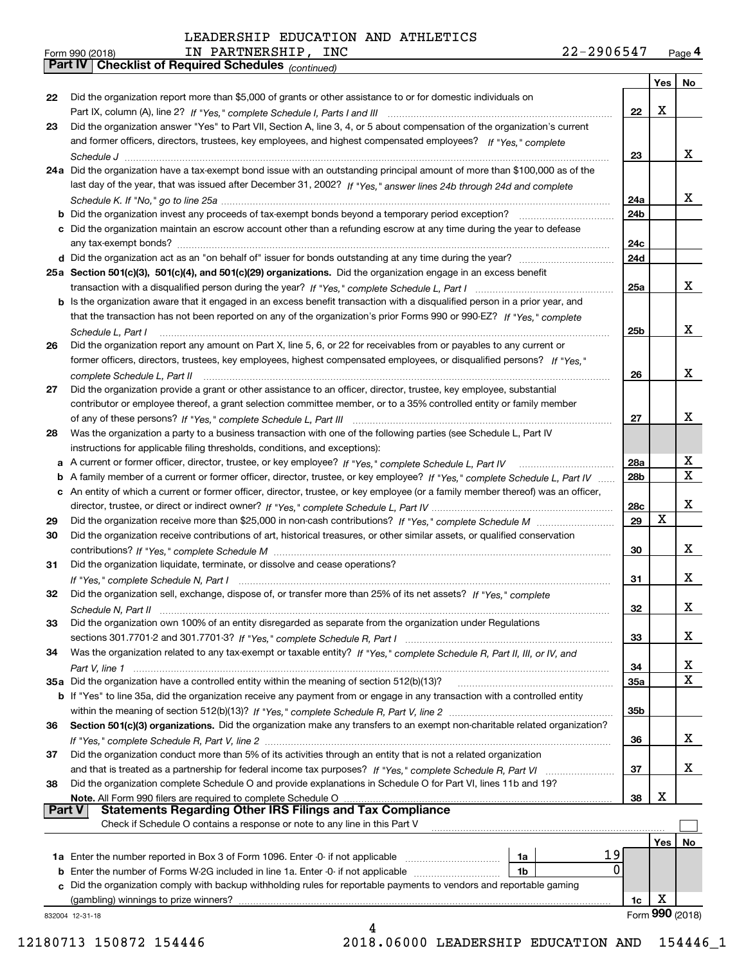*(continued)*

| Form 990 (2018) | PARTNERSHIP<br>IΝ                                     | INC | $-2906547$<br>$\Delta \Delta$ – | $P$ age $\sim$ |
|-----------------|-------------------------------------------------------|-----|---------------------------------|----------------|
|                 | Part IV   Checklist of Required Schedules (continued) |     |                                 |                |

|               |                                                                                                                                   |                 |     | Yes   No                |
|---------------|-----------------------------------------------------------------------------------------------------------------------------------|-----------------|-----|-------------------------|
| 22            | Did the organization report more than \$5,000 of grants or other assistance to or for domestic individuals on                     |                 |     |                         |
|               |                                                                                                                                   | 22              | x   |                         |
| 23            | Did the organization answer "Yes" to Part VII, Section A, line 3, 4, or 5 about compensation of the organization's current        |                 |     |                         |
|               | and former officers, directors, trustees, key employees, and highest compensated employees? If "Yes," complete                    |                 |     |                         |
|               |                                                                                                                                   | 23              |     | x                       |
|               | 24a Did the organization have a tax-exempt bond issue with an outstanding principal amount of more than \$100,000 as of the       |                 |     |                         |
|               | last day of the year, that was issued after December 31, 2002? If "Yes," answer lines 24b through 24d and complete                |                 |     |                         |
|               |                                                                                                                                   | 24a             |     | X.                      |
|               | <b>b</b> Did the organization invest any proceeds of tax-exempt bonds beyond a temporary period exception?                        | 24 <sub>b</sub> |     |                         |
|               | c Did the organization maintain an escrow account other than a refunding escrow at any time during the year to defease            |                 |     |                         |
|               |                                                                                                                                   | 24c             |     |                         |
|               |                                                                                                                                   | 24d             |     |                         |
|               | 25a Section 501(c)(3), 501(c)(4), and 501(c)(29) organizations. Did the organization engage in an excess benefit                  |                 |     |                         |
|               |                                                                                                                                   | 25a             |     | x                       |
|               | b Is the organization aware that it engaged in an excess benefit transaction with a disqualified person in a prior year, and      |                 |     |                         |
|               | that the transaction has not been reported on any of the organization's prior Forms 990 or 990-EZ? If "Yes," complete             |                 |     |                         |
|               | Schedule L, Part I                                                                                                                | 25b             |     | x                       |
| 26            | Did the organization report any amount on Part X, line 5, 6, or 22 for receivables from or payables to any current or             |                 |     |                         |
|               | former officers, directors, trustees, key employees, highest compensated employees, or disqualified persons? If "Yes."            |                 |     |                         |
|               | complete Schedule L, Part II                                                                                                      | 26              |     | x                       |
| 27            | Did the organization provide a grant or other assistance to an officer, director, trustee, key employee, substantial              |                 |     |                         |
|               | contributor or employee thereof, a grant selection committee member, or to a 35% controlled entity or family member               |                 |     | x                       |
|               |                                                                                                                                   | 27              |     |                         |
| 28            | Was the organization a party to a business transaction with one of the following parties (see Schedule L, Part IV                 |                 |     |                         |
|               | instructions for applicable filing thresholds, conditions, and exceptions):                                                       | 28a             |     | х                       |
|               |                                                                                                                                   | 28b             |     | $\overline{\mathbf{X}}$ |
|               | b A family member of a current or former officer, director, trustee, or key employee? If "Yes," complete Schedule L, Part IV      |                 |     |                         |
|               | c An entity of which a current or former officer, director, trustee, or key employee (or a family member thereof) was an officer, | 28c             |     | x                       |
| 29            |                                                                                                                                   | 29              | X   |                         |
| 30            | Did the organization receive contributions of art, historical treasures, or other similar assets, or qualified conservation       |                 |     |                         |
|               |                                                                                                                                   | 30              |     | x                       |
| 31            | Did the organization liquidate, terminate, or dissolve and cease operations?                                                      |                 |     |                         |
|               |                                                                                                                                   | 31              |     | x                       |
| 32            | Did the organization sell, exchange, dispose of, or transfer more than 25% of its net assets? If "Yes," complete                  |                 |     |                         |
|               |                                                                                                                                   | 32              |     | x                       |
| 33            | Did the organization own 100% of an entity disregarded as separate from the organization under Regulations                        |                 |     |                         |
|               |                                                                                                                                   | 33              |     | x                       |
| 34            | Was the organization related to any tax-exempt or taxable entity? If "Yes," complete Schedule R, Part II, III, or IV, and         |                 |     |                         |
|               |                                                                                                                                   | 34              |     | X                       |
|               | 35a Did the organization have a controlled entity within the meaning of section 512(b)(13)?                                       | <b>35a</b>      |     | $\mathbf X$             |
|               | b If "Yes" to line 35a, did the organization receive any payment from or engage in any transaction with a controlled entity       |                 |     |                         |
|               |                                                                                                                                   | 35b             |     |                         |
| 36            | Section 501(c)(3) organizations. Did the organization make any transfers to an exempt non-charitable related organization?        |                 |     |                         |
|               |                                                                                                                                   | 36              |     | x                       |
| 37            | Did the organization conduct more than 5% of its activities through an entity that is not a related organization                  |                 |     |                         |
|               |                                                                                                                                   | 37              |     | x                       |
| 38            | Did the organization complete Schedule O and provide explanations in Schedule O for Part VI, lines 11b and 19?                    |                 |     |                         |
|               | Note. All Form 990 filers are required to complete Schedule O                                                                     | 38              | х   |                         |
| <b>Part V</b> | <b>Statements Regarding Other IRS Filings and Tax Compliance</b>                                                                  |                 |     |                         |
|               | Check if Schedule O contains a response or note to any line in this Part V                                                        |                 |     |                         |
|               |                                                                                                                                   |                 | Yes | No                      |
|               | 19<br>1a                                                                                                                          |                 |     |                         |
|               | 0<br><b>b</b> Enter the number of Forms W-2G included in line 1a. Enter -0- if not applicable <i>manumumumum</i><br>1b            |                 |     |                         |
|               | c Did the organization comply with backup withholding rules for reportable payments to vendors and reportable gaming              |                 |     |                         |
|               | (gambling) winnings to prize winners?                                                                                             | 1c              | Χ   |                         |
|               | 832004 12-31-18<br>4                                                                                                              |                 |     | Form 990 (2018)         |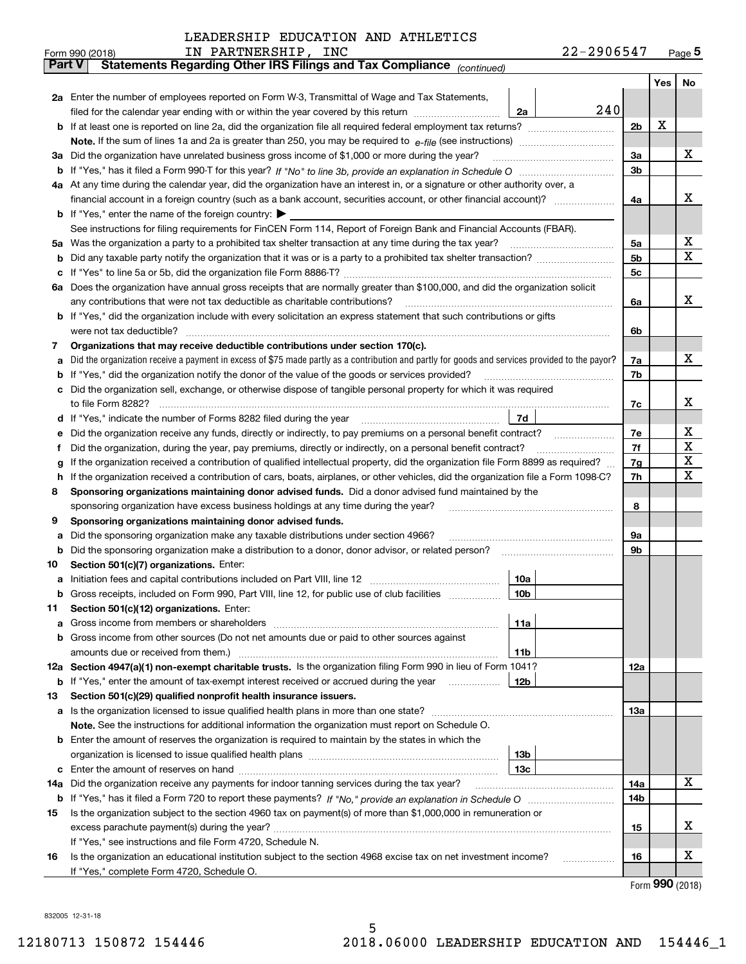|               | IN PARTNERSHIP, INC<br>22-2906547<br>Form 990 (2018)                                                                                                                                                                                 |     |     | <u>Page 5</u> |  |  |  |  |  |  |  |
|---------------|--------------------------------------------------------------------------------------------------------------------------------------------------------------------------------------------------------------------------------------|-----|-----|---------------|--|--|--|--|--|--|--|
| <b>Part V</b> | Statements Regarding Other IRS Filings and Tax Compliance (continued)                                                                                                                                                                |     |     |               |  |  |  |  |  |  |  |
|               |                                                                                                                                                                                                                                      |     | Yes | No            |  |  |  |  |  |  |  |
|               | 2a Enter the number of employees reported on Form W-3, Transmittal of Wage and Tax Statements,                                                                                                                                       |     |     |               |  |  |  |  |  |  |  |
|               | 240<br>filed for the calendar year ending with or within the year covered by this return<br>2a                                                                                                                                       |     | х   |               |  |  |  |  |  |  |  |
|               |                                                                                                                                                                                                                                      |     |     |               |  |  |  |  |  |  |  |
|               |                                                                                                                                                                                                                                      |     |     |               |  |  |  |  |  |  |  |
|               | 3a Did the organization have unrelated business gross income of \$1,000 or more during the year?                                                                                                                                     |     |     |               |  |  |  |  |  |  |  |
|               |                                                                                                                                                                                                                                      | 3b  |     |               |  |  |  |  |  |  |  |
|               | 4a At any time during the calendar year, did the organization have an interest in, or a signature or other authority over, a                                                                                                         |     |     |               |  |  |  |  |  |  |  |
|               |                                                                                                                                                                                                                                      | 4a  |     | х             |  |  |  |  |  |  |  |
|               | <b>b</b> If "Yes," enter the name of the foreign country: $\blacktriangleright$                                                                                                                                                      |     |     |               |  |  |  |  |  |  |  |
|               | See instructions for filing requirements for FinCEN Form 114, Report of Foreign Bank and Financial Accounts (FBAR).                                                                                                                  |     |     |               |  |  |  |  |  |  |  |
|               | 5a Was the organization a party to a prohibited tax shelter transaction at any time during the tax year?                                                                                                                             | 5a  |     | x             |  |  |  |  |  |  |  |
| b             |                                                                                                                                                                                                                                      | 5b  |     | X             |  |  |  |  |  |  |  |
| c             |                                                                                                                                                                                                                                      | 5c  |     |               |  |  |  |  |  |  |  |
|               | 6a Does the organization have annual gross receipts that are normally greater than \$100,000, and did the organization solicit                                                                                                       |     |     |               |  |  |  |  |  |  |  |
|               | any contributions that were not tax deductible as charitable contributions?                                                                                                                                                          | 6a  |     | x             |  |  |  |  |  |  |  |
|               | <b>b</b> If "Yes," did the organization include with every solicitation an express statement that such contributions or gifts                                                                                                        |     |     |               |  |  |  |  |  |  |  |
|               | were not tax deductible?                                                                                                                                                                                                             | 6b  |     |               |  |  |  |  |  |  |  |
| 7             | Organizations that may receive deductible contributions under section 170(c).                                                                                                                                                        |     |     |               |  |  |  |  |  |  |  |
| a             | Did the organization receive a payment in excess of \$75 made partly as a contribution and partly for goods and services provided to the payor?                                                                                      | 7a  |     | х             |  |  |  |  |  |  |  |
|               | <b>b</b> If "Yes," did the organization notify the donor of the value of the goods or services provided?                                                                                                                             | 7b  |     |               |  |  |  |  |  |  |  |
|               | c Did the organization sell, exchange, or otherwise dispose of tangible personal property for which it was required                                                                                                                  |     |     |               |  |  |  |  |  |  |  |
|               |                                                                                                                                                                                                                                      | 7c  |     | х             |  |  |  |  |  |  |  |
|               | 7d<br>d If "Yes," indicate the number of Forms 8282 filed during the year manufactured in the set of the set of the water of Forms 8282 filed during the year manufactured in the set of the set of the set of the set of the set of |     |     |               |  |  |  |  |  |  |  |
| е             | Did the organization receive any funds, directly or indirectly, to pay premiums on a personal benefit contract?                                                                                                                      | 7е  |     | х             |  |  |  |  |  |  |  |
| f             | Did the organization, during the year, pay premiums, directly or indirectly, on a personal benefit contract?                                                                                                                         | 7f  |     | X             |  |  |  |  |  |  |  |
| g             | If the organization received a contribution of qualified intellectual property, did the organization file Form 8899 as required?                                                                                                     | 7g  |     | X             |  |  |  |  |  |  |  |
| h.            | If the organization received a contribution of cars, boats, airplanes, or other vehicles, did the organization file a Form 1098-C?                                                                                                   | 7h  |     | Х             |  |  |  |  |  |  |  |
| 8             | Sponsoring organizations maintaining donor advised funds. Did a donor advised fund maintained by the                                                                                                                                 |     |     |               |  |  |  |  |  |  |  |
|               | sponsoring organization have excess business holdings at any time during the year?                                                                                                                                                   | 8   |     |               |  |  |  |  |  |  |  |
| 9             | Sponsoring organizations maintaining donor advised funds.                                                                                                                                                                            |     |     |               |  |  |  |  |  |  |  |
| а             | Did the sponsoring organization make any taxable distributions under section 4966?                                                                                                                                                   | 9а  |     |               |  |  |  |  |  |  |  |
| b             | Did the sponsoring organization make a distribution to a donor, donor advisor, or related person?                                                                                                                                    | 9b  |     |               |  |  |  |  |  |  |  |
| 10            | Section 501(c)(7) organizations. Enter:                                                                                                                                                                                              |     |     |               |  |  |  |  |  |  |  |
|               | 10a                                                                                                                                                                                                                                  |     |     |               |  |  |  |  |  |  |  |
|               | 10b <br>Gross receipts, included on Form 990, Part VIII, line 12, for public use of club facilities                                                                                                                                  |     |     |               |  |  |  |  |  |  |  |
| 11            | Section 501(c)(12) organizations. Enter:                                                                                                                                                                                             |     |     |               |  |  |  |  |  |  |  |
| a             | Gross income from members or shareholders<br>11a                                                                                                                                                                                     |     |     |               |  |  |  |  |  |  |  |
|               | b Gross income from other sources (Do not net amounts due or paid to other sources against                                                                                                                                           |     |     |               |  |  |  |  |  |  |  |
|               | 11b<br>12a Section 4947(a)(1) non-exempt charitable trusts. Is the organization filing Form 990 in lieu of Form 1041?                                                                                                                |     |     |               |  |  |  |  |  |  |  |
|               | 12b                                                                                                                                                                                                                                  | 12a |     |               |  |  |  |  |  |  |  |
| 13            | <b>b</b> If "Yes," enter the amount of tax-exempt interest received or accrued during the year <i>manument</i><br>Section 501(c)(29) qualified nonprofit health insurance issuers.                                                   |     |     |               |  |  |  |  |  |  |  |
| a             | Is the organization licensed to issue qualified health plans in more than one state?                                                                                                                                                 | 13а |     |               |  |  |  |  |  |  |  |
|               | Note. See the instructions for additional information the organization must report on Schedule O.                                                                                                                                    |     |     |               |  |  |  |  |  |  |  |
|               | <b>b</b> Enter the amount of reserves the organization is required to maintain by the states in which the                                                                                                                            |     |     |               |  |  |  |  |  |  |  |
|               | 13b                                                                                                                                                                                                                                  |     |     |               |  |  |  |  |  |  |  |
|               | 13с                                                                                                                                                                                                                                  |     |     |               |  |  |  |  |  |  |  |
|               | 14a Did the organization receive any payments for indoor tanning services during the tax year?                                                                                                                                       | 14a |     | х             |  |  |  |  |  |  |  |
|               |                                                                                                                                                                                                                                      | 14b |     |               |  |  |  |  |  |  |  |
| 15            | Is the organization subject to the section 4960 tax on payment(s) of more than \$1,000,000 in remuneration or                                                                                                                        |     |     |               |  |  |  |  |  |  |  |
|               |                                                                                                                                                                                                                                      | 15  |     | x             |  |  |  |  |  |  |  |
|               | If "Yes," see instructions and file Form 4720, Schedule N.                                                                                                                                                                           |     |     |               |  |  |  |  |  |  |  |
| 16            | Is the organization an educational institution subject to the section 4968 excise tax on net investment income?                                                                                                                      | 16  |     | x             |  |  |  |  |  |  |  |
|               | If "Yes," complete Form 4720, Schedule O.                                                                                                                                                                                            |     |     |               |  |  |  |  |  |  |  |
|               |                                                                                                                                                                                                                                      |     |     |               |  |  |  |  |  |  |  |

Form (2018) **990**

832005 12-31-18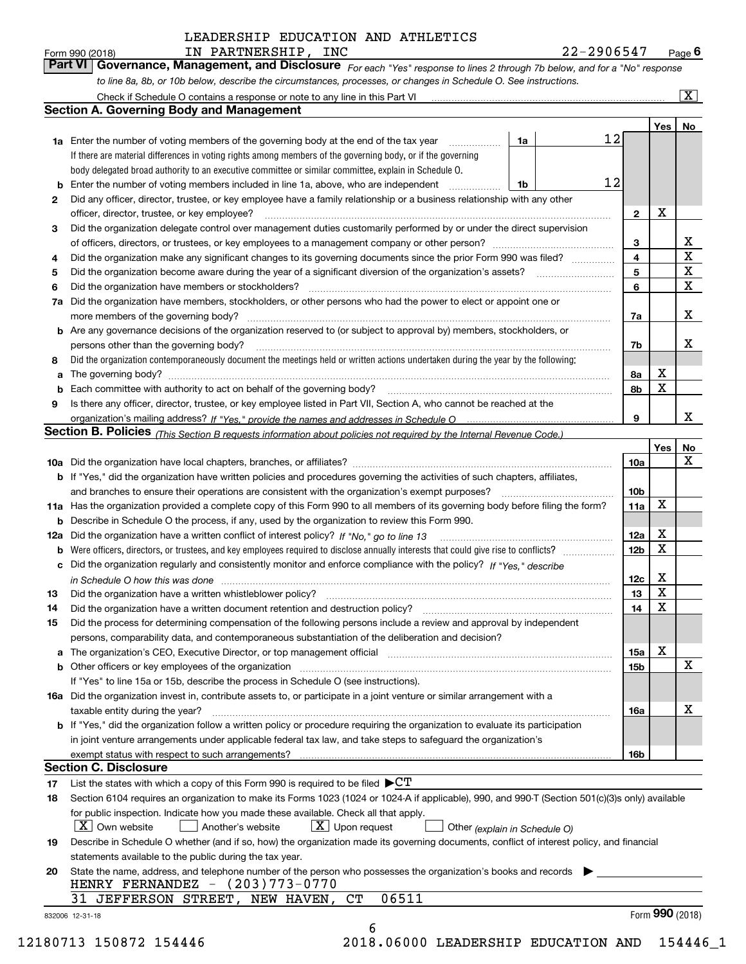*For each "Yes" response to lines 2 through 7b below, and for a "No" response to line 8a, 8b, or 10b below, describe the circumstances, processes, or changes in Schedule O. See instructions.* Form 990 (2018) **Form 990 (2018)** IN PARTNERSHIP, INC 22-2906547 Page 6<br>**Part VI** | Governance, Management, and Disclosure *For each "Yes" response to lines 2 through 7b below, and for a "No" response* 

|                                                                                                                       | Check if Schedule O contains a response or note to any line in this Part VI                                                                                           |    |    |                 |     | X               |  |  |  |  |  |  |
|-----------------------------------------------------------------------------------------------------------------------|-----------------------------------------------------------------------------------------------------------------------------------------------------------------------|----|----|-----------------|-----|-----------------|--|--|--|--|--|--|
|                                                                                                                       | Section A. Governing Body and Management                                                                                                                              |    |    |                 |     |                 |  |  |  |  |  |  |
|                                                                                                                       |                                                                                                                                                                       |    |    |                 | Yes | No              |  |  |  |  |  |  |
|                                                                                                                       | <b>1a</b> Enter the number of voting members of the governing body at the end of the tax year                                                                         | 1a | 12 |                 |     |                 |  |  |  |  |  |  |
|                                                                                                                       | If there are material differences in voting rights among members of the governing body, or if the governing                                                           |    |    |                 |     |                 |  |  |  |  |  |  |
|                                                                                                                       | body delegated broad authority to an executive committee or similar committee, explain in Schedule O.                                                                 |    |    |                 |     |                 |  |  |  |  |  |  |
| b                                                                                                                     | Enter the number of voting members included in line 1a, above, who are independent                                                                                    | 1b | 12 |                 |     |                 |  |  |  |  |  |  |
| 2                                                                                                                     | Did any officer, director, trustee, or key employee have a family relationship or a business relationship with any other                                              |    |    |                 |     |                 |  |  |  |  |  |  |
|                                                                                                                       | officer, director, trustee, or key employee?                                                                                                                          |    |    | $\mathbf{2}$    | X   |                 |  |  |  |  |  |  |
| 3                                                                                                                     | Did the organization delegate control over management duties customarily performed by or under the direct supervision                                                 |    |    |                 |     |                 |  |  |  |  |  |  |
|                                                                                                                       |                                                                                                                                                                       |    |    | 3               |     | X               |  |  |  |  |  |  |
| Did the organization make any significant changes to its governing documents since the prior Form 990 was filed?<br>4 |                                                                                                                                                                       |    |    |                 |     |                 |  |  |  |  |  |  |
|                                                                                                                       | Did the organization become aware during the year of a significant diversion of the organization's assets? <i>manageranian</i> entity<br>5                            |    |    |                 |     |                 |  |  |  |  |  |  |
|                                                                                                                       | Did the organization have members or stockholders?<br>6                                                                                                               |    |    |                 |     |                 |  |  |  |  |  |  |
|                                                                                                                       |                                                                                                                                                                       |    |    |                 |     |                 |  |  |  |  |  |  |
| Did the organization have members, stockholders, or other persons who had the power to elect or appoint one or<br>7a  |                                                                                                                                                                       |    |    |                 |     |                 |  |  |  |  |  |  |
|                                                                                                                       | more members of the governing body?<br>Are any governance decisions of the organization reserved to (or subject to approval by) members, stockholders, or             |    |    | 7a              |     | x               |  |  |  |  |  |  |
| b                                                                                                                     |                                                                                                                                                                       |    |    |                 |     |                 |  |  |  |  |  |  |
|                                                                                                                       | persons other than the governing body?                                                                                                                                |    |    | 7b              |     | x               |  |  |  |  |  |  |
| 8                                                                                                                     | Did the organization contemporaneously document the meetings held or written actions undertaken during the year by the following:                                     |    |    |                 |     |                 |  |  |  |  |  |  |
| a                                                                                                                     |                                                                                                                                                                       |    |    | 8a              | X   |                 |  |  |  |  |  |  |
| b                                                                                                                     | Each committee with authority to act on behalf of the governing body?                                                                                                 |    |    | 8b              | X   |                 |  |  |  |  |  |  |
| 9                                                                                                                     | Is there any officer, director, trustee, or key employee listed in Part VII, Section A, who cannot be reached at the                                                  |    |    |                 |     |                 |  |  |  |  |  |  |
|                                                                                                                       |                                                                                                                                                                       |    |    | 9               |     | x               |  |  |  |  |  |  |
|                                                                                                                       | <b>Section B. Policies</b> (This Section B requests information about policies not required by the Internal Revenue Code.)                                            |    |    |                 |     |                 |  |  |  |  |  |  |
|                                                                                                                       |                                                                                                                                                                       |    |    |                 | Yes | No              |  |  |  |  |  |  |
|                                                                                                                       |                                                                                                                                                                       |    |    | <b>10a</b>      |     | x               |  |  |  |  |  |  |
|                                                                                                                       | <b>b</b> If "Yes," did the organization have written policies and procedures governing the activities of such chapters, affiliates,                                   |    |    |                 |     |                 |  |  |  |  |  |  |
|                                                                                                                       | and branches to ensure their operations are consistent with the organization's exempt purposes?                                                                       |    |    | 10 <sub>b</sub> |     |                 |  |  |  |  |  |  |
|                                                                                                                       | 11a Has the organization provided a complete copy of this Form 990 to all members of its governing body before filing the form?                                       |    |    | 11a             | X   |                 |  |  |  |  |  |  |
| Describe in Schedule O the process, if any, used by the organization to review this Form 990.<br>b                    |                                                                                                                                                                       |    |    |                 |     |                 |  |  |  |  |  |  |
| 12a                                                                                                                   | Did the organization have a written conflict of interest policy? If "No," go to line 13                                                                               |    |    | 12a             | X   |                 |  |  |  |  |  |  |
| b                                                                                                                     |                                                                                                                                                                       |    |    | 12 <sub>b</sub> | X   |                 |  |  |  |  |  |  |
| с                                                                                                                     | Did the organization regularly and consistently monitor and enforce compliance with the policy? If "Yes." describe                                                    |    |    |                 |     |                 |  |  |  |  |  |  |
|                                                                                                                       | in Schedule O how this was done measured and contain an account of the state of the state of the state of the                                                         |    |    | 12c             | X   |                 |  |  |  |  |  |  |
| 13                                                                                                                    | Did the organization have a written whistleblower policy?                                                                                                             |    |    | 13              | X   |                 |  |  |  |  |  |  |
| 14                                                                                                                    | Did the organization have a written document retention and destruction policy?                                                                                        |    |    | 14              | X   |                 |  |  |  |  |  |  |
| 15                                                                                                                    | Did the process for determining compensation of the following persons include a review and approval by independent                                                    |    |    |                 |     |                 |  |  |  |  |  |  |
|                                                                                                                       | persons, comparability data, and contemporaneous substantiation of the deliberation and decision?                                                                     |    |    |                 |     |                 |  |  |  |  |  |  |
| а                                                                                                                     | The organization's CEO, Executive Director, or top management official manufactured content of the organization's CEO, Executive Director, or top management official |    |    | 15a             | X   |                 |  |  |  |  |  |  |
|                                                                                                                       | Other officers or key employees of the organization                                                                                                                   |    |    | 15b             |     | X               |  |  |  |  |  |  |
|                                                                                                                       | If "Yes" to line 15a or 15b, describe the process in Schedule O (see instructions).                                                                                   |    |    |                 |     |                 |  |  |  |  |  |  |
|                                                                                                                       | 16a Did the organization invest in, contribute assets to, or participate in a joint venture or similar arrangement with a                                             |    |    |                 |     |                 |  |  |  |  |  |  |
|                                                                                                                       | taxable entity during the year?                                                                                                                                       |    |    | 16a             |     | х               |  |  |  |  |  |  |
|                                                                                                                       | b If "Yes," did the organization follow a written policy or procedure requiring the organization to evaluate its participation                                        |    |    |                 |     |                 |  |  |  |  |  |  |
|                                                                                                                       | in joint venture arrangements under applicable federal tax law, and take steps to safequard the organization's                                                        |    |    |                 |     |                 |  |  |  |  |  |  |
|                                                                                                                       | exempt status with respect to such arrangements?                                                                                                                      |    |    | 16b             |     |                 |  |  |  |  |  |  |
|                                                                                                                       | <b>Section C. Disclosure</b>                                                                                                                                          |    |    |                 |     |                 |  |  |  |  |  |  |
| 17                                                                                                                    | List the states with which a copy of this Form 990 is required to be filed $\blacktriangleright$ CT                                                                   |    |    |                 |     |                 |  |  |  |  |  |  |
| 18                                                                                                                    | Section 6104 requires an organization to make its Forms 1023 (1024 or 1024 A if applicable), 990, and 990-T (Section 501(c)(3)s only) available                       |    |    |                 |     |                 |  |  |  |  |  |  |
|                                                                                                                       | for public inspection. Indicate how you made these available. Check all that apply.                                                                                   |    |    |                 |     |                 |  |  |  |  |  |  |
|                                                                                                                       | $\lfloor X \rfloor$ Own website<br>$X$ Upon request<br>Another's website<br>Other (explain in Schedule O)                                                             |    |    |                 |     |                 |  |  |  |  |  |  |
| 19                                                                                                                    | Describe in Schedule O whether (and if so, how) the organization made its governing documents, conflict of interest policy, and financial                             |    |    |                 |     |                 |  |  |  |  |  |  |
|                                                                                                                       | statements available to the public during the tax year.                                                                                                               |    |    |                 |     |                 |  |  |  |  |  |  |
| 20                                                                                                                    | State the name, address, and telephone number of the person who possesses the organization's books and records                                                        |    |    |                 |     |                 |  |  |  |  |  |  |
|                                                                                                                       | HENRY FERNANDEZ - $(203)773-0770$                                                                                                                                     |    |    |                 |     |                 |  |  |  |  |  |  |
|                                                                                                                       | 06511<br>C <sub>T</sub><br>JEFFERSON STREET, NEW HAVEN,<br>31.                                                                                                        |    |    |                 |     |                 |  |  |  |  |  |  |
|                                                                                                                       | 832006 12-31-18                                                                                                                                                       |    |    |                 |     | Form 990 (2018) |  |  |  |  |  |  |
|                                                                                                                       | 6<br>$1.50050 \pm 7.5$                                                                                                                                                |    |    |                 |     |                 |  |  |  |  |  |  |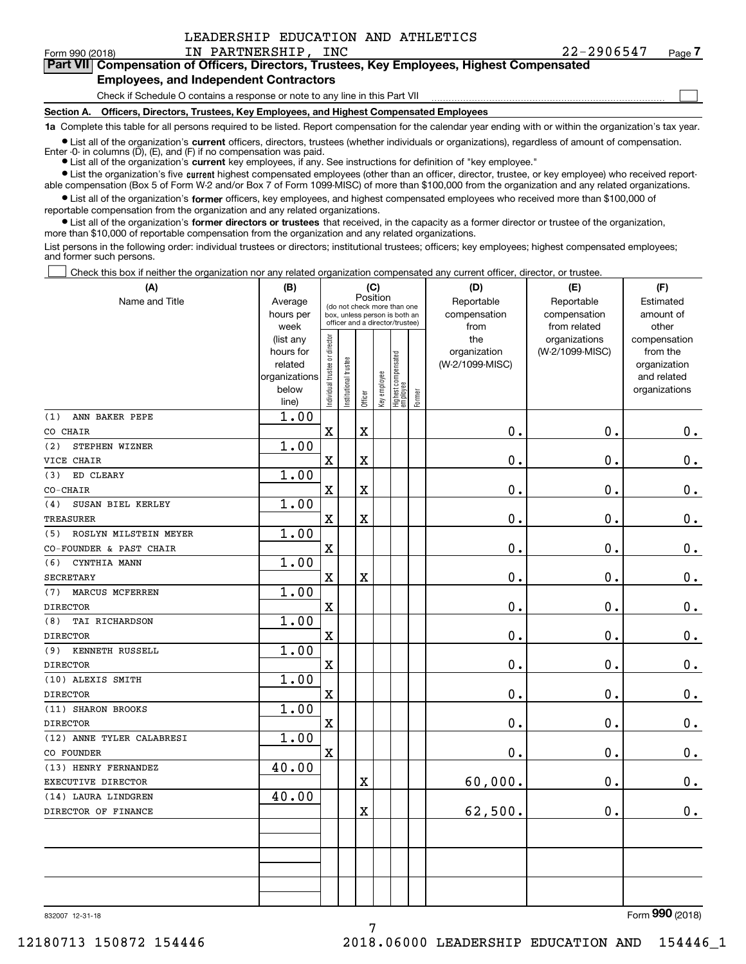$\mathcal{L}^{\text{max}}$ 

#### Form 990 (2018) Page IN PARTNERSHIP, INC 22-2906547 **7Part VII Compensation of Officers, Directors, Trustees, Key Employees, Highest Compensated Employees, and Independent Contractors**

# Check if Schedule O contains a response or note to any line in this Part VII

**Section A. Officers, Directors, Trustees, Key Employees, and Highest Compensated Employees**

**1a**  Complete this table for all persons required to be listed. Report compensation for the calendar year ending with or within the organization's tax year. **•** List all of the organization's current officers, directors, trustees (whether individuals or organizations), regardless of amount of compensation.

Enter -0- in columns  $(D)$ ,  $(E)$ , and  $(F)$  if no compensation was paid.

**(A)**

● List all of the organization's **current** key employees, if any. See instructions for definition of "key employee."

**•** List the organization's five current highest compensated employees (other than an officer, director, trustee, or key employee) who received reportable compensation (Box 5 of Form W-2 and/or Box 7 of Form 1099-MISC) of more than \$100,000 from the organization and any related organizations.

 $\bullet$  List all of the organization's **former** officers, key employees, and highest compensated employees who received more than \$100,000 of reportable compensation from the organization and any related organizations.

**•** List all of the organization's former directors or trustees that received, in the capacity as a former director or trustee of the organization, more than \$10,000 of reportable compensation from the organization and any related organizations.

List persons in the following order: individual trustees or directors; institutional trustees; officers; key employees; highest compensated employees; and former such persons.

Check this box if neither the organization nor any related organization compensated any current officer, director, or trustee.  $\mathcal{L}^{\text{max}}$ 

| (A)                       | (B)               |                                         |                        |                         | (C)                                                              |                                 |        | (D)             | (E)                           | (F)                   |
|---------------------------|-------------------|-----------------------------------------|------------------------|-------------------------|------------------------------------------------------------------|---------------------------------|--------|-----------------|-------------------------------|-----------------------|
| Name and Title            | Average           | Position<br>(do not check more than one |                        |                         |                                                                  |                                 |        | Reportable      | Reportable                    | Estimated             |
|                           | hours per         |                                         |                        |                         | box, unless person is both an<br>officer and a director/trustee) |                                 |        | compensation    | compensation                  | amount of             |
|                           | week<br>(list any |                                         |                        |                         |                                                                  |                                 |        | from<br>the     | from related<br>organizations | other<br>compensation |
|                           | hours for         |                                         |                        |                         |                                                                  |                                 |        | organization    | (W-2/1099-MISC)               | from the              |
|                           | related           |                                         |                        |                         |                                                                  |                                 |        | (W-2/1099-MISC) |                               | organization          |
|                           | organizations     |                                         |                        |                         |                                                                  |                                 |        |                 |                               | and related           |
|                           | below             | Individual trustee or director          | In stitutional trustee |                         | Key employee                                                     | Highest compensated<br>employee |        |                 |                               | organizations         |
|                           | line)             |                                         |                        | Officer                 |                                                                  |                                 | Former |                 |                               |                       |
| ANN BAKER PEPE<br>(1)     | 1.00              |                                         |                        |                         |                                                                  |                                 |        |                 |                               |                       |
| CO CHAIR                  |                   | $\mathbf x$                             |                        | $\mathbf X$             |                                                                  |                                 |        | 0.              | $\mathbf 0$ .                 | $0_{.}$               |
| (2)<br>STEPHEN WIZNER     | 1.00              |                                         |                        |                         |                                                                  |                                 |        |                 |                               |                       |
| VICE CHAIR                |                   | $\mathbf X$                             |                        | $\mathbf X$             |                                                                  |                                 |        | 0.              | 0.                            | $\mathbf 0$ .         |
| ED CLEARY<br>(3)          | 1.00              |                                         |                        |                         |                                                                  |                                 |        |                 |                               |                       |
| CO-CHAIR                  |                   | $\mathbf X$                             |                        | $\mathbf X$             |                                                                  |                                 |        | 0.              | $\mathbf 0$ .                 | $\mathbf 0$ .         |
| SUSAN BIEL KERLEY<br>(4)  | 1.00              |                                         |                        |                         |                                                                  |                                 |        |                 |                               |                       |
| <b>TREASURER</b>          |                   | $\mathbf x$                             |                        | $\overline{\mathbf{X}}$ |                                                                  |                                 |        | 0.              | 0.                            | $\mathbf 0$ .         |
| (5) ROSLYN MILSTEIN MEYER | 1.00              |                                         |                        |                         |                                                                  |                                 |        |                 |                               |                       |
| CO-FOUNDER & PAST CHAIR   |                   | $\mathbf X$                             |                        |                         |                                                                  |                                 |        | 0.              | $\mathbf 0$ .                 | $0_{.}$               |
| (6)<br>CYNTHIA MANN       | 1.00              |                                         |                        |                         |                                                                  |                                 |        |                 |                               |                       |
| <b>SECRETARY</b>          |                   | $\mathbf X$                             |                        | $\mathbf X$             |                                                                  |                                 |        | 0.              | $\mathbf 0$ .                 | $\mathbf 0$ .         |
| MARCUS MCFERREN<br>(7)    | 1.00              |                                         |                        |                         |                                                                  |                                 |        |                 |                               |                       |
| <b>DIRECTOR</b>           |                   | $\mathbf x$                             |                        |                         |                                                                  |                                 |        | 0.              | $\mathbf 0$ .                 | $0_{.}$               |
| (8)<br>TAI RICHARDSON     | 1.00              |                                         |                        |                         |                                                                  |                                 |        |                 |                               |                       |
| <b>DIRECTOR</b>           |                   | $\mathbf x$                             |                        |                         |                                                                  |                                 |        | 0.              | 0.                            | $\mathbf 0$ .         |
| (9) KENNETH RUSSELL       | 1.00              |                                         |                        |                         |                                                                  |                                 |        |                 |                               |                       |
| <b>DIRECTOR</b>           |                   | $\mathbf x$                             |                        |                         |                                                                  |                                 |        | $0$ .           | 0.                            | 0.                    |
| (10) ALEXIS SMITH         | 1.00              |                                         |                        |                         |                                                                  |                                 |        |                 |                               |                       |
| <b>DIRECTOR</b>           |                   | $\mathbf x$                             |                        |                         |                                                                  |                                 |        | 0.              | 0.                            | $0_{.}$               |
| (11) SHARON BROOKS        | 1.00              |                                         |                        |                         |                                                                  |                                 |        |                 |                               |                       |
| <b>DIRECTOR</b>           |                   | $\mathbf X$                             |                        |                         |                                                                  |                                 |        | 0.              | $\mathbf 0$ .                 | $\mathbf 0$ .         |
| (12) ANNE TYLER CALABRESI | 1.00              |                                         |                        |                         |                                                                  |                                 |        |                 |                               |                       |
| CO FOUNDER                |                   | $\mathbf x$                             |                        |                         |                                                                  |                                 |        | 0.              | 0.                            | $\mathbf 0$ .         |
| (13) HENRY FERNANDEZ      | 40.00             |                                         |                        |                         |                                                                  |                                 |        |                 |                               |                       |
| EXECUTIVE DIRECTOR        |                   |                                         |                        | $\mathbf X$             |                                                                  |                                 |        | 60,000.         | 0.                            | $\mathbf 0$ .         |
| (14) LAURA LINDGREN       | 40.00             |                                         |                        |                         |                                                                  |                                 |        |                 |                               |                       |
| DIRECTOR OF FINANCE       |                   |                                         |                        | $\mathbf X$             |                                                                  |                                 |        | 62,500.         | 0.                            | 0.                    |
|                           |                   |                                         |                        |                         |                                                                  |                                 |        |                 |                               |                       |
|                           |                   |                                         |                        |                         |                                                                  |                                 |        |                 |                               |                       |
|                           |                   |                                         |                        |                         |                                                                  |                                 |        |                 |                               |                       |
|                           |                   |                                         |                        |                         |                                                                  |                                 |        |                 |                               |                       |
|                           |                   |                                         |                        |                         |                                                                  |                                 |        |                 |                               |                       |
|                           |                   |                                         |                        |                         |                                                                  |                                 |        |                 |                               |                       |
|                           |                   |                                         |                        |                         |                                                                  |                                 |        |                 |                               |                       |

832007 12-31-18

Form (2018) **990**

7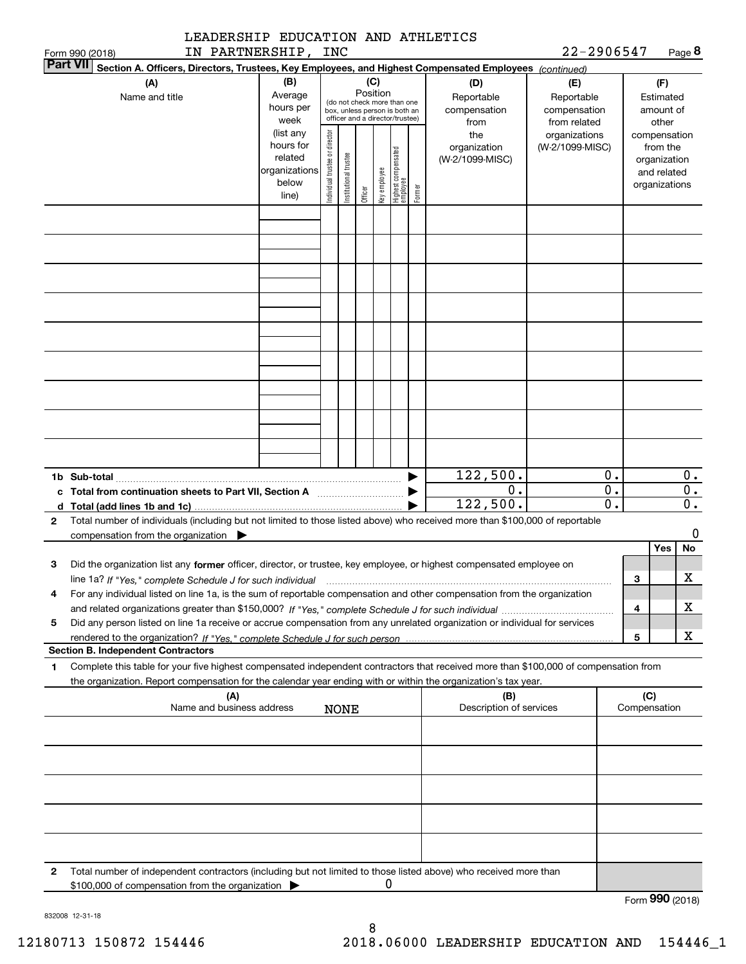|              |                                                                                                                                                                                                                                                                     | LEADERSHIP EDUCATION AND ATHLETICS                                           |                                                                                                                                                                                                                                     |                       |         |              |                                 |        |                                                |                                                  |                        |                                                                   |                             |
|--------------|---------------------------------------------------------------------------------------------------------------------------------------------------------------------------------------------------------------------------------------------------------------------|------------------------------------------------------------------------------|-------------------------------------------------------------------------------------------------------------------------------------------------------------------------------------------------------------------------------------|-----------------------|---------|--------------|---------------------------------|--------|------------------------------------------------|--------------------------------------------------|------------------------|-------------------------------------------------------------------|-----------------------------|
|              | Form 990 (2018)<br><b>Part VII</b>                                                                                                                                                                                                                                  | IN PARTNERSHIP, INC                                                          |                                                                                                                                                                                                                                     |                       |         |              |                                 |        |                                                | 22-2906547                                       |                        |                                                                   | Page 8                      |
|              | (A)<br>Name and title                                                                                                                                                                                                                                               | (B)<br>Average<br>hours per                                                  | Section A. Officers, Directors, Trustees, Key Employees, and Highest Compensated Employees (continued)<br>(C)<br>(D)<br>Position<br>(do not check more than one<br>box, unless person is both an<br>officer and a director/trustee) |                       |         |              |                                 |        | Reportable<br>compensation                     | (E)<br>Reportable<br>compensation                |                        | (F)<br>Estimated<br>amount of                                     |                             |
|              |                                                                                                                                                                                                                                                                     | week<br>(list any<br>hours for<br>related<br>organizations<br>below<br>line) | Individual trustee or director                                                                                                                                                                                                      | Institutional trustee | Officer | Key employee | Highest compensated<br>employee | Former | from<br>the<br>organization<br>(W-2/1099-MISC) | from related<br>organizations<br>(W-2/1099-MISC) |                        | other<br>from the<br>organization<br>and related<br>organizations | compensation                |
|              |                                                                                                                                                                                                                                                                     |                                                                              |                                                                                                                                                                                                                                     |                       |         |              |                                 |        |                                                |                                                  |                        |                                                                   |                             |
|              |                                                                                                                                                                                                                                                                     |                                                                              |                                                                                                                                                                                                                                     |                       |         |              |                                 |        |                                                |                                                  |                        |                                                                   |                             |
|              |                                                                                                                                                                                                                                                                     |                                                                              |                                                                                                                                                                                                                                     |                       |         |              |                                 |        |                                                |                                                  |                        |                                                                   |                             |
|              |                                                                                                                                                                                                                                                                     |                                                                              |                                                                                                                                                                                                                                     |                       |         |              |                                 |        |                                                |                                                  |                        |                                                                   |                             |
|              | 1b Sub-total<br>c Total from continuation sheets to Part VII, Section A [111] [12] Total from continuation sheets to Part VII, Section A                                                                                                                            |                                                                              |                                                                                                                                                                                                                                     |                       |         |              |                                 |        | 122,500.<br>$\mathbf 0$ .                      |                                                  | 0.<br>$\overline{0}$ . |                                                                   | $0$ .<br>$\overline{0}$ .   |
| $\mathbf{2}$ | d $Total (add lines 1b and 1c)$ .<br>Total number of individuals (including but not limited to those listed above) who received more than \$100,000 of reportable                                                                                                   |                                                                              |                                                                                                                                                                                                                                     |                       |         |              |                                 |        | $1\overline{22,500}$ .                         |                                                  | $\overline{0}$ .       |                                                                   | $\overline{\mathfrak{0}}$ . |
|              | compensation from the organization                                                                                                                                                                                                                                  |                                                                              |                                                                                                                                                                                                                                     |                       |         |              |                                 |        |                                                |                                                  |                        |                                                                   | 0                           |
| З            | Did the organization list any former officer, director, or trustee, key employee, or highest compensated employee on                                                                                                                                                |                                                                              |                                                                                                                                                                                                                                     |                       |         |              |                                 |        |                                                |                                                  |                        | Yes<br>3                                                          | No<br>X                     |
| 4            | line 1a? If "Yes," complete Schedule J for such individual manufactured contained and the Ves," complete Schedule J for such individual<br>For any individual listed on line 1a, is the sum of reportable compensation and other compensation from the organization |                                                                              |                                                                                                                                                                                                                                     |                       |         |              |                                 |        |                                                |                                                  |                        | 4                                                                 | x.                          |
| 5            | Did any person listed on line 1a receive or accrue compensation from any unrelated organization or individual for services                                                                                                                                          |                                                                              |                                                                                                                                                                                                                                     |                       |         |              |                                 |        |                                                |                                                  |                        | 5                                                                 | x                           |
|              | <b>Section B. Independent Contractors</b>                                                                                                                                                                                                                           |                                                                              |                                                                                                                                                                                                                                     |                       |         |              |                                 |        |                                                |                                                  |                        |                                                                   |                             |
| 1            | Complete this table for your five highest compensated independent contractors that received more than \$100,000 of compensation from                                                                                                                                |                                                                              |                                                                                                                                                                                                                                     |                       |         |              |                                 |        |                                                |                                                  |                        |                                                                   |                             |
|              | the organization. Report compensation for the calendar year ending with or within the organization's tax year.<br>(A)<br>Name and business address                                                                                                                  |                                                                              |                                                                                                                                                                                                                                     | <b>NONE</b>           |         |              |                                 |        | (B)<br>Description of services                 |                                                  |                        | (C)<br>Compensation                                               |                             |
|              |                                                                                                                                                                                                                                                                     |                                                                              |                                                                                                                                                                                                                                     |                       |         |              |                                 |        |                                                |                                                  |                        |                                                                   |                             |
|              |                                                                                                                                                                                                                                                                     |                                                                              |                                                                                                                                                                                                                                     |                       |         |              |                                 |        |                                                |                                                  |                        |                                                                   |                             |
|              |                                                                                                                                                                                                                                                                     |                                                                              |                                                                                                                                                                                                                                     |                       |         |              |                                 |        |                                                |                                                  |                        |                                                                   |                             |
|              |                                                                                                                                                                                                                                                                     |                                                                              |                                                                                                                                                                                                                                     |                       |         |              |                                 |        |                                                |                                                  |                        |                                                                   |                             |
| 2            | Total number of independent contractors (including but not limited to those listed above) who received more than<br>\$100,000 of compensation from the organization                                                                                                 |                                                                              |                                                                                                                                                                                                                                     |                       |         | 0            |                                 |        |                                                |                                                  |                        |                                                                   |                             |
|              |                                                                                                                                                                                                                                                                     |                                                                              |                                                                                                                                                                                                                                     |                       |         |              |                                 |        |                                                |                                                  |                        |                                                                   | Form 990 (2018)             |

832008 12-31-18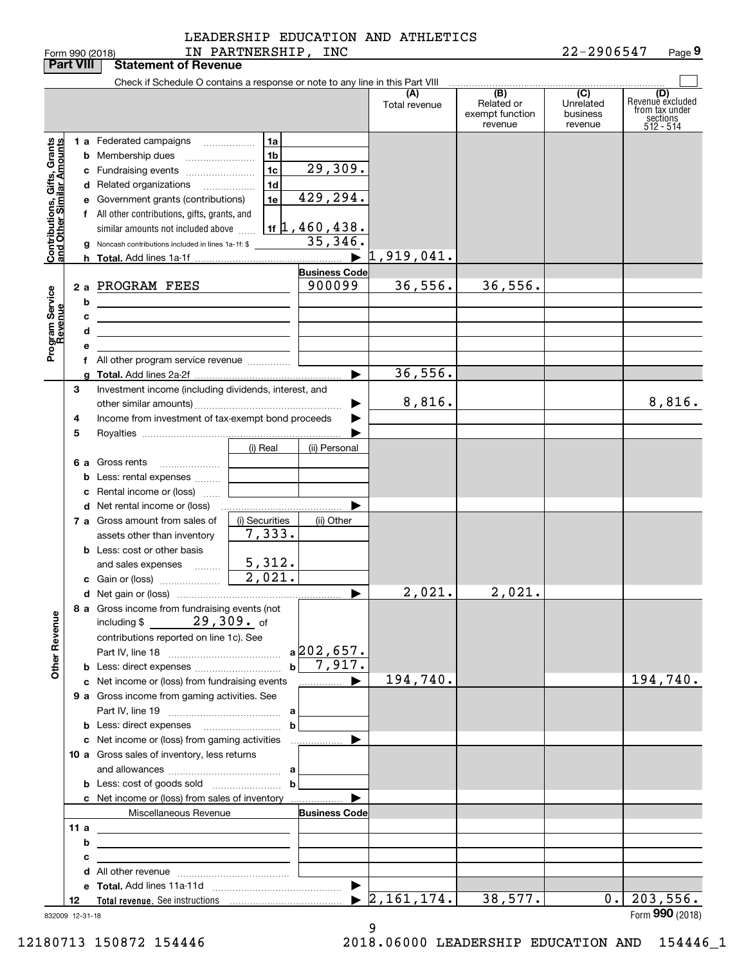| LEADERSHIP EDUCATION AND ATHLETICS |  |  |
|------------------------------------|--|--|
|                                    |  |  |

|                                                                                         | <b>Part VIII</b> | <b>Statement of Revenue</b>                                                                                                                                                                                                                                                                                                                                                                                                                                                                                                                                                                                                                                                                    |                                                                |                                                                                                                   |                                        |                                                 |                                         |                                                                    |
|-----------------------------------------------------------------------------------------|------------------|------------------------------------------------------------------------------------------------------------------------------------------------------------------------------------------------------------------------------------------------------------------------------------------------------------------------------------------------------------------------------------------------------------------------------------------------------------------------------------------------------------------------------------------------------------------------------------------------------------------------------------------------------------------------------------------------|----------------------------------------------------------------|-------------------------------------------------------------------------------------------------------------------|----------------------------------------|-------------------------------------------------|-----------------------------------------|--------------------------------------------------------------------|
|                                                                                         |                  | Check if Schedule O contains a response or note to any line in this Part VIII                                                                                                                                                                                                                                                                                                                                                                                                                                                                                                                                                                                                                  |                                                                |                                                                                                                   |                                        |                                                 |                                         |                                                                    |
|                                                                                         |                  |                                                                                                                                                                                                                                                                                                                                                                                                                                                                                                                                                                                                                                                                                                |                                                                |                                                                                                                   | (A)<br>Total revenue                   | (B)<br>Related or<br>exempt function<br>revenue | (C)<br>Unrelated<br>business<br>revenue | (D)<br>Revenuè excluded<br>from tax under<br>sections<br>512 - 514 |
| Contributions, Gifts, Grants<br>and Other Similar Amounts<br>Program Service<br>Revenue | b<br>с<br>d      | 1 a Federated campaigns<br><b>b</b> Membership dues<br>c Fundraising events<br>d Related organizations<br>e Government grants (contributions)<br>f All other contributions, gifts, grants, and<br>similar amounts not included above<br><b>g</b> Noncash contributions included in lines 1a-1f: \$<br>2 a PROGRAM FEES<br><u> 1989 - Johann Barn, mars ann an t-Amhair ann an t-Amhair an t-Amhair ann an t-Amhair an t-Amhair ann an t-Amh</u><br><u> 1999 - Johann Barn, mars ann an t-Amhainn an t-Amhainn an t-Amhainn an t-Amhainn an t-Amhainn an t-Amhainn an </u><br>the control of the control of the control of the control of the control of<br>f All other program service revenue | 1a<br>1 <sub>b</sub><br>1 <sub>c</sub><br>1 <sub>d</sub><br>1e | 29,309.<br>429,294.<br><u>1f <math>\uparrow</math> , 460 , 438.</u><br>35, 346.<br><b>Business Code</b><br>900099 | , 919, 041.<br>$\mathbf{u}$<br>36,556. | 36,556.                                         |                                         |                                                                    |
|                                                                                         |                  |                                                                                                                                                                                                                                                                                                                                                                                                                                                                                                                                                                                                                                                                                                |                                                                | ▶                                                                                                                 | 36,556.                                |                                                 |                                         |                                                                    |
|                                                                                         | З<br>4<br>5      | Investment income (including dividends, interest, and<br>Income from investment of tax-exempt bond proceeds                                                                                                                                                                                                                                                                                                                                                                                                                                                                                                                                                                                    |                                                                |                                                                                                                   | 8,816.                                 |                                                 |                                         | 8,816.                                                             |
|                                                                                         |                  |                                                                                                                                                                                                                                                                                                                                                                                                                                                                                                                                                                                                                                                                                                | (i) Real                                                       | (ii) Personal                                                                                                     |                                        |                                                 |                                         |                                                                    |
|                                                                                         |                  | 6 a Gross rents                                                                                                                                                                                                                                                                                                                                                                                                                                                                                                                                                                                                                                                                                |                                                                |                                                                                                                   |                                        |                                                 |                                         |                                                                    |
|                                                                                         |                  | <b>b</b> Less: rental expenses                                                                                                                                                                                                                                                                                                                                                                                                                                                                                                                                                                                                                                                                 |                                                                |                                                                                                                   |                                        |                                                 |                                         |                                                                    |
|                                                                                         |                  | c Rental income or (loss)                                                                                                                                                                                                                                                                                                                                                                                                                                                                                                                                                                                                                                                                      |                                                                |                                                                                                                   |                                        |                                                 |                                         |                                                                    |
|                                                                                         |                  |                                                                                                                                                                                                                                                                                                                                                                                                                                                                                                                                                                                                                                                                                                |                                                                |                                                                                                                   |                                        |                                                 |                                         |                                                                    |
|                                                                                         |                  | 7 a Gross amount from sales of<br>assets other than inventory<br><b>b</b> Less: cost or other basis                                                                                                                                                                                                                                                                                                                                                                                                                                                                                                                                                                                            | (i) Securities<br>7,333.                                       | (ii) Other                                                                                                        |                                        |                                                 |                                         |                                                                    |
|                                                                                         |                  | and sales expenses                                                                                                                                                                                                                                                                                                                                                                                                                                                                                                                                                                                                                                                                             | $\frac{5,312}{2,021}$                                          |                                                                                                                   |                                        | 2,021.                                          |                                         |                                                                    |
|                                                                                         |                  | 8 a Gross income from fundraising events (not                                                                                                                                                                                                                                                                                                                                                                                                                                                                                                                                                                                                                                                  |                                                                | $\blacktriangleright$                                                                                             | 2,021.                                 |                                                 |                                         |                                                                    |
| <b>Other Revenue</b>                                                                    |                  | $29,309.$ of<br>including $$$<br>contributions reported on line 1c). See                                                                                                                                                                                                                                                                                                                                                                                                                                                                                                                                                                                                                       |                                                                | $a$ 202, 657.                                                                                                     |                                        |                                                 |                                         |                                                                    |
|                                                                                         |                  |                                                                                                                                                                                                                                                                                                                                                                                                                                                                                                                                                                                                                                                                                                |                                                                | $b \mid 7,917.$                                                                                                   |                                        |                                                 |                                         |                                                                    |
|                                                                                         |                  | c Net income or (loss) from fundraising events                                                                                                                                                                                                                                                                                                                                                                                                                                                                                                                                                                                                                                                 |                                                                | $\Box$ $\Box$ $\Box$                                                                                              | 194,740.                               |                                                 |                                         | 194,740.                                                           |
|                                                                                         |                  | 9 a Gross income from gaming activities. See                                                                                                                                                                                                                                                                                                                                                                                                                                                                                                                                                                                                                                                   | b                                                              |                                                                                                                   |                                        |                                                 |                                         |                                                                    |
|                                                                                         |                  | c Net income or (loss) from gaming activities                                                                                                                                                                                                                                                                                                                                                                                                                                                                                                                                                                                                                                                  |                                                                |                                                                                                                   |                                        |                                                 |                                         |                                                                    |
|                                                                                         |                  | 10 a Gross sales of inventory, less returns                                                                                                                                                                                                                                                                                                                                                                                                                                                                                                                                                                                                                                                    |                                                                |                                                                                                                   |                                        |                                                 |                                         |                                                                    |
|                                                                                         |                  | c Net income or (loss) from sales of inventory                                                                                                                                                                                                                                                                                                                                                                                                                                                                                                                                                                                                                                                 | $\mathbf b$                                                    |                                                                                                                   |                                        |                                                 |                                         |                                                                    |
|                                                                                         |                  | Miscellaneous Revenue                                                                                                                                                                                                                                                                                                                                                                                                                                                                                                                                                                                                                                                                          |                                                                | <b>Business Code</b>                                                                                              |                                        |                                                 |                                         |                                                                    |
|                                                                                         | 11 a             | <u> 1989 - Johann Harry Harry Harry Harry Harry Harry Harry Harry Harry Harry Harry Harry Harry Harry Harry Harry</u>                                                                                                                                                                                                                                                                                                                                                                                                                                                                                                                                                                          |                                                                |                                                                                                                   |                                        |                                                 |                                         |                                                                    |
|                                                                                         | b                | the control of the control of the control of the control of the control of the control of                                                                                                                                                                                                                                                                                                                                                                                                                                                                                                                                                                                                      |                                                                |                                                                                                                   |                                        |                                                 |                                         |                                                                    |
|                                                                                         | с                | <u> 1989 - Johann Stoff, fransk politik (d. 1989)</u>                                                                                                                                                                                                                                                                                                                                                                                                                                                                                                                                                                                                                                          |                                                                |                                                                                                                   |                                        |                                                 |                                         |                                                                    |
|                                                                                         |                  |                                                                                                                                                                                                                                                                                                                                                                                                                                                                                                                                                                                                                                                                                                |                                                                |                                                                                                                   |                                        |                                                 |                                         |                                                                    |
|                                                                                         | 12               |                                                                                                                                                                                                                                                                                                                                                                                                                                                                                                                                                                                                                                                                                                |                                                                |                                                                                                                   | 2,161,174.                             | 38,577.                                         | 0.1                                     | 203,556.                                                           |
|                                                                                         | 832009 12-31-18  |                                                                                                                                                                                                                                                                                                                                                                                                                                                                                                                                                                                                                                                                                                |                                                                |                                                                                                                   |                                        |                                                 |                                         | Form 990 (2018)                                                    |

9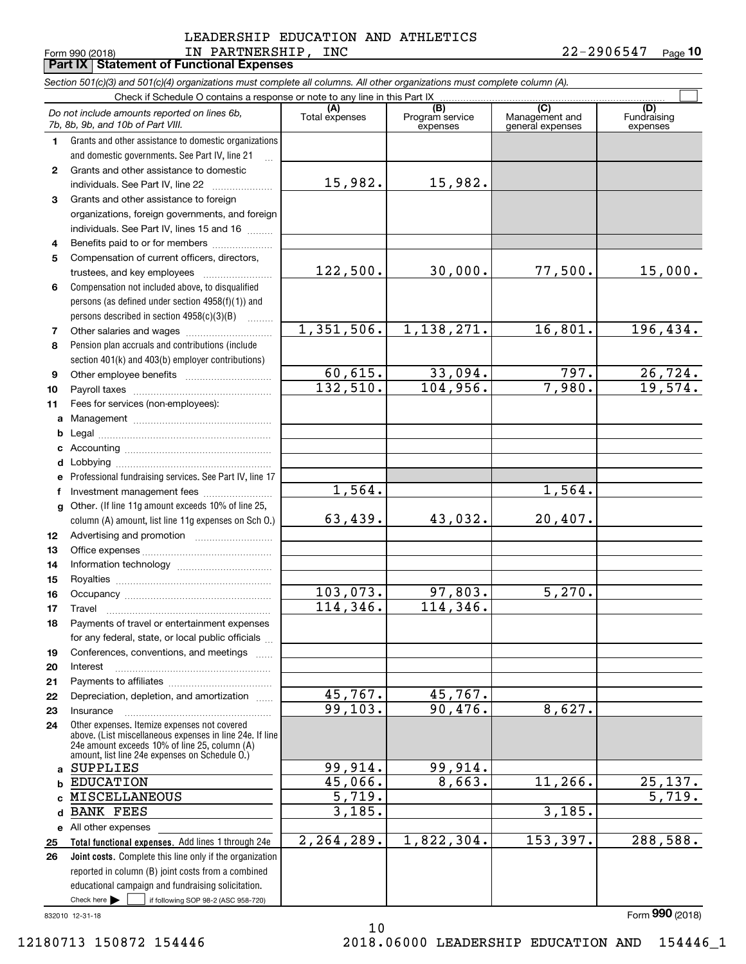#### Form 990 (2018) Page **Part IX Statement of Functional Expenses** IN PARTNERSHIP, INC 22-2906547 LEADERSHIP EDUCATION AND ATHLETICS

**10**

|                | Section 501(c)(3) and 501(c)(4) organizations must complete all columns. All other organizations must complete column (A). |                |                                   |                                    |                         |
|----------------|----------------------------------------------------------------------------------------------------------------------------|----------------|-----------------------------------|------------------------------------|-------------------------|
|                | Check if Schedule O contains a response or note to any line in this Part IX                                                | (A)            | (B)                               | (C)                                | (D)                     |
|                | Do not include amounts reported on lines 6b,<br>7b, 8b, 9b, and 10b of Part VIII.                                          | Total expenses | Program service<br>expenses       | Management and<br>general expenses | Fundraising<br>expenses |
| 1.             | Grants and other assistance to domestic organizations                                                                      |                |                                   |                                    |                         |
|                | and domestic governments. See Part IV, line 21                                                                             |                |                                   |                                    |                         |
| $\mathbf{2}$   | Grants and other assistance to domestic                                                                                    |                |                                   |                                    |                         |
|                | individuals. See Part IV, line 22                                                                                          | 15,982.        | 15,982.                           |                                    |                         |
| 3              | Grants and other assistance to foreign                                                                                     |                |                                   |                                    |                         |
|                | organizations, foreign governments, and foreign                                                                            |                |                                   |                                    |                         |
|                | individuals. See Part IV, lines 15 and 16                                                                                  |                |                                   |                                    |                         |
| 4              | Benefits paid to or for members                                                                                            |                |                                   |                                    |                         |
| 5              | Compensation of current officers, directors,                                                                               |                |                                   |                                    |                         |
|                | trustees, and key employees                                                                                                | 122,500.       | 30,000.                           | 77,500.                            | 15,000.                 |
| 6              | Compensation not included above, to disqualified                                                                           |                |                                   |                                    |                         |
|                | persons (as defined under section 4958(f)(1)) and                                                                          |                |                                   |                                    |                         |
|                | persons described in section 4958(c)(3)(B)<br>1.1.1.1.1.1.1                                                                |                |                                   |                                    |                         |
| $\overline{7}$ |                                                                                                                            | 1,351,506.     | 1,138,271.                        | 16,801.                            | 196,434.                |
| 8              | Pension plan accruals and contributions (include                                                                           |                |                                   |                                    |                         |
|                | section 401(k) and 403(b) employer contributions)                                                                          |                |                                   |                                    |                         |
| 9              |                                                                                                                            | 60,615.        | 33,094.                           | 797.                               | 26,724.                 |
| 10             |                                                                                                                            | 132,510.       | 104,956.                          | 7,980.                             | 19,574.                 |
| 11             | Fees for services (non-employees):                                                                                         |                |                                   |                                    |                         |
| a              |                                                                                                                            |                |                                   |                                    |                         |
| b              |                                                                                                                            |                |                                   |                                    |                         |
| c              |                                                                                                                            |                |                                   |                                    |                         |
| d              |                                                                                                                            |                |                                   |                                    |                         |
| е              | Professional fundraising services. See Part IV, line 17                                                                    |                |                                   |                                    |                         |
| f              | Investment management fees                                                                                                 | 1,564.         |                                   | 1,564.                             |                         |
| g              | Other. (If line 11g amount exceeds 10% of line 25,                                                                         |                |                                   |                                    |                         |
|                | column (A) amount, list line 11g expenses on Sch 0.)                                                                       | 63,439.        | 43,032.                           | 20,407.                            |                         |
| 12             |                                                                                                                            |                |                                   |                                    |                         |
| 13             |                                                                                                                            |                |                                   |                                    |                         |
| 14             |                                                                                                                            |                |                                   |                                    |                         |
| 15             |                                                                                                                            | 103,073.       |                                   | 5,270.                             |                         |
| 16             |                                                                                                                            | 114,346.       | 97,803.<br>$\overline{114,346}$ . |                                    |                         |
| 17             |                                                                                                                            |                |                                   |                                    |                         |
| 18             | Payments of travel or entertainment expenses                                                                               |                |                                   |                                    |                         |
|                | for any federal, state, or local public officials                                                                          |                |                                   |                                    |                         |
| 19             | Conferences, conventions, and meetings                                                                                     |                |                                   |                                    |                         |
| 20<br>21       | Interest                                                                                                                   |                |                                   |                                    |                         |
| 22             | Depreciation, depletion, and amortization                                                                                  | 45,767.        | 45,767.                           |                                    |                         |
| 23             | Insurance                                                                                                                  | 99,103.        | 90,476.                           | 8,627.                             |                         |
| 24             | Other expenses. Itemize expenses not covered                                                                               |                |                                   |                                    |                         |
|                | above. (List miscellaneous expenses in line 24e. If line                                                                   |                |                                   |                                    |                         |
|                | 24e amount exceeds 10% of line 25, column (A)<br>amount, list line 24e expenses on Schedule O.)                            |                |                                   |                                    |                         |
| a              | SUPPLIES                                                                                                                   | 99,914.        | 99,914.                           |                                    |                         |
| b              | <b>EDUCATION</b>                                                                                                           | 45,066.        | 8,663.                            | 11,266.                            | 25,137.                 |
|                | <b>MISCELLANEOUS</b>                                                                                                       | 5,719.         |                                   |                                    | 5,719.                  |
| d              | <b>BANK FEES</b>                                                                                                           | 3,185.         |                                   | 3,185.                             |                         |
| е              | All other expenses                                                                                                         |                |                                   |                                    |                         |
| 25             | Total functional expenses. Add lines 1 through 24e                                                                         | 2,264,289.     | 1,822,304.                        | 153,397.                           | 288,588.                |
| 26             | Joint costs. Complete this line only if the organization                                                                   |                |                                   |                                    |                         |
|                | reported in column (B) joint costs from a combined                                                                         |                |                                   |                                    |                         |
|                | educational campaign and fundraising solicitation.                                                                         |                |                                   |                                    |                         |
|                | Check here $\blacktriangleright$<br>if following SOP 98-2 (ASC 958-720)                                                    |                |                                   |                                    |                         |

10

832010 12-31-18

Form (2018) **990**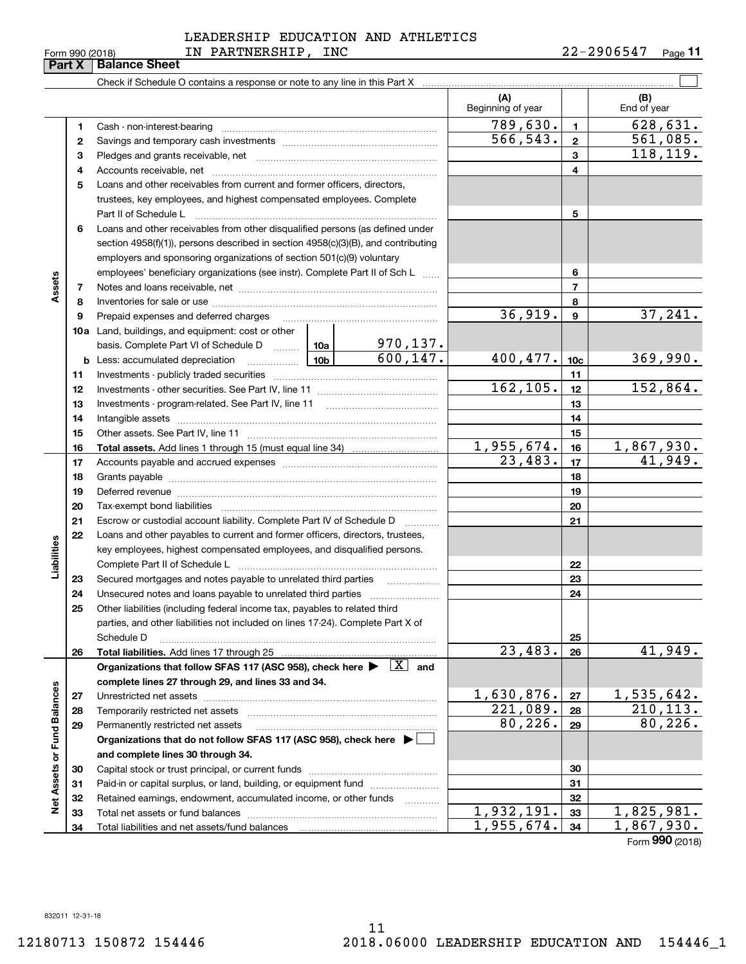### 832011 12-31-18

**Part X** 

| 12180713 150872 154446 |  |
|------------------------|--|
|                        |  |

# LEADERSHIP EDUCATION AND ATHLETICS

| Form 990 (2018) | IN PARTNERSHIP,<br>INC                                                     |                         | 22-2906547<br>Page 11 |
|-----------------|----------------------------------------------------------------------------|-------------------------|-----------------------|
| <b>Part X</b>   | <b>Balance Sheet</b>                                                       |                         |                       |
|                 | Check if Schedule O contains a response or note to any line in this Part X |                         |                       |
|                 |                                                                            | (A<br>Beginning of year | (B)<br>End of year    |
|                 | Cash - non-interest-bearing                                                | 789,630.                | 628,631.              |

|                             |    |                                                                                                                                     |                             | v.<br>Beginning of year   |                         | יש<br>End of year             |
|-----------------------------|----|-------------------------------------------------------------------------------------------------------------------------------------|-----------------------------|---------------------------|-------------------------|-------------------------------|
|                             | 1  | Cash - non-interest-bearing                                                                                                         |                             | 789,630.                  | $\mathbf{1}$            | 628,631.                      |
|                             | 2  |                                                                                                                                     |                             | 566,543.                  | $\mathbf{2}$            | 561,085.                      |
|                             | з  |                                                                                                                                     |                             |                           | 3                       | 118, 119.                     |
|                             | 4  | Accounts receivable, net                                                                                                            |                             |                           | 4                       |                               |
|                             | 5  | Loans and other receivables from current and former officers, directors,                                                            |                             |                           |                         |                               |
|                             |    | trustees, key employees, and highest compensated employees. Complete                                                                |                             |                           |                         |                               |
|                             |    | Part II of Schedule L                                                                                                               |                             |                           | 5                       |                               |
|                             | 6  | Loans and other receivables from other disqualified persons (as defined under                                                       |                             |                           |                         |                               |
|                             |    | section $4958(f)(1)$ , persons described in section $4958(c)(3)(B)$ , and contributing                                              |                             |                           |                         |                               |
|                             |    | employers and sponsoring organizations of section 501(c)(9) voluntary                                                               |                             |                           |                         |                               |
|                             |    | employees' beneficiary organizations (see instr). Complete Part II of Sch L                                                         |                             |                           | 6                       |                               |
| Assets                      | 7  |                                                                                                                                     |                             |                           | $\overline{\mathbf{r}}$ |                               |
|                             | 8  |                                                                                                                                     |                             |                           | 8                       |                               |
|                             | 9  | Prepaid expenses and deferred charges                                                                                               |                             | 36,919.                   | $\boldsymbol{9}$        | 37,241.                       |
|                             |    | 10a Land, buildings, and equipment: cost or other                                                                                   |                             |                           |                         |                               |
|                             |    | basis. Complete Part VI of Schedule D  10a                                                                                          |                             |                           |                         |                               |
|                             |    | $\begin{array}{c c c c c} \hline & & & 10b & \\ \hline \end{array}$<br><b>b</b> Less: accumulated depreciation                      | $\frac{970,137.}{600,147.}$ | 400,477.                  | 10 <sub>c</sub>         | 369,990.                      |
|                             | 11 |                                                                                                                                     |                             |                           | 11                      |                               |
|                             | 12 |                                                                                                                                     |                             | 162, 105.                 | 12                      | 152,864.                      |
|                             | 13 |                                                                                                                                     |                             |                           | 13                      |                               |
|                             | 14 |                                                                                                                                     |                             |                           | 14                      |                               |
|                             | 15 |                                                                                                                                     |                             |                           | 15                      |                               |
|                             | 16 |                                                                                                                                     |                             | 1,955,674.                | 16                      | 1,867,930.                    |
|                             | 17 |                                                                                                                                     |                             | $\overline{23,483}$ .     | 17                      | 41,949.                       |
|                             | 18 |                                                                                                                                     |                             | 18                        |                         |                               |
|                             | 19 | Deferred revenue manual contracts and contracts are all the manual contracts and contracts are contracted and c                     |                             | 19                        |                         |                               |
|                             | 20 |                                                                                                                                     |                             |                           | 20                      |                               |
|                             | 21 | Escrow or custodial account liability. Complete Part IV of Schedule D                                                               | .                           |                           | 21                      |                               |
|                             | 22 | Loans and other payables to current and former officers, directors, trustees,                                                       |                             |                           |                         |                               |
| Liabilities                 |    | key employees, highest compensated employees, and disqualified persons.                                                             |                             |                           |                         |                               |
|                             |    | Complete Part II of Schedule L                                                                                                      |                             |                           | 22                      |                               |
|                             | 23 | Secured mortgages and notes payable to unrelated third parties                                                                      |                             |                           | 23                      |                               |
|                             | 24 |                                                                                                                                     |                             |                           | 24                      |                               |
|                             | 25 | Other liabilities (including federal income tax, payables to related third                                                          |                             |                           |                         |                               |
|                             |    | parties, and other liabilities not included on lines 17-24). Complete Part X of                                                     |                             |                           |                         |                               |
|                             |    | Schedule D                                                                                                                          |                             |                           | 25                      |                               |
|                             | 26 | Total liabilities. Add lines 17 through 25                                                                                          |                             | 23,483.                   | 26                      | 41,949.                       |
|                             |    | Organizations that follow SFAS 117 (ASC 958), check here $\blacktriangleright \begin{array}{ c } \hline X & \text{and} \end{array}$ |                             |                           |                         |                               |
|                             |    | complete lines 27 through 29, and lines 33 and 34.                                                                                  |                             |                           |                         |                               |
|                             | 27 | Unrestricted net assets                                                                                                             |                             | 1,630,876.                | 27                      | $\frac{1,535,642.}{210,113.}$ |
|                             | 28 | Temporarily restricted net assets                                                                                                   |                             | $\overline{221,089}$ .    | 28                      |                               |
|                             | 29 | Permanently restricted net assets                                                                                                   |                             | 80, 226.                  | 29                      | 80, 226.                      |
| Net Assets or Fund Balances |    | Organizations that do not follow SFAS 117 (ASC 958), check here ▶ [                                                                 |                             |                           |                         |                               |
|                             |    | and complete lines 30 through 34.                                                                                                   |                             |                           |                         |                               |
|                             | 30 |                                                                                                                                     |                             |                           | 30                      |                               |
|                             | 31 | Paid-in or capital surplus, or land, building, or equipment fund                                                                    |                             |                           | 31                      |                               |
|                             | 32 | Retained earnings, endowment, accumulated income, or other funds                                                                    |                             |                           | 32                      |                               |
|                             | 33 | Total net assets or fund balances                                                                                                   |                             | $\overline{1,932}$ , 191. | 33                      | 1,825,981.                    |
|                             | 34 |                                                                                                                                     | 1,955,674.                  | 34                        | 1,867,930.              |                               |

Form (2018) **990**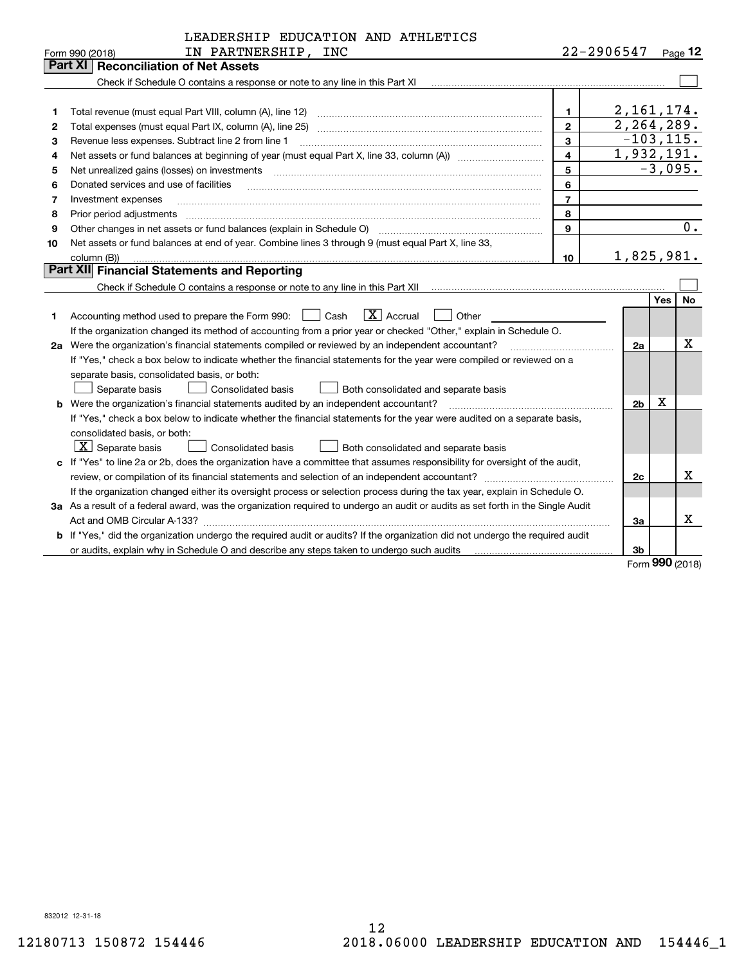| 22-2906547<br>IN PARTNERSHIP, INC<br>Page 12<br>Form 990 (2018)<br>Part XI I<br><b>Reconciliation of Net Assets</b><br>Check if Schedule O contains a response or note to any line in this Part XI<br>2, 161, 174.<br>1.<br>1<br>$\overline{2,264,289}$ .<br>$\overline{2}$<br>Total expenses (must equal Part IX, column (A), line 25)<br>2<br>$-103, 115.$<br>3<br>Revenue less expenses. Subtract line 2 from line 1<br>3<br>1,932,191.<br>$\overline{\mathbf{4}}$<br>4<br>$-3,095.$<br>5<br>Net unrealized gains (losses) on investments<br>5<br>$\begin{minipage}{0.5\textwidth} \begin{tabular}{ l l l } \hline \multicolumn{1}{ l l l } \hline \multicolumn{1}{ l l } \multicolumn{1}{ l l } \multicolumn{1}{ l } \multicolumn{1}{ l } \multicolumn{1}{ l } \multicolumn{1}{ l } \multicolumn{1}{ l } \multicolumn{1}{ l } \multicolumn{1}{ l } \multicolumn{1}{ l } \multicolumn{1}{ l } \multicolumn{1}{ l } \multicolumn{1}{ l } \multicolumn{1}{ l } \multicolumn{1}{ l } \mult$<br>6<br>Donated services and use of facilities<br>6<br>$\overline{7}$<br>7<br>Investment expenses<br>8<br>8<br>Prior period adjustments<br>0.<br>Other changes in net assets or fund balances (explain in Schedule O)<br>9<br>9<br>Net assets or fund balances at end of year. Combine lines 3 through 9 (must equal Part X, line 33,<br>10<br>1,825,981.<br>10<br>column (B))<br>Part XII Financial Statements and Reporting<br>Check if Schedule O contains a response or note to any line in this Part XII must consumed the container of<br>Yes<br>No<br>$\boxed{\mathbf{X}}$ Accrual<br>Accounting method used to prepare the Form 990: <u>II</u> Cash<br>Other<br>1<br>If the organization changed its method of accounting from a prior year or checked "Other," explain in Schedule O.<br>x<br>2a Were the organization's financial statements compiled or reviewed by an independent accountant?<br>2a<br>If "Yes," check a box below to indicate whether the financial statements for the year were compiled or reviewed on a<br>separate basis, consolidated basis, or both:<br>Separate basis<br><b>Consolidated basis</b><br>Both consolidated and separate basis<br>x<br><b>b</b> Were the organization's financial statements audited by an independent accountant?<br>2 <sub>b</sub><br>If "Yes," check a box below to indicate whether the financial statements for the year were audited on a separate basis,<br>consolidated basis, or both:<br>$\vert X \vert$ Separate basis<br>Consolidated basis<br>Both consolidated and separate basis<br>c If "Yes" to line 2a or 2b, does the organization have a committee that assumes responsibility for oversight of the audit,<br>x<br>2c<br>If the organization changed either its oversight process or selection process during the tax year, explain in Schedule O.<br>3a As a result of a federal award, was the organization required to undergo an audit or audits as set forth in the Single Audit<br>x<br>За<br>b If "Yes," did the organization undergo the required audit or audits? If the organization did not undergo the required audit<br>3b<br>or audits, explain why in Schedule O and describe any steps taken to undergo such audits | LEADERSHIP EDUCATION AND ATHLETICS |  |  |
|---------------------------------------------------------------------------------------------------------------------------------------------------------------------------------------------------------------------------------------------------------------------------------------------------------------------------------------------------------------------------------------------------------------------------------------------------------------------------------------------------------------------------------------------------------------------------------------------------------------------------------------------------------------------------------------------------------------------------------------------------------------------------------------------------------------------------------------------------------------------------------------------------------------------------------------------------------------------------------------------------------------------------------------------------------------------------------------------------------------------------------------------------------------------------------------------------------------------------------------------------------------------------------------------------------------------------------------------------------------------------------------------------------------------------------------------------------------------------------------------------------------------------------------------------------------------------------------------------------------------------------------------------------------------------------------------------------------------------------------------------------------------------------------------------------------------------------------------------------------------------------------------------------------------------------------------------------------------------------------------------------------------------------------------------------------------------------------------------------------------------------------------------------------------------------------------------------------------------------------------------------------------------------------------------------------------------------------------------------------------------------------------------------------------------------------------------------------------------------------------------------------------------------------------------------------------------------------------------------------------------------------------------------------------------------------------------------------------------------------------------------------------------------------------------------------------------------------------------------------------------------------------------------------------------------------------------------------------------------------------------------------------------------------------------------------------------------------------------------------------------------------------------------------------------------------------------------------------|------------------------------------|--|--|
|                                                                                                                                                                                                                                                                                                                                                                                                                                                                                                                                                                                                                                                                                                                                                                                                                                                                                                                                                                                                                                                                                                                                                                                                                                                                                                                                                                                                                                                                                                                                                                                                                                                                                                                                                                                                                                                                                                                                                                                                                                                                                                                                                                                                                                                                                                                                                                                                                                                                                                                                                                                                                                                                                                                                                                                                                                                                                                                                                                                                                                                                                                                                                                                                                     |                                    |  |  |
|                                                                                                                                                                                                                                                                                                                                                                                                                                                                                                                                                                                                                                                                                                                                                                                                                                                                                                                                                                                                                                                                                                                                                                                                                                                                                                                                                                                                                                                                                                                                                                                                                                                                                                                                                                                                                                                                                                                                                                                                                                                                                                                                                                                                                                                                                                                                                                                                                                                                                                                                                                                                                                                                                                                                                                                                                                                                                                                                                                                                                                                                                                                                                                                                                     |                                    |  |  |
|                                                                                                                                                                                                                                                                                                                                                                                                                                                                                                                                                                                                                                                                                                                                                                                                                                                                                                                                                                                                                                                                                                                                                                                                                                                                                                                                                                                                                                                                                                                                                                                                                                                                                                                                                                                                                                                                                                                                                                                                                                                                                                                                                                                                                                                                                                                                                                                                                                                                                                                                                                                                                                                                                                                                                                                                                                                                                                                                                                                                                                                                                                                                                                                                                     |                                    |  |  |
|                                                                                                                                                                                                                                                                                                                                                                                                                                                                                                                                                                                                                                                                                                                                                                                                                                                                                                                                                                                                                                                                                                                                                                                                                                                                                                                                                                                                                                                                                                                                                                                                                                                                                                                                                                                                                                                                                                                                                                                                                                                                                                                                                                                                                                                                                                                                                                                                                                                                                                                                                                                                                                                                                                                                                                                                                                                                                                                                                                                                                                                                                                                                                                                                                     |                                    |  |  |
|                                                                                                                                                                                                                                                                                                                                                                                                                                                                                                                                                                                                                                                                                                                                                                                                                                                                                                                                                                                                                                                                                                                                                                                                                                                                                                                                                                                                                                                                                                                                                                                                                                                                                                                                                                                                                                                                                                                                                                                                                                                                                                                                                                                                                                                                                                                                                                                                                                                                                                                                                                                                                                                                                                                                                                                                                                                                                                                                                                                                                                                                                                                                                                                                                     |                                    |  |  |
|                                                                                                                                                                                                                                                                                                                                                                                                                                                                                                                                                                                                                                                                                                                                                                                                                                                                                                                                                                                                                                                                                                                                                                                                                                                                                                                                                                                                                                                                                                                                                                                                                                                                                                                                                                                                                                                                                                                                                                                                                                                                                                                                                                                                                                                                                                                                                                                                                                                                                                                                                                                                                                                                                                                                                                                                                                                                                                                                                                                                                                                                                                                                                                                                                     |                                    |  |  |
|                                                                                                                                                                                                                                                                                                                                                                                                                                                                                                                                                                                                                                                                                                                                                                                                                                                                                                                                                                                                                                                                                                                                                                                                                                                                                                                                                                                                                                                                                                                                                                                                                                                                                                                                                                                                                                                                                                                                                                                                                                                                                                                                                                                                                                                                                                                                                                                                                                                                                                                                                                                                                                                                                                                                                                                                                                                                                                                                                                                                                                                                                                                                                                                                                     |                                    |  |  |
|                                                                                                                                                                                                                                                                                                                                                                                                                                                                                                                                                                                                                                                                                                                                                                                                                                                                                                                                                                                                                                                                                                                                                                                                                                                                                                                                                                                                                                                                                                                                                                                                                                                                                                                                                                                                                                                                                                                                                                                                                                                                                                                                                                                                                                                                                                                                                                                                                                                                                                                                                                                                                                                                                                                                                                                                                                                                                                                                                                                                                                                                                                                                                                                                                     |                                    |  |  |
|                                                                                                                                                                                                                                                                                                                                                                                                                                                                                                                                                                                                                                                                                                                                                                                                                                                                                                                                                                                                                                                                                                                                                                                                                                                                                                                                                                                                                                                                                                                                                                                                                                                                                                                                                                                                                                                                                                                                                                                                                                                                                                                                                                                                                                                                                                                                                                                                                                                                                                                                                                                                                                                                                                                                                                                                                                                                                                                                                                                                                                                                                                                                                                                                                     |                                    |  |  |
|                                                                                                                                                                                                                                                                                                                                                                                                                                                                                                                                                                                                                                                                                                                                                                                                                                                                                                                                                                                                                                                                                                                                                                                                                                                                                                                                                                                                                                                                                                                                                                                                                                                                                                                                                                                                                                                                                                                                                                                                                                                                                                                                                                                                                                                                                                                                                                                                                                                                                                                                                                                                                                                                                                                                                                                                                                                                                                                                                                                                                                                                                                                                                                                                                     |                                    |  |  |
|                                                                                                                                                                                                                                                                                                                                                                                                                                                                                                                                                                                                                                                                                                                                                                                                                                                                                                                                                                                                                                                                                                                                                                                                                                                                                                                                                                                                                                                                                                                                                                                                                                                                                                                                                                                                                                                                                                                                                                                                                                                                                                                                                                                                                                                                                                                                                                                                                                                                                                                                                                                                                                                                                                                                                                                                                                                                                                                                                                                                                                                                                                                                                                                                                     |                                    |  |  |
|                                                                                                                                                                                                                                                                                                                                                                                                                                                                                                                                                                                                                                                                                                                                                                                                                                                                                                                                                                                                                                                                                                                                                                                                                                                                                                                                                                                                                                                                                                                                                                                                                                                                                                                                                                                                                                                                                                                                                                                                                                                                                                                                                                                                                                                                                                                                                                                                                                                                                                                                                                                                                                                                                                                                                                                                                                                                                                                                                                                                                                                                                                                                                                                                                     |                                    |  |  |
|                                                                                                                                                                                                                                                                                                                                                                                                                                                                                                                                                                                                                                                                                                                                                                                                                                                                                                                                                                                                                                                                                                                                                                                                                                                                                                                                                                                                                                                                                                                                                                                                                                                                                                                                                                                                                                                                                                                                                                                                                                                                                                                                                                                                                                                                                                                                                                                                                                                                                                                                                                                                                                                                                                                                                                                                                                                                                                                                                                                                                                                                                                                                                                                                                     |                                    |  |  |
|                                                                                                                                                                                                                                                                                                                                                                                                                                                                                                                                                                                                                                                                                                                                                                                                                                                                                                                                                                                                                                                                                                                                                                                                                                                                                                                                                                                                                                                                                                                                                                                                                                                                                                                                                                                                                                                                                                                                                                                                                                                                                                                                                                                                                                                                                                                                                                                                                                                                                                                                                                                                                                                                                                                                                                                                                                                                                                                                                                                                                                                                                                                                                                                                                     |                                    |  |  |
|                                                                                                                                                                                                                                                                                                                                                                                                                                                                                                                                                                                                                                                                                                                                                                                                                                                                                                                                                                                                                                                                                                                                                                                                                                                                                                                                                                                                                                                                                                                                                                                                                                                                                                                                                                                                                                                                                                                                                                                                                                                                                                                                                                                                                                                                                                                                                                                                                                                                                                                                                                                                                                                                                                                                                                                                                                                                                                                                                                                                                                                                                                                                                                                                                     |                                    |  |  |
|                                                                                                                                                                                                                                                                                                                                                                                                                                                                                                                                                                                                                                                                                                                                                                                                                                                                                                                                                                                                                                                                                                                                                                                                                                                                                                                                                                                                                                                                                                                                                                                                                                                                                                                                                                                                                                                                                                                                                                                                                                                                                                                                                                                                                                                                                                                                                                                                                                                                                                                                                                                                                                                                                                                                                                                                                                                                                                                                                                                                                                                                                                                                                                                                                     |                                    |  |  |
|                                                                                                                                                                                                                                                                                                                                                                                                                                                                                                                                                                                                                                                                                                                                                                                                                                                                                                                                                                                                                                                                                                                                                                                                                                                                                                                                                                                                                                                                                                                                                                                                                                                                                                                                                                                                                                                                                                                                                                                                                                                                                                                                                                                                                                                                                                                                                                                                                                                                                                                                                                                                                                                                                                                                                                                                                                                                                                                                                                                                                                                                                                                                                                                                                     |                                    |  |  |
|                                                                                                                                                                                                                                                                                                                                                                                                                                                                                                                                                                                                                                                                                                                                                                                                                                                                                                                                                                                                                                                                                                                                                                                                                                                                                                                                                                                                                                                                                                                                                                                                                                                                                                                                                                                                                                                                                                                                                                                                                                                                                                                                                                                                                                                                                                                                                                                                                                                                                                                                                                                                                                                                                                                                                                                                                                                                                                                                                                                                                                                                                                                                                                                                                     |                                    |  |  |
|                                                                                                                                                                                                                                                                                                                                                                                                                                                                                                                                                                                                                                                                                                                                                                                                                                                                                                                                                                                                                                                                                                                                                                                                                                                                                                                                                                                                                                                                                                                                                                                                                                                                                                                                                                                                                                                                                                                                                                                                                                                                                                                                                                                                                                                                                                                                                                                                                                                                                                                                                                                                                                                                                                                                                                                                                                                                                                                                                                                                                                                                                                                                                                                                                     |                                    |  |  |
|                                                                                                                                                                                                                                                                                                                                                                                                                                                                                                                                                                                                                                                                                                                                                                                                                                                                                                                                                                                                                                                                                                                                                                                                                                                                                                                                                                                                                                                                                                                                                                                                                                                                                                                                                                                                                                                                                                                                                                                                                                                                                                                                                                                                                                                                                                                                                                                                                                                                                                                                                                                                                                                                                                                                                                                                                                                                                                                                                                                                                                                                                                                                                                                                                     |                                    |  |  |
|                                                                                                                                                                                                                                                                                                                                                                                                                                                                                                                                                                                                                                                                                                                                                                                                                                                                                                                                                                                                                                                                                                                                                                                                                                                                                                                                                                                                                                                                                                                                                                                                                                                                                                                                                                                                                                                                                                                                                                                                                                                                                                                                                                                                                                                                                                                                                                                                                                                                                                                                                                                                                                                                                                                                                                                                                                                                                                                                                                                                                                                                                                                                                                                                                     |                                    |  |  |
|                                                                                                                                                                                                                                                                                                                                                                                                                                                                                                                                                                                                                                                                                                                                                                                                                                                                                                                                                                                                                                                                                                                                                                                                                                                                                                                                                                                                                                                                                                                                                                                                                                                                                                                                                                                                                                                                                                                                                                                                                                                                                                                                                                                                                                                                                                                                                                                                                                                                                                                                                                                                                                                                                                                                                                                                                                                                                                                                                                                                                                                                                                                                                                                                                     |                                    |  |  |
|                                                                                                                                                                                                                                                                                                                                                                                                                                                                                                                                                                                                                                                                                                                                                                                                                                                                                                                                                                                                                                                                                                                                                                                                                                                                                                                                                                                                                                                                                                                                                                                                                                                                                                                                                                                                                                                                                                                                                                                                                                                                                                                                                                                                                                                                                                                                                                                                                                                                                                                                                                                                                                                                                                                                                                                                                                                                                                                                                                                                                                                                                                                                                                                                                     |                                    |  |  |
|                                                                                                                                                                                                                                                                                                                                                                                                                                                                                                                                                                                                                                                                                                                                                                                                                                                                                                                                                                                                                                                                                                                                                                                                                                                                                                                                                                                                                                                                                                                                                                                                                                                                                                                                                                                                                                                                                                                                                                                                                                                                                                                                                                                                                                                                                                                                                                                                                                                                                                                                                                                                                                                                                                                                                                                                                                                                                                                                                                                                                                                                                                                                                                                                                     |                                    |  |  |
|                                                                                                                                                                                                                                                                                                                                                                                                                                                                                                                                                                                                                                                                                                                                                                                                                                                                                                                                                                                                                                                                                                                                                                                                                                                                                                                                                                                                                                                                                                                                                                                                                                                                                                                                                                                                                                                                                                                                                                                                                                                                                                                                                                                                                                                                                                                                                                                                                                                                                                                                                                                                                                                                                                                                                                                                                                                                                                                                                                                                                                                                                                                                                                                                                     |                                    |  |  |
|                                                                                                                                                                                                                                                                                                                                                                                                                                                                                                                                                                                                                                                                                                                                                                                                                                                                                                                                                                                                                                                                                                                                                                                                                                                                                                                                                                                                                                                                                                                                                                                                                                                                                                                                                                                                                                                                                                                                                                                                                                                                                                                                                                                                                                                                                                                                                                                                                                                                                                                                                                                                                                                                                                                                                                                                                                                                                                                                                                                                                                                                                                                                                                                                                     |                                    |  |  |
|                                                                                                                                                                                                                                                                                                                                                                                                                                                                                                                                                                                                                                                                                                                                                                                                                                                                                                                                                                                                                                                                                                                                                                                                                                                                                                                                                                                                                                                                                                                                                                                                                                                                                                                                                                                                                                                                                                                                                                                                                                                                                                                                                                                                                                                                                                                                                                                                                                                                                                                                                                                                                                                                                                                                                                                                                                                                                                                                                                                                                                                                                                                                                                                                                     |                                    |  |  |
|                                                                                                                                                                                                                                                                                                                                                                                                                                                                                                                                                                                                                                                                                                                                                                                                                                                                                                                                                                                                                                                                                                                                                                                                                                                                                                                                                                                                                                                                                                                                                                                                                                                                                                                                                                                                                                                                                                                                                                                                                                                                                                                                                                                                                                                                                                                                                                                                                                                                                                                                                                                                                                                                                                                                                                                                                                                                                                                                                                                                                                                                                                                                                                                                                     |                                    |  |  |
|                                                                                                                                                                                                                                                                                                                                                                                                                                                                                                                                                                                                                                                                                                                                                                                                                                                                                                                                                                                                                                                                                                                                                                                                                                                                                                                                                                                                                                                                                                                                                                                                                                                                                                                                                                                                                                                                                                                                                                                                                                                                                                                                                                                                                                                                                                                                                                                                                                                                                                                                                                                                                                                                                                                                                                                                                                                                                                                                                                                                                                                                                                                                                                                                                     |                                    |  |  |
|                                                                                                                                                                                                                                                                                                                                                                                                                                                                                                                                                                                                                                                                                                                                                                                                                                                                                                                                                                                                                                                                                                                                                                                                                                                                                                                                                                                                                                                                                                                                                                                                                                                                                                                                                                                                                                                                                                                                                                                                                                                                                                                                                                                                                                                                                                                                                                                                                                                                                                                                                                                                                                                                                                                                                                                                                                                                                                                                                                                                                                                                                                                                                                                                                     |                                    |  |  |
|                                                                                                                                                                                                                                                                                                                                                                                                                                                                                                                                                                                                                                                                                                                                                                                                                                                                                                                                                                                                                                                                                                                                                                                                                                                                                                                                                                                                                                                                                                                                                                                                                                                                                                                                                                                                                                                                                                                                                                                                                                                                                                                                                                                                                                                                                                                                                                                                                                                                                                                                                                                                                                                                                                                                                                                                                                                                                                                                                                                                                                                                                                                                                                                                                     |                                    |  |  |
|                                                                                                                                                                                                                                                                                                                                                                                                                                                                                                                                                                                                                                                                                                                                                                                                                                                                                                                                                                                                                                                                                                                                                                                                                                                                                                                                                                                                                                                                                                                                                                                                                                                                                                                                                                                                                                                                                                                                                                                                                                                                                                                                                                                                                                                                                                                                                                                                                                                                                                                                                                                                                                                                                                                                                                                                                                                                                                                                                                                                                                                                                                                                                                                                                     |                                    |  |  |
|                                                                                                                                                                                                                                                                                                                                                                                                                                                                                                                                                                                                                                                                                                                                                                                                                                                                                                                                                                                                                                                                                                                                                                                                                                                                                                                                                                                                                                                                                                                                                                                                                                                                                                                                                                                                                                                                                                                                                                                                                                                                                                                                                                                                                                                                                                                                                                                                                                                                                                                                                                                                                                                                                                                                                                                                                                                                                                                                                                                                                                                                                                                                                                                                                     |                                    |  |  |
|                                                                                                                                                                                                                                                                                                                                                                                                                                                                                                                                                                                                                                                                                                                                                                                                                                                                                                                                                                                                                                                                                                                                                                                                                                                                                                                                                                                                                                                                                                                                                                                                                                                                                                                                                                                                                                                                                                                                                                                                                                                                                                                                                                                                                                                                                                                                                                                                                                                                                                                                                                                                                                                                                                                                                                                                                                                                                                                                                                                                                                                                                                                                                                                                                     |                                    |  |  |
|                                                                                                                                                                                                                                                                                                                                                                                                                                                                                                                                                                                                                                                                                                                                                                                                                                                                                                                                                                                                                                                                                                                                                                                                                                                                                                                                                                                                                                                                                                                                                                                                                                                                                                                                                                                                                                                                                                                                                                                                                                                                                                                                                                                                                                                                                                                                                                                                                                                                                                                                                                                                                                                                                                                                                                                                                                                                                                                                                                                                                                                                                                                                                                                                                     |                                    |  |  |

Form (2018) **990**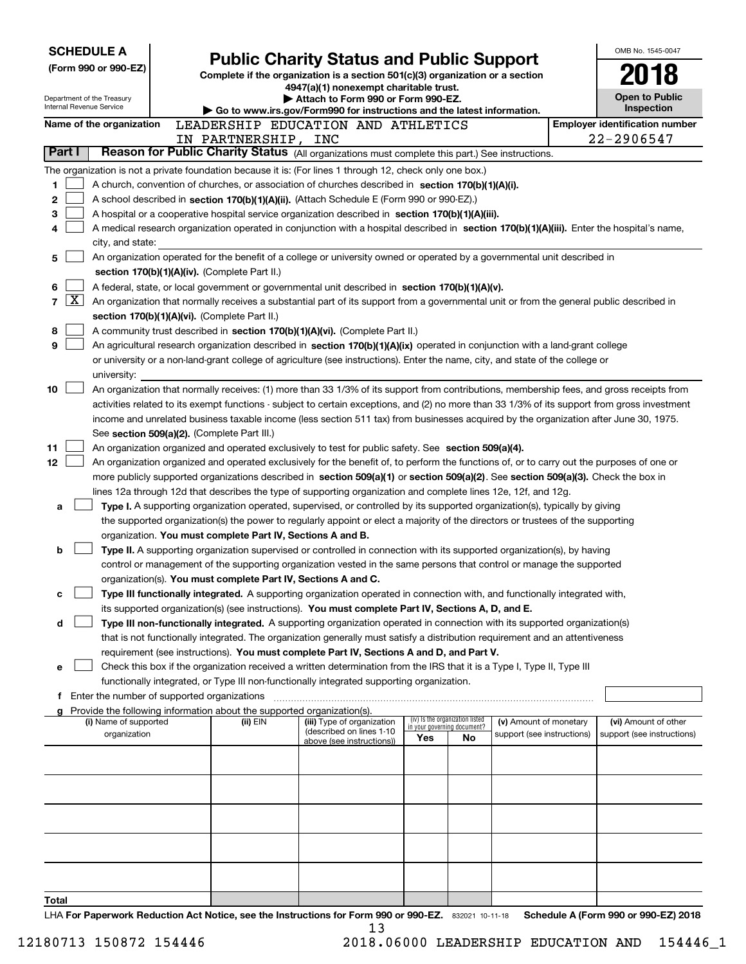| <b>SCHEDULE A</b> |              |                                               |  |                                                                                    |                                                                                                                                                                                                                                                                                            |                                    |                                 |                            | OMB No. 1545-0047                     |
|-------------------|--------------|-----------------------------------------------|--|------------------------------------------------------------------------------------|--------------------------------------------------------------------------------------------------------------------------------------------------------------------------------------------------------------------------------------------------------------------------------------------|------------------------------------|---------------------------------|----------------------------|---------------------------------------|
|                   |              | (Form 990 or 990-EZ)                          |  |                                                                                    | <b>Public Charity Status and Public Support</b>                                                                                                                                                                                                                                            |                                    |                                 |                            |                                       |
|                   |              |                                               |  |                                                                                    | Complete if the organization is a section 501(c)(3) organization or a section<br>4947(a)(1) nonexempt charitable trust.                                                                                                                                                                    |                                    |                                 |                            |                                       |
|                   |              | Department of the Treasury                    |  |                                                                                    | Attach to Form 990 or Form 990-EZ.                                                                                                                                                                                                                                                         |                                    |                                 |                            | <b>Open to Public</b>                 |
|                   |              | Internal Revenue Service                      |  |                                                                                    | Go to www.irs.gov/Form990 for instructions and the latest information.                                                                                                                                                                                                                     |                                    |                                 |                            | Inspection                            |
|                   |              | Name of the organization                      |  |                                                                                    | LEADERSHIP EDUCATION AND ATHLETICS                                                                                                                                                                                                                                                         |                                    |                                 |                            | <b>Employer identification number</b> |
|                   | Part I       |                                               |  | IN PARTNERSHIP, INC                                                                | Reason for Public Charity Status (All organizations must complete this part.) See instructions.                                                                                                                                                                                            |                                    |                                 |                            | 22-2906547                            |
|                   |              |                                               |  |                                                                                    |                                                                                                                                                                                                                                                                                            |                                    |                                 |                            |                                       |
| 1.                |              |                                               |  |                                                                                    | The organization is not a private foundation because it is: (For lines 1 through 12, check only one box.)<br>A church, convention of churches, or association of churches described in section 170(b)(1)(A)(i).                                                                            |                                    |                                 |                            |                                       |
| 2                 |              |                                               |  |                                                                                    | A school described in section 170(b)(1)(A)(ii). (Attach Schedule E (Form 990 or 990-EZ).)                                                                                                                                                                                                  |                                    |                                 |                            |                                       |
| 3                 |              |                                               |  |                                                                                    | A hospital or a cooperative hospital service organization described in section 170(b)(1)(A)(iii).                                                                                                                                                                                          |                                    |                                 |                            |                                       |
| 4                 |              |                                               |  |                                                                                    | A medical research organization operated in conjunction with a hospital described in section 170(b)(1)(A)(iii). Enter the hospital's name,                                                                                                                                                 |                                    |                                 |                            |                                       |
|                   |              | city, and state:                              |  |                                                                                    |                                                                                                                                                                                                                                                                                            |                                    |                                 |                            |                                       |
| 5                 |              |                                               |  |                                                                                    | An organization operated for the benefit of a college or university owned or operated by a governmental unit described in                                                                                                                                                                  |                                    |                                 |                            |                                       |
|                   |              |                                               |  | section 170(b)(1)(A)(iv). (Complete Part II.)                                      |                                                                                                                                                                                                                                                                                            |                                    |                                 |                            |                                       |
| 6                 |              |                                               |  |                                                                                    | A federal, state, or local government or governmental unit described in section 170(b)(1)(A)(v).                                                                                                                                                                                           |                                    |                                 |                            |                                       |
| $\overline{7}$    | $\mathbf{X}$ |                                               |  |                                                                                    | An organization that normally receives a substantial part of its support from a governmental unit or from the general public described in                                                                                                                                                  |                                    |                                 |                            |                                       |
|                   |              |                                               |  | section 170(b)(1)(A)(vi). (Complete Part II.)                                      |                                                                                                                                                                                                                                                                                            |                                    |                                 |                            |                                       |
| 8                 |              |                                               |  |                                                                                    | A community trust described in section 170(b)(1)(A)(vi). (Complete Part II.)                                                                                                                                                                                                               |                                    |                                 |                            |                                       |
| 9                 |              |                                               |  |                                                                                    | An agricultural research organization described in section 170(b)(1)(A)(ix) operated in conjunction with a land-grant college                                                                                                                                                              |                                    |                                 |                            |                                       |
|                   |              |                                               |  |                                                                                    | or university or a non-land-grant college of agriculture (see instructions). Enter the name, city, and state of the college or                                                                                                                                                             |                                    |                                 |                            |                                       |
|                   |              | university:                                   |  |                                                                                    |                                                                                                                                                                                                                                                                                            |                                    |                                 |                            |                                       |
| 10                |              |                                               |  |                                                                                    | An organization that normally receives: (1) more than 33 1/3% of its support from contributions, membership fees, and gross receipts from<br>activities related to its exempt functions - subject to certain exceptions, and (2) no more than 33 1/3% of its support from gross investment |                                    |                                 |                            |                                       |
|                   |              |                                               |  |                                                                                    | income and unrelated business taxable income (less section 511 tax) from businesses acquired by the organization after June 30, 1975.                                                                                                                                                      |                                    |                                 |                            |                                       |
|                   |              |                                               |  | See section 509(a)(2). (Complete Part III.)                                        |                                                                                                                                                                                                                                                                                            |                                    |                                 |                            |                                       |
| 11                |              |                                               |  |                                                                                    | An organization organized and operated exclusively to test for public safety. See section 509(a)(4).                                                                                                                                                                                       |                                    |                                 |                            |                                       |
| 12                |              |                                               |  |                                                                                    | An organization organized and operated exclusively for the benefit of, to perform the functions of, or to carry out the purposes of one or                                                                                                                                                 |                                    |                                 |                            |                                       |
|                   |              |                                               |  |                                                                                    | more publicly supported organizations described in section 509(a)(1) or section 509(a)(2). See section 509(a)(3). Check the box in                                                                                                                                                         |                                    |                                 |                            |                                       |
|                   |              |                                               |  |                                                                                    | lines 12a through 12d that describes the type of supporting organization and complete lines 12e, 12f, and 12g.                                                                                                                                                                             |                                    |                                 |                            |                                       |
| a                 |              |                                               |  |                                                                                    | Type I. A supporting organization operated, supervised, or controlled by its supported organization(s), typically by giving                                                                                                                                                                |                                    |                                 |                            |                                       |
|                   |              |                                               |  |                                                                                    | the supported organization(s) the power to regularly appoint or elect a majority of the directors or trustees of the supporting                                                                                                                                                            |                                    |                                 |                            |                                       |
|                   |              |                                               |  | organization. You must complete Part IV, Sections A and B.                         |                                                                                                                                                                                                                                                                                            |                                    |                                 |                            |                                       |
| b                 |              |                                               |  |                                                                                    | Type II. A supporting organization supervised or controlled in connection with its supported organization(s), by having                                                                                                                                                                    |                                    |                                 |                            |                                       |
|                   |              |                                               |  |                                                                                    | control or management of the supporting organization vested in the same persons that control or manage the supported                                                                                                                                                                       |                                    |                                 |                            |                                       |
| с                 |              |                                               |  | organization(s). You must complete Part IV, Sections A and C.                      | Type III functionally integrated. A supporting organization operated in connection with, and functionally integrated with,                                                                                                                                                                 |                                    |                                 |                            |                                       |
|                   |              |                                               |  |                                                                                    | its supported organization(s) (see instructions). You must complete Part IV, Sections A, D, and E.                                                                                                                                                                                         |                                    |                                 |                            |                                       |
| d                 |              |                                               |  |                                                                                    | Type III non-functionally integrated. A supporting organization operated in connection with its supported organization(s)                                                                                                                                                                  |                                    |                                 |                            |                                       |
|                   |              |                                               |  |                                                                                    | that is not functionally integrated. The organization generally must satisfy a distribution requirement and an attentiveness                                                                                                                                                               |                                    |                                 |                            |                                       |
|                   |              |                                               |  |                                                                                    | requirement (see instructions). You must complete Part IV, Sections A and D, and Part V.                                                                                                                                                                                                   |                                    |                                 |                            |                                       |
| е                 |              |                                               |  |                                                                                    | Check this box if the organization received a written determination from the IRS that it is a Type I, Type II, Type III                                                                                                                                                                    |                                    |                                 |                            |                                       |
|                   |              |                                               |  |                                                                                    | functionally integrated, or Type III non-functionally integrated supporting organization.                                                                                                                                                                                                  |                                    |                                 |                            |                                       |
|                   |              | f Enter the number of supported organizations |  |                                                                                    |                                                                                                                                                                                                                                                                                            |                                    |                                 |                            |                                       |
|                   |              | (i) Name of supported                         |  | Provide the following information about the supported organization(s).<br>(ii) EIN | (iii) Type of organization                                                                                                                                                                                                                                                                 |                                    | (iv) Is the organization listed | (v) Amount of monetary     | (vi) Amount of other                  |
|                   |              | organization                                  |  |                                                                                    | (described on lines 1-10                                                                                                                                                                                                                                                                   | in your governing document?<br>Yes | No                              | support (see instructions) | support (see instructions)            |
|                   |              |                                               |  |                                                                                    | above (see instructions))                                                                                                                                                                                                                                                                  |                                    |                                 |                            |                                       |
|                   |              |                                               |  |                                                                                    |                                                                                                                                                                                                                                                                                            |                                    |                                 |                            |                                       |
|                   |              |                                               |  |                                                                                    |                                                                                                                                                                                                                                                                                            |                                    |                                 |                            |                                       |
|                   |              |                                               |  |                                                                                    |                                                                                                                                                                                                                                                                                            |                                    |                                 |                            |                                       |
|                   |              |                                               |  |                                                                                    |                                                                                                                                                                                                                                                                                            |                                    |                                 |                            |                                       |
|                   |              |                                               |  |                                                                                    |                                                                                                                                                                                                                                                                                            |                                    |                                 |                            |                                       |
|                   |              |                                               |  |                                                                                    |                                                                                                                                                                                                                                                                                            |                                    |                                 |                            |                                       |
|                   |              |                                               |  |                                                                                    |                                                                                                                                                                                                                                                                                            |                                    |                                 |                            |                                       |
|                   |              |                                               |  |                                                                                    |                                                                                                                                                                                                                                                                                            |                                    |                                 |                            |                                       |
|                   |              |                                               |  |                                                                                    |                                                                                                                                                                                                                                                                                            |                                    |                                 |                            |                                       |
| Total             |              |                                               |  |                                                                                    | UA For Reperses Reduction Act Notice, and the Instructions for Form 000 or 000 FZ                                                                                                                                                                                                          |                                    | $000001$ $101110$               |                            | Schodule A (Form 000 or 000 F7) 2019  |

LHA For Paperwork Reduction Act Notice, see the Instructions for Form 990 or 990-EZ. 832021 10-11-18 Schedule A (Form 990 or 990-EZ) 2018 13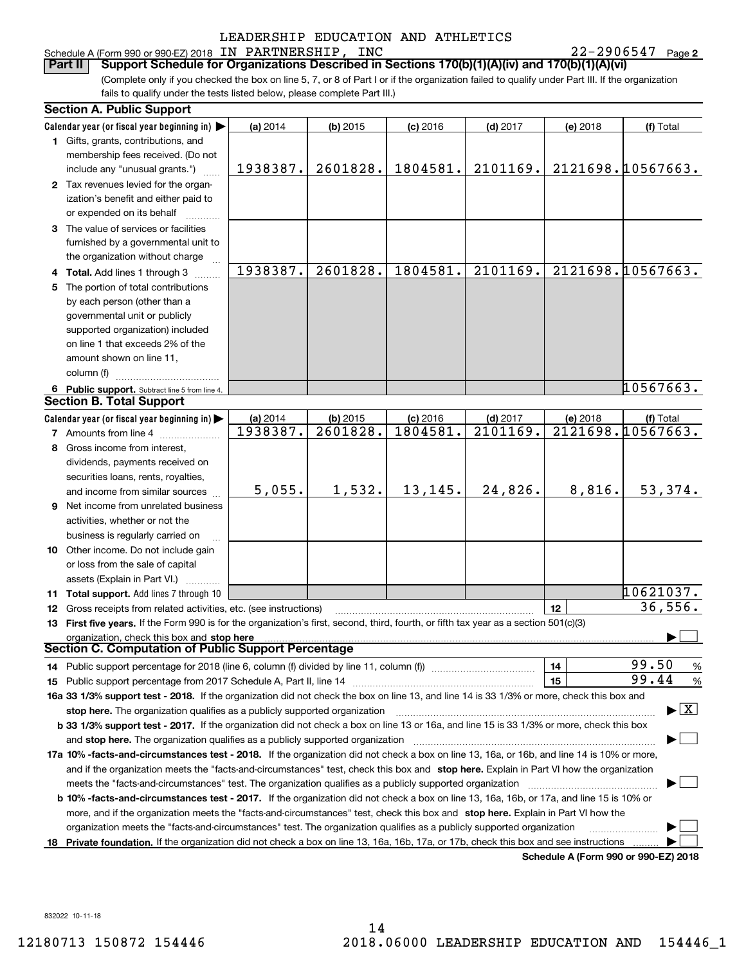### Schedule A (Form 990 or 990-EZ) 2018 Page IN PARTNERSHIP, INC 22-2906547 LEADERSHIP EDUCATION AND ATHLETICS

22-2906547 Page 2

(Complete only if you checked the box on line 5, 7, or 8 of Part I or if the organization failed to qualify under Part III. If the organization **Part II Support Schedule for Organizations Described in Sections 170(b)(1)(A)(iv) and 170(b)(1)(A)(vi)**

fails to qualify under the tests listed below, please complete Part III.)

|     | <b>Section A. Public Support</b>                                                                                                               |          |            |            |            |          |                                      |
|-----|------------------------------------------------------------------------------------------------------------------------------------------------|----------|------------|------------|------------|----------|--------------------------------------|
|     | Calendar year (or fiscal year beginning in)                                                                                                    | (a) 2014 | $(b)$ 2015 | $(c)$ 2016 | $(d)$ 2017 | (e) 2018 | (f) Total                            |
|     | 1 Gifts, grants, contributions, and                                                                                                            |          |            |            |            |          |                                      |
|     | membership fees received. (Do not                                                                                                              |          |            |            |            |          |                                      |
|     | include any "unusual grants.")                                                                                                                 | 1938387. | 2601828.   | 1804581.   | 2101169.   |          | 2121698.10567663.                    |
|     | 2 Tax revenues levied for the organ-                                                                                                           |          |            |            |            |          |                                      |
|     | ization's benefit and either paid to                                                                                                           |          |            |            |            |          |                                      |
|     | or expended on its behalf                                                                                                                      |          |            |            |            |          |                                      |
|     | 3 The value of services or facilities                                                                                                          |          |            |            |            |          |                                      |
|     | furnished by a governmental unit to                                                                                                            |          |            |            |            |          |                                      |
|     | the organization without charge                                                                                                                |          |            |            |            |          |                                      |
|     | Total. Add lines 1 through 3                                                                                                                   | 1938387. | 2601828.   | 1804581.   | 2101169.   |          | 2121698.10567663.                    |
| 5   | The portion of total contributions                                                                                                             |          |            |            |            |          |                                      |
|     | by each person (other than a                                                                                                                   |          |            |            |            |          |                                      |
|     | governmental unit or publicly                                                                                                                  |          |            |            |            |          |                                      |
|     | supported organization) included                                                                                                               |          |            |            |            |          |                                      |
|     | on line 1 that exceeds 2% of the                                                                                                               |          |            |            |            |          |                                      |
|     | amount shown on line 11,                                                                                                                       |          |            |            |            |          |                                      |
|     | column (f)                                                                                                                                     |          |            |            |            |          |                                      |
|     | 6 Public support. Subtract line 5 from line 4.                                                                                                 |          |            |            |            |          | 10567663.                            |
|     | <b>Section B. Total Support</b>                                                                                                                |          |            |            |            |          |                                      |
|     | Calendar year (or fiscal year beginning in) $\blacktriangleright$                                                                              | (a) 2014 | $(b)$ 2015 | $(c)$ 2016 | $(d)$ 2017 | (e) 2018 | (f) Total                            |
|     | <b>7</b> Amounts from line 4                                                                                                                   | 1938387. | 2601828.   | 1804581.   | 2101169.   |          | 2121698.10567663.                    |
| 8   | Gross income from interest,                                                                                                                    |          |            |            |            |          |                                      |
|     | dividends, payments received on                                                                                                                |          |            |            |            |          |                                      |
|     | securities loans, rents, royalties,                                                                                                            |          |            |            |            |          |                                      |
|     | and income from similar sources                                                                                                                | 5,055.   | 1,532.     | 13,145.    | 24,826.    | 8,816.   | 53,374.                              |
|     | <b>9</b> Net income from unrelated business                                                                                                    |          |            |            |            |          |                                      |
|     | activities, whether or not the                                                                                                                 |          |            |            |            |          |                                      |
|     | business is regularly carried on                                                                                                               |          |            |            |            |          |                                      |
|     | 10 Other income. Do not include gain                                                                                                           |          |            |            |            |          |                                      |
|     | or loss from the sale of capital                                                                                                               |          |            |            |            |          |                                      |
|     | assets (Explain in Part VI.)                                                                                                                   |          |            |            |            |          |                                      |
|     | 11 Total support. Add lines 7 through 10                                                                                                       |          |            |            |            |          | 10621037.                            |
| 12  | Gross receipts from related activities, etc. (see instructions)                                                                                |          |            |            |            | 12       | 36, 556.                             |
|     | 13 First five years. If the Form 990 is for the organization's first, second, third, fourth, or fifth tax year as a section 501(c)(3)          |          |            |            |            |          |                                      |
|     | organization, check this box and stop here                                                                                                     |          |            |            |            |          |                                      |
|     | Section C. Computation of Public Support Percentage                                                                                            |          |            |            |            |          |                                      |
|     |                                                                                                                                                |          |            |            |            | 14       | 99.50<br>%                           |
|     |                                                                                                                                                |          |            |            |            | 15       | 99.44<br>%                           |
|     | 16a 33 1/3% support test - 2018. If the organization did not check the box on line 13, and line 14 is 33 1/3% or more, check this box and      |          |            |            |            |          |                                      |
|     | stop here. The organization qualifies as a publicly supported organization                                                                     |          |            |            |            |          | $\blacktriangleright$ $\mid$ X       |
|     | b 33 1/3% support test - 2017. If the organization did not check a box on line 13 or 16a, and line 15 is 33 1/3% or more, check this box       |          |            |            |            |          |                                      |
|     | and stop here. The organization qualifies as a publicly supported organization                                                                 |          |            |            |            |          |                                      |
|     | 17a 10% -facts-and-circumstances test - 2018. If the organization did not check a box on line 13, 16a, or 16b, and line 14 is 10% or more,     |          |            |            |            |          |                                      |
|     | and if the organization meets the "facts-and-circumstances" test, check this box and stop here. Explain in Part VI how the organization        |          |            |            |            |          |                                      |
|     | meets the "facts-and-circumstances" test. The organization qualifies as a publicly supported organization                                      |          |            |            |            |          |                                      |
|     | <b>b 10% -facts-and-circumstances test - 2017.</b> If the organization did not check a box on line 13, 16a, 16b, or 17a, and line 15 is 10% or |          |            |            |            |          |                                      |
|     | more, and if the organization meets the "facts-and-circumstances" test, check this box and stop here. Explain in Part VI how the               |          |            |            |            |          |                                      |
|     | organization meets the "facts-and-circumstances" test. The organization qualifies as a publicly supported organization                         |          |            |            |            |          |                                      |
| 18. | Private foundation. If the organization did not check a box on line 13, 16a, 16b, 17a, or 17b, check this box and see instructions             |          |            |            |            |          |                                      |
|     |                                                                                                                                                |          |            |            |            |          | Schedule A (Form 990 or 990-F7) 2018 |

**Schedule A (Form 990 or 990-EZ) 2018**

832022 10-11-18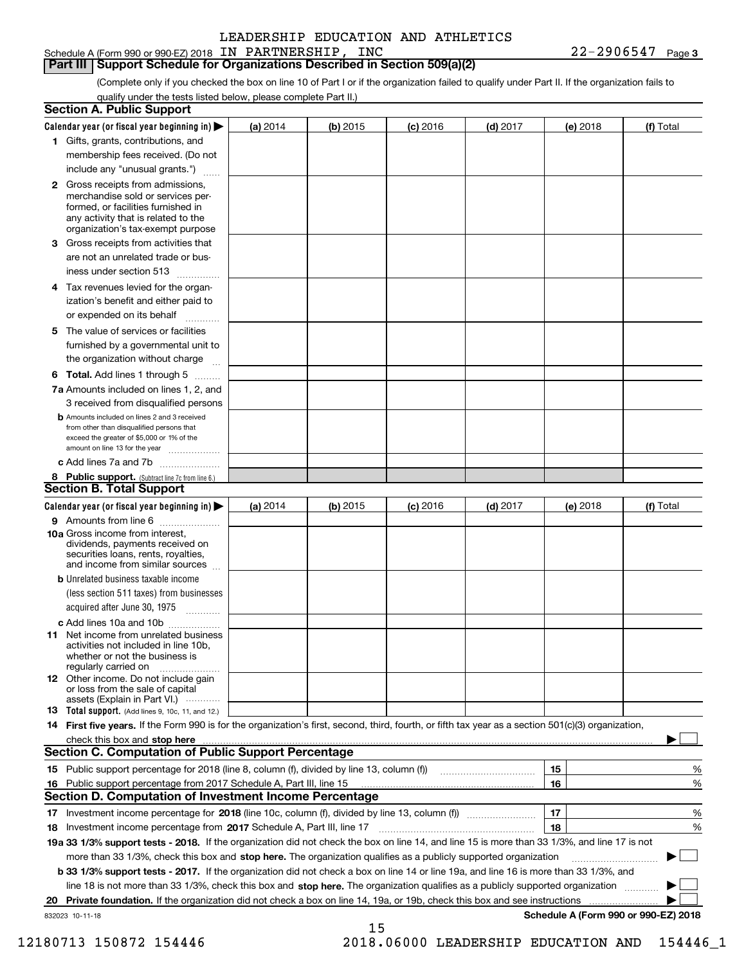Schedule A (Form 990 or 990-EZ) 2018 Page IN PARTNERSHIP, INC 22-2906547

**Part III Support Schedule for Organizations Described in Section 509(a)(2)** 

(Complete only if you checked the box on line 10 of Part I or if the organization failed to qualify under Part II. If the organization fails to qualify under the tests listed below, please complete Part II.)

|     | <b>Section A. Public Support</b>                                                                                                                                                                                                                                   |          |            |            |            |          |                                           |
|-----|--------------------------------------------------------------------------------------------------------------------------------------------------------------------------------------------------------------------------------------------------------------------|----------|------------|------------|------------|----------|-------------------------------------------|
|     | Calendar year (or fiscal year beginning in) $\blacktriangleright$                                                                                                                                                                                                  | (a) 2014 | (b) 2015   | $(c)$ 2016 | $(d)$ 2017 | (e) 2018 | (f) Total                                 |
|     | 1 Gifts, grants, contributions, and                                                                                                                                                                                                                                |          |            |            |            |          |                                           |
|     | membership fees received. (Do not                                                                                                                                                                                                                                  |          |            |            |            |          |                                           |
|     | include any "unusual grants.")                                                                                                                                                                                                                                     |          |            |            |            |          |                                           |
|     | <b>2</b> Gross receipts from admissions,<br>merchandise sold or services per-<br>formed, or facilities furnished in<br>any activity that is related to the<br>organization's tax-exempt purpose                                                                    |          |            |            |            |          |                                           |
|     | 3 Gross receipts from activities that<br>are not an unrelated trade or bus-                                                                                                                                                                                        |          |            |            |            |          |                                           |
|     | iness under section 513                                                                                                                                                                                                                                            |          |            |            |            |          |                                           |
|     | 4 Tax revenues levied for the organ-<br>ization's benefit and either paid to                                                                                                                                                                                       |          |            |            |            |          |                                           |
|     | or expended on its behalf                                                                                                                                                                                                                                          |          |            |            |            |          |                                           |
|     | 5 The value of services or facilities<br>furnished by a governmental unit to                                                                                                                                                                                       |          |            |            |            |          |                                           |
|     | the organization without charge                                                                                                                                                                                                                                    |          |            |            |            |          |                                           |
|     | <b>6 Total.</b> Add lines 1 through 5                                                                                                                                                                                                                              |          |            |            |            |          |                                           |
|     | 7a Amounts included on lines 1, 2, and<br>3 received from disqualified persons                                                                                                                                                                                     |          |            |            |            |          |                                           |
|     | <b>b</b> Amounts included on lines 2 and 3 received<br>from other than disqualified persons that<br>exceed the greater of \$5,000 or 1% of the<br>amount on line 13 for the year                                                                                   |          |            |            |            |          |                                           |
|     | c Add lines 7a and 7b                                                                                                                                                                                                                                              |          |            |            |            |          |                                           |
|     | 8 Public support. (Subtract line 7c from line 6.)<br><b>Section B. Total Support</b>                                                                                                                                                                               |          |            |            |            |          |                                           |
|     | Calendar year (or fiscal year beginning in)                                                                                                                                                                                                                        | (a) 2014 | $(b)$ 2015 | $(c)$ 2016 | $(d)$ 2017 | (e) 2018 | (f) Total                                 |
|     | 9 Amounts from line 6                                                                                                                                                                                                                                              |          |            |            |            |          |                                           |
|     | <b>10a</b> Gross income from interest,<br>dividends, payments received on<br>securities loans, rents, royalties,<br>and income from similar sources                                                                                                                |          |            |            |            |          |                                           |
|     | <b>b</b> Unrelated business taxable income<br>(less section 511 taxes) from businesses                                                                                                                                                                             |          |            |            |            |          |                                           |
|     | acquired after June 30, 1975                                                                                                                                                                                                                                       |          |            |            |            |          |                                           |
|     | c Add lines 10a and 10b                                                                                                                                                                                                                                            |          |            |            |            |          |                                           |
|     | 11 Net income from unrelated business<br>activities not included in line 10b,<br>whether or not the business is<br>regularly carried on                                                                                                                            |          |            |            |            |          |                                           |
|     | <b>12</b> Other income. Do not include gain<br>or loss from the sale of capital<br>assets (Explain in Part VI.)                                                                                                                                                    |          |            |            |            |          |                                           |
|     | 13 Total support. (Add lines 9, 10c, 11, and 12.)                                                                                                                                                                                                                  |          |            |            |            |          |                                           |
|     | 14 First five years. If the Form 990 is for the organization's first, second, third, fourth, or fifth tax year as a section 501(c)(3) organization,                                                                                                                |          |            |            |            |          |                                           |
|     | check this box and stop here measurements and contact the contract of the contract of the contract of the contract of the contract of the contract of the contract of the contract of the contract of the contract of the cont                                     |          |            |            |            |          |                                           |
|     | <b>Section C. Computation of Public Support Percentage</b>                                                                                                                                                                                                         |          |            |            |            |          |                                           |
|     |                                                                                                                                                                                                                                                                    |          |            |            |            | 15       | %                                         |
| 16. | Public support percentage from 2017 Schedule A, Part III, line 15                                                                                                                                                                                                  |          |            |            |            | 16       | %                                         |
|     | <b>Section D. Computation of Investment Income Percentage</b>                                                                                                                                                                                                      |          |            |            |            |          |                                           |
|     | 17 Investment income percentage for 2018 (line 10c, column (f), divided by line 13, column (f))                                                                                                                                                                    |          |            |            |            | 17<br>18 | %                                         |
|     | 18 Investment income percentage from 2017 Schedule A, Part III, line 17<br>19a 33 1/3% support tests - 2018. If the organization did not check the box on line 14, and line 15 is more than 33 1/3%, and line 17 is not                                            |          |            |            |            |          | %                                         |
|     |                                                                                                                                                                                                                                                                    |          |            |            |            |          |                                           |
|     | more than 33 1/3%, check this box and stop here. The organization qualifies as a publicly supported organization                                                                                                                                                   |          |            |            |            |          |                                           |
|     | <b>b 33 1/3% support tests - 2017.</b> If the organization did not check a box on line 14 or line 19a, and line 16 is more than 33 1/3%, and                                                                                                                       |          |            |            |            |          |                                           |
|     | line 18 is not more than 33 1/3%, check this box and stop here. The organization qualifies as a publicly supported organization<br><b>Private foundation.</b> If the organization did not check a box on line 14, 19a, or 19b, check this box and see instructions |          |            |            |            |          |                                           |
| 20  | 832023 10-11-18                                                                                                                                                                                                                                                    |          |            |            |            |          | .<br>Schedule A (Form 990 or 990-EZ) 2018 |
|     |                                                                                                                                                                                                                                                                    |          | 15         |            |            |          |                                           |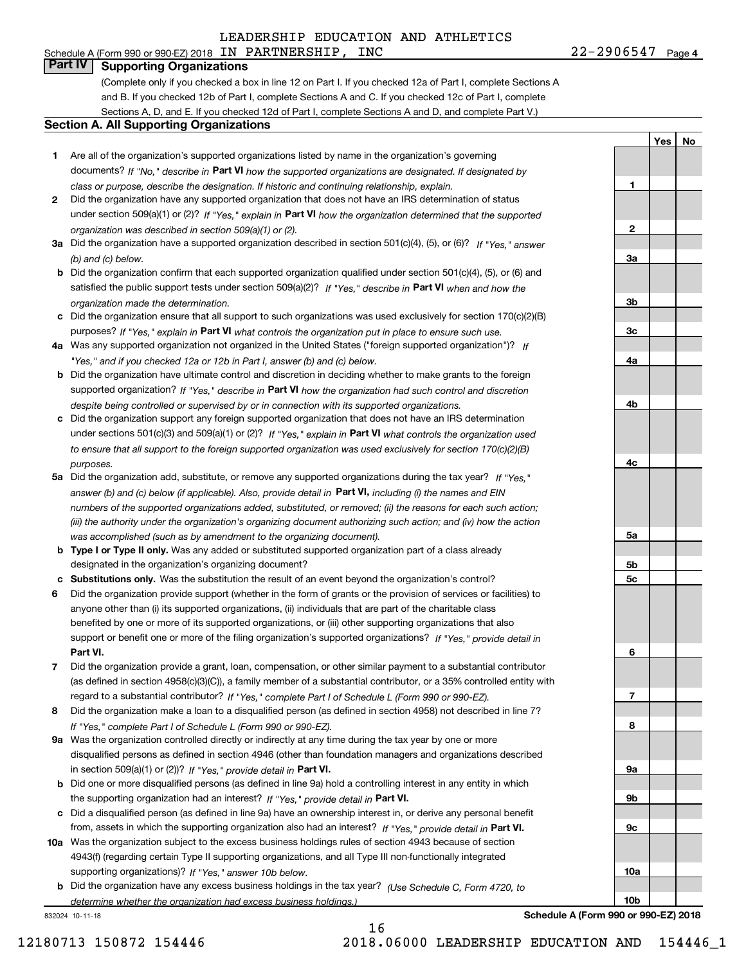# **Part IV Supporting Organizations**

(Complete only if you checked a box in line 12 on Part I. If you checked 12a of Part I, complete Sections A and B. If you checked 12b of Part I, complete Sections A and C. If you checked 12c of Part I, complete Sections A, D, and E. If you checked 12d of Part I, complete Sections A and D, and complete Part V.)

#### **Section A. All Supporting Organizations**

- **1** Are all of the organization's supported organizations listed by name in the organization's governing documents? If "No," describe in **Part VI** how the supported organizations are designated. If designated by *class or purpose, describe the designation. If historic and continuing relationship, explain.*
- **2** Did the organization have any supported organization that does not have an IRS determination of status under section 509(a)(1) or (2)? If "Yes," explain in Part VI how the organization determined that the supported *organization was described in section 509(a)(1) or (2).*
- **3a** Did the organization have a supported organization described in section 501(c)(4), (5), or (6)? If "Yes," answer *(b) and (c) below.*
- **b** Did the organization confirm that each supported organization qualified under section 501(c)(4), (5), or (6) and satisfied the public support tests under section 509(a)(2)? If "Yes," describe in **Part VI** when and how the *organization made the determination.*
- **c**Did the organization ensure that all support to such organizations was used exclusively for section 170(c)(2)(B) purposes? If "Yes," explain in **Part VI** what controls the organization put in place to ensure such use.
- **4a***If* Was any supported organization not organized in the United States ("foreign supported organization")? *"Yes," and if you checked 12a or 12b in Part I, answer (b) and (c) below.*
- **b** Did the organization have ultimate control and discretion in deciding whether to make grants to the foreign supported organization? If "Yes," describe in **Part VI** how the organization had such control and discretion *despite being controlled or supervised by or in connection with its supported organizations.*
- **c** Did the organization support any foreign supported organization that does not have an IRS determination under sections 501(c)(3) and 509(a)(1) or (2)? If "Yes," explain in **Part VI** what controls the organization used *to ensure that all support to the foreign supported organization was used exclusively for section 170(c)(2)(B) purposes.*
- **5a** Did the organization add, substitute, or remove any supported organizations during the tax year? If "Yes," answer (b) and (c) below (if applicable). Also, provide detail in **Part VI,** including (i) the names and EIN *numbers of the supported organizations added, substituted, or removed; (ii) the reasons for each such action; (iii) the authority under the organization's organizing document authorizing such action; and (iv) how the action was accomplished (such as by amendment to the organizing document).*
- **b** Type I or Type II only. Was any added or substituted supported organization part of a class already designated in the organization's organizing document?
- **cSubstitutions only.**  Was the substitution the result of an event beyond the organization's control?
- **6** Did the organization provide support (whether in the form of grants or the provision of services or facilities) to **Part VI.** *If "Yes," provide detail in* support or benefit one or more of the filing organization's supported organizations? anyone other than (i) its supported organizations, (ii) individuals that are part of the charitable class benefited by one or more of its supported organizations, or (iii) other supporting organizations that also
- **7**Did the organization provide a grant, loan, compensation, or other similar payment to a substantial contributor *If "Yes," complete Part I of Schedule L (Form 990 or 990-EZ).* regard to a substantial contributor? (as defined in section 4958(c)(3)(C)), a family member of a substantial contributor, or a 35% controlled entity with
- **8** Did the organization make a loan to a disqualified person (as defined in section 4958) not described in line 7? *If "Yes," complete Part I of Schedule L (Form 990 or 990-EZ).*
- **9a** Was the organization controlled directly or indirectly at any time during the tax year by one or more in section 509(a)(1) or (2))? If "Yes," *provide detail in* <code>Part VI.</code> disqualified persons as defined in section 4946 (other than foundation managers and organizations described
- **b** Did one or more disqualified persons (as defined in line 9a) hold a controlling interest in any entity in which the supporting organization had an interest? If "Yes," provide detail in P**art VI**.
- **c**Did a disqualified person (as defined in line 9a) have an ownership interest in, or derive any personal benefit from, assets in which the supporting organization also had an interest? If "Yes," provide detail in P**art VI.**
- **10a** Was the organization subject to the excess business holdings rules of section 4943 because of section supporting organizations)? If "Yes," answer 10b below. 4943(f) (regarding certain Type II supporting organizations, and all Type III non-functionally integrated
- **b** Did the organization have any excess business holdings in the tax year? (Use Schedule C, Form 4720, to *determine whether the organization had excess business holdings.)*

832024 10-11-18

**4a4b4c5a 5b5c6789a 9b9c10a10b**

**Schedule A (Form 990 or 990-EZ) 2018**

22-2906547 Page 4 Schedule A (Form 990 or 990-EZ) 2018 Page IN PARTNERSHIP, INC 22-2906547

> **YesNo**

**1**

**2**

**3a**

**3b**

**3c**

16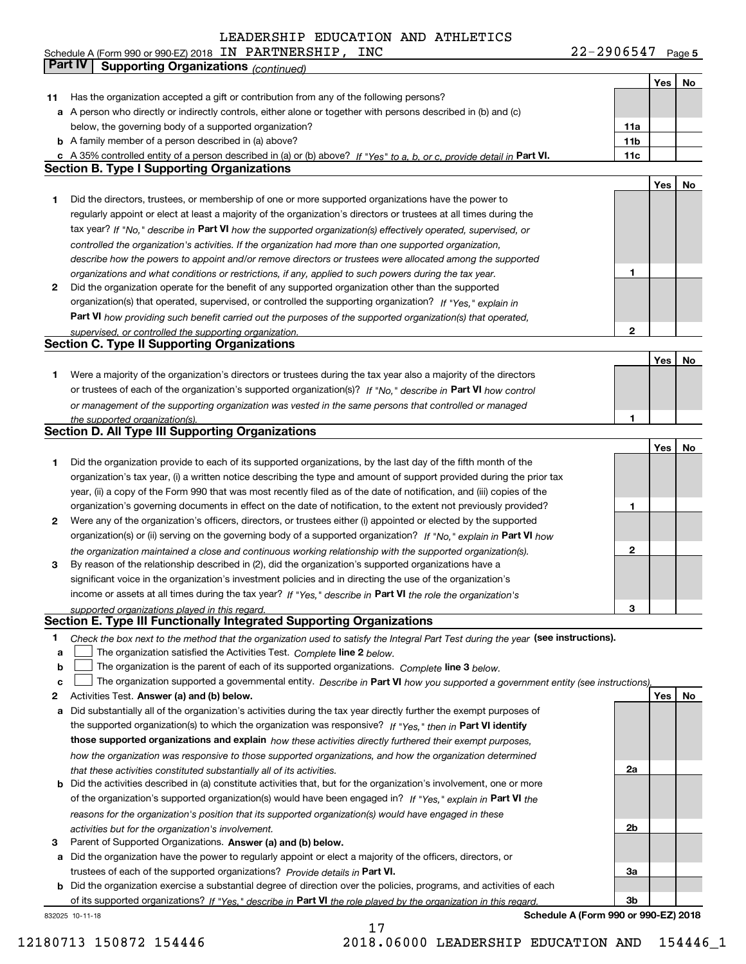**5** Schedule A (Form 990 or 990-EZ) 2018 IN PARTNERSHIP, INC ZZ-ZYU654 / Page IN PARTNERSHIP, INC 22-2906547

|    | Part IV<br><b>Supporting Organizations (continued)</b>                                                                                                                       |                 |     |    |
|----|------------------------------------------------------------------------------------------------------------------------------------------------------------------------------|-----------------|-----|----|
|    |                                                                                                                                                                              |                 | Yes | No |
| 11 | Has the organization accepted a gift or contribution from any of the following persons?                                                                                      |                 |     |    |
|    | a A person who directly or indirectly controls, either alone or together with persons described in (b) and (c)                                                               |                 |     |    |
|    | below, the governing body of a supported organization?                                                                                                                       | 11a             |     |    |
|    | <b>b</b> A family member of a person described in (a) above?                                                                                                                 | 11 <sub>b</sub> |     |    |
|    |                                                                                                                                                                              | 11c             |     |    |
|    | c A 35% controlled entity of a person described in (a) or (b) above? If "Yes" to a, b, or c, provide detail in Part VI.<br><b>Section B. Type I Supporting Organizations</b> |                 |     |    |
|    |                                                                                                                                                                              |                 |     |    |
|    |                                                                                                                                                                              |                 | Yes | No |
| 1  | Did the directors, trustees, or membership of one or more supported organizations have the power to                                                                          |                 |     |    |
|    | regularly appoint or elect at least a majority of the organization's directors or trustees at all times during the                                                           |                 |     |    |
|    | tax year? If "No," describe in Part VI how the supported organization(s) effectively operated, supervised, or                                                                |                 |     |    |
|    | controlled the organization's activities. If the organization had more than one supported organization,                                                                      |                 |     |    |
|    | describe how the powers to appoint and/or remove directors or trustees were allocated among the supported                                                                    |                 |     |    |
|    | organizations and what conditions or restrictions, if any, applied to such powers during the tax year.                                                                       | 1               |     |    |
| 2  | Did the organization operate for the benefit of any supported organization other than the supported                                                                          |                 |     |    |
|    | organization(s) that operated, supervised, or controlled the supporting organization? If "Yes," explain in                                                                   |                 |     |    |
|    | Part VI how providing such benefit carried out the purposes of the supported organization(s) that operated,                                                                  |                 |     |    |
|    | supervised, or controlled the supporting organization.                                                                                                                       | 2               |     |    |
|    | <b>Section C. Type II Supporting Organizations</b>                                                                                                                           |                 |     |    |
|    |                                                                                                                                                                              |                 | Yes | No |
| 1  | Were a majority of the organization's directors or trustees during the tax year also a majority of the directors                                                             |                 |     |    |
|    | or trustees of each of the organization's supported organization(s)? If "No." describe in Part VI how control                                                                |                 |     |    |
|    | or management of the supporting organization was vested in the same persons that controlled or managed                                                                       |                 |     |    |
|    | the supported organization(s).                                                                                                                                               | 1               |     |    |
|    | <b>Section D. All Type III Supporting Organizations</b>                                                                                                                      |                 |     |    |
|    |                                                                                                                                                                              |                 | Yes | No |
| 1  | Did the organization provide to each of its supported organizations, by the last day of the fifth month of the                                                               |                 |     |    |
|    | organization's tax year, (i) a written notice describing the type and amount of support provided during the prior tax                                                        |                 |     |    |
|    | year, (ii) a copy of the Form 990 that was most recently filed as of the date of notification, and (iii) copies of the                                                       |                 |     |    |
|    | organization's governing documents in effect on the date of notification, to the extent not previously provided?                                                             | 1               |     |    |
| 2  | Were any of the organization's officers, directors, or trustees either (i) appointed or elected by the supported                                                             |                 |     |    |
|    | organization(s) or (ii) serving on the governing body of a supported organization? If "No," explain in Part VI how                                                           |                 |     |    |
|    |                                                                                                                                                                              | 2               |     |    |
|    | the organization maintained a close and continuous working relationship with the supported organization(s).                                                                  |                 |     |    |
| 3  | By reason of the relationship described in (2), did the organization's supported organizations have a                                                                        |                 |     |    |
|    | significant voice in the organization's investment policies and in directing the use of the organization's                                                                   |                 |     |    |
|    | income or assets at all times during the tax year? If "Yes," describe in Part VI the role the organization's                                                                 |                 |     |    |
|    | supported organizations played in this regard.                                                                                                                               | 3               |     |    |
|    | Section E. Type III Functionally Integrated Supporting Organizations                                                                                                         |                 |     |    |
| 1  | Check the box next to the method that the organization used to satisfy the Integral Part Test during the year (see instructions).                                            |                 |     |    |
| a  | The organization satisfied the Activities Test. Complete line 2 below.                                                                                                       |                 |     |    |
| b  | The organization is the parent of each of its supported organizations. Complete line 3 below.                                                                                |                 |     |    |
| c  | The organization supported a governmental entity. Describe in Part VI how you supported a government entity (see instructions).                                              |                 |     |    |
| 2  | Activities Test. Answer (a) and (b) below.                                                                                                                                   |                 | Yes | No |
| а  | Did substantially all of the organization's activities during the tax year directly further the exempt purposes of                                                           |                 |     |    |
|    | the supported organization(s) to which the organization was responsive? If "Yes," then in Part VI identify                                                                   |                 |     |    |
|    | those supported organizations and explain how these activities directly furthered their exempt purposes,                                                                     |                 |     |    |
|    | how the organization was responsive to those supported organizations, and how the organization determined                                                                    |                 |     |    |
|    | that these activities constituted substantially all of its activities.                                                                                                       | 2a              |     |    |
|    | <b>b</b> Did the activities described in (a) constitute activities that, but for the organization's involvement, one or more                                                 |                 |     |    |
|    | of the organization's supported organization(s) would have been engaged in? If "Yes," explain in Part VI the                                                                 |                 |     |    |
|    | reasons for the organization's position that its supported organization(s) would have engaged in these                                                                       |                 |     |    |
|    | activities but for the organization's involvement.                                                                                                                           | 2b              |     |    |
| з  | Parent of Supported Organizations. Answer (a) and (b) below.                                                                                                                 |                 |     |    |
|    | a Did the organization have the power to regularly appoint or elect a majority of the officers, directors, or                                                                |                 |     |    |
|    | trustees of each of the supported organizations? Provide details in Part VI.                                                                                                 | За              |     |    |
|    | <b>b</b> Did the organization exercise a substantial degree of direction over the policies, programs, and activities of each                                                 |                 |     |    |
|    | of its supported organizations? If "Yes," describe in Part VI the role played by the organization in this regard                                                             | Зb              |     |    |
|    | Schedule A (Form 990 or 990-EZ) 2018<br>832025 10-11-18                                                                                                                      |                 |     |    |

17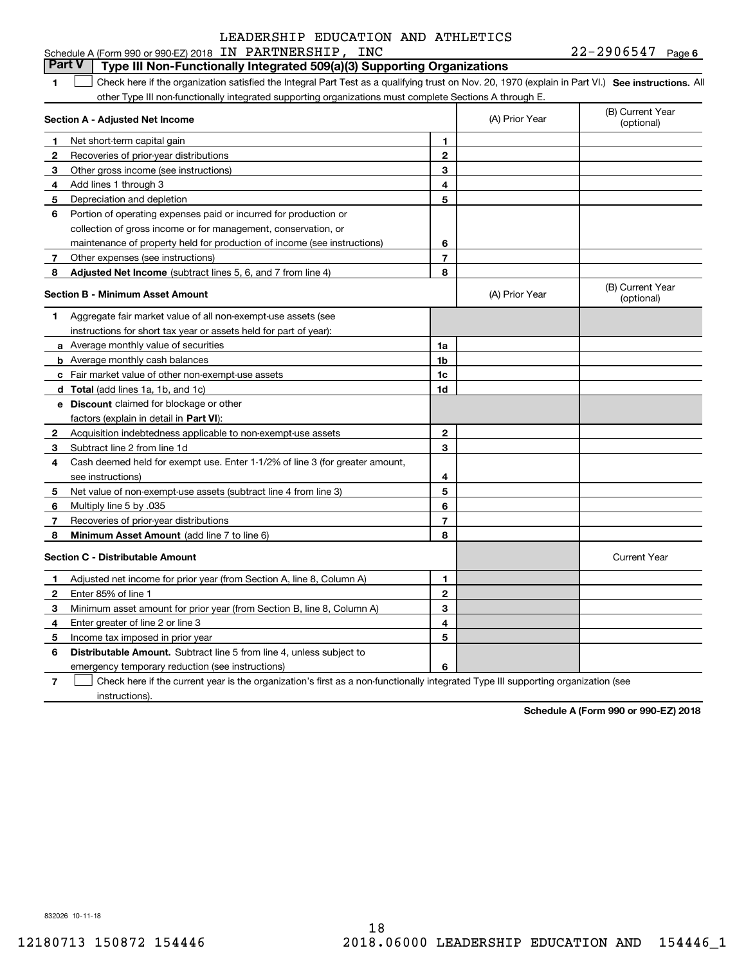#### **1SEP 10. See instructions.** All antegral Part Test as a qualifying trust on Nov. 20, 1970 (explain in Part VI.) See instructions. All **Section A - Adjusted Net Income 123** Other gross income (see instructions) **4**Add lines 1 through 3 **56** Portion of operating expenses paid or incurred for production or **7** Other expenses (see instructions) **8** Adjusted Net Income (subtract lines 5, 6, and 7 from line 4) **8 8 1234567Section B - Minimum Asset Amount 1**Aggregate fair market value of all non-exempt-use assets (see **2**Acquisition indebtedness applicable to non-exempt-use assets **3** Subtract line 2 from line 1d **4**Cash deemed held for exempt use. Enter 1-1/2% of line 3 (for greater amount, **5** Net value of non-exempt-use assets (subtract line 4 from line 3) **678a** Average monthly value of securities **b** Average monthly cash balances **c**Fair market value of other non-exempt-use assets **dTotal**  (add lines 1a, 1b, and 1c) **eDiscount** claimed for blockage or other **1a1b1c1d2345678**factors (explain in detail in **Part VI**): **Minimum Asset Amount**  (add line 7 to line 6) **Section C - Distributable Amount 123456123456Distributable Amount.** Subtract line 5 from line 4, unless subject to Schedule A (Form 990 or 990-EZ) 2018 Page IN PARTNERSHIP, INC 22-2906547 other Type III non-functionally integrated supporting organizations must complete Sections A through E. (B) Current Year (optional)(A) Prior Year Net short-term capital gain Recoveries of prior-year distributions Depreciation and depletion collection of gross income or for management, conservation, or maintenance of property held for production of income (see instructions) (B) Current Year (optional)(A) Prior Year instructions for short tax year or assets held for part of year): see instructions) Multiply line 5 by .035 Recoveries of prior-year distributions Current Year Adjusted net income for prior year (from Section A, line 8, Column A) Enter 85% of line 1 Minimum asset amount for prior year (from Section B, line 8, Column A) Enter greater of line 2 or line 3 Income tax imposed in prior year emergency temporary reduction (see instructions) **Part V** Type III Non-Functionally Integrated 509(a)(3) Supporting Organizations  $\mathcal{L}^{\text{max}}$

**7**Check here if the current year is the organization's first as a non-functionally integrated Type III supporting organization (see instructions). $\mathcal{L}^{\text{max}}$ 

**Schedule A (Form 990 or 990-EZ) 2018**

832026 10-11-18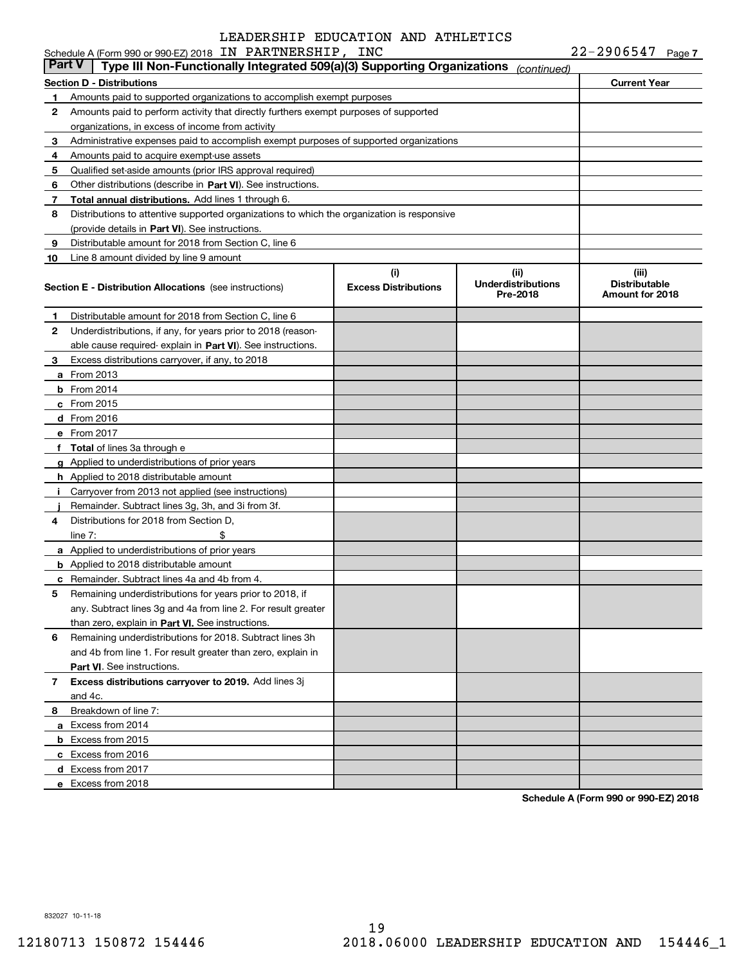|        | Schedule A (Form 990 or 990-EZ) 2018 IN PARTNERSHIP, INC                                   |                                    |                                               | $22 - 2906547$ Page 7                            |  |
|--------|--------------------------------------------------------------------------------------------|------------------------------------|-----------------------------------------------|--------------------------------------------------|--|
| Part V | Type III Non-Functionally Integrated 509(a)(3) Supporting Organizations                    |                                    | (continued)                                   |                                                  |  |
|        | <b>Section D - Distributions</b>                                                           |                                    |                                               | <b>Current Year</b>                              |  |
| 1.     | Amounts paid to supported organizations to accomplish exempt purposes                      |                                    |                                               |                                                  |  |
| 2      | Amounts paid to perform activity that directly furthers exempt purposes of supported       |                                    |                                               |                                                  |  |
|        | organizations, in excess of income from activity                                           |                                    |                                               |                                                  |  |
| 3      | Administrative expenses paid to accomplish exempt purposes of supported organizations      |                                    |                                               |                                                  |  |
| 4      | Amounts paid to acquire exempt-use assets                                                  |                                    |                                               |                                                  |  |
| 5      | Qualified set-aside amounts (prior IRS approval required)                                  |                                    |                                               |                                                  |  |
| 6      | Other distributions (describe in Part VI). See instructions.                               |                                    |                                               |                                                  |  |
| 7      | Total annual distributions. Add lines 1 through 6.                                         |                                    |                                               |                                                  |  |
| 8      | Distributions to attentive supported organizations to which the organization is responsive |                                    |                                               |                                                  |  |
|        | (provide details in Part VI). See instructions.                                            |                                    |                                               |                                                  |  |
| 9      | Distributable amount for 2018 from Section C, line 6                                       |                                    |                                               |                                                  |  |
| 10     | Line 8 amount divided by line 9 amount                                                     |                                    |                                               |                                                  |  |
|        | <b>Section E - Distribution Allocations</b> (see instructions)                             | (i)<br><b>Excess Distributions</b> | (ii)<br><b>Underdistributions</b><br>Pre-2018 | (iii)<br><b>Distributable</b><br>Amount for 2018 |  |
| 1      | Distributable amount for 2018 from Section C, line 6                                       |                                    |                                               |                                                  |  |
| 2      | Underdistributions, if any, for years prior to 2018 (reason-                               |                                    |                                               |                                                  |  |
|        | able cause required-explain in Part VI). See instructions.                                 |                                    |                                               |                                                  |  |
| 3      | Excess distributions carryover, if any, to 2018                                            |                                    |                                               |                                                  |  |
|        | <b>a</b> From 2013                                                                         |                                    |                                               |                                                  |  |
|        | $b$ From 2014                                                                              |                                    |                                               |                                                  |  |
|        | <b>c</b> From 2015                                                                         |                                    |                                               |                                                  |  |
|        | d From 2016                                                                                |                                    |                                               |                                                  |  |
|        | e From 2017                                                                                |                                    |                                               |                                                  |  |
|        | f Total of lines 3a through e                                                              |                                    |                                               |                                                  |  |
|        | g Applied to underdistributions of prior years                                             |                                    |                                               |                                                  |  |
|        | <b>h</b> Applied to 2018 distributable amount                                              |                                    |                                               |                                                  |  |
|        | Carryover from 2013 not applied (see instructions)                                         |                                    |                                               |                                                  |  |
|        | Remainder. Subtract lines 3g, 3h, and 3i from 3f.                                          |                                    |                                               |                                                  |  |
| 4      | Distributions for 2018 from Section D.                                                     |                                    |                                               |                                                  |  |
|        | \$<br>line $7:$                                                                            |                                    |                                               |                                                  |  |
|        | a Applied to underdistributions of prior years                                             |                                    |                                               |                                                  |  |
|        | <b>b</b> Applied to 2018 distributable amount                                              |                                    |                                               |                                                  |  |
|        | <b>c</b> Remainder. Subtract lines 4a and 4b from 4.                                       |                                    |                                               |                                                  |  |
|        | Remaining underdistributions for years prior to 2018, if                                   |                                    |                                               |                                                  |  |
|        | any. Subtract lines 3q and 4a from line 2. For result greater                              |                                    |                                               |                                                  |  |
|        | than zero, explain in Part VI. See instructions.                                           |                                    |                                               |                                                  |  |
| 6      | Remaining underdistributions for 2018. Subtract lines 3h                                   |                                    |                                               |                                                  |  |
|        | and 4b from line 1. For result greater than zero, explain in                               |                                    |                                               |                                                  |  |
|        | <b>Part VI.</b> See instructions.                                                          |                                    |                                               |                                                  |  |
| 7      | Excess distributions carryover to 2019. Add lines 3j                                       |                                    |                                               |                                                  |  |
|        | and 4c.                                                                                    |                                    |                                               |                                                  |  |
| 8      | Breakdown of line 7:                                                                       |                                    |                                               |                                                  |  |
|        | a Excess from 2014                                                                         |                                    |                                               |                                                  |  |
|        | <b>b</b> Excess from 2015                                                                  |                                    |                                               |                                                  |  |
|        | c Excess from 2016                                                                         |                                    |                                               |                                                  |  |
|        | d Excess from 2017                                                                         |                                    |                                               |                                                  |  |
|        | e Excess from 2018                                                                         |                                    |                                               |                                                  |  |
|        |                                                                                            |                                    |                                               |                                                  |  |

**Schedule A (Form 990 or 990-EZ) 2018**

832027 10-11-18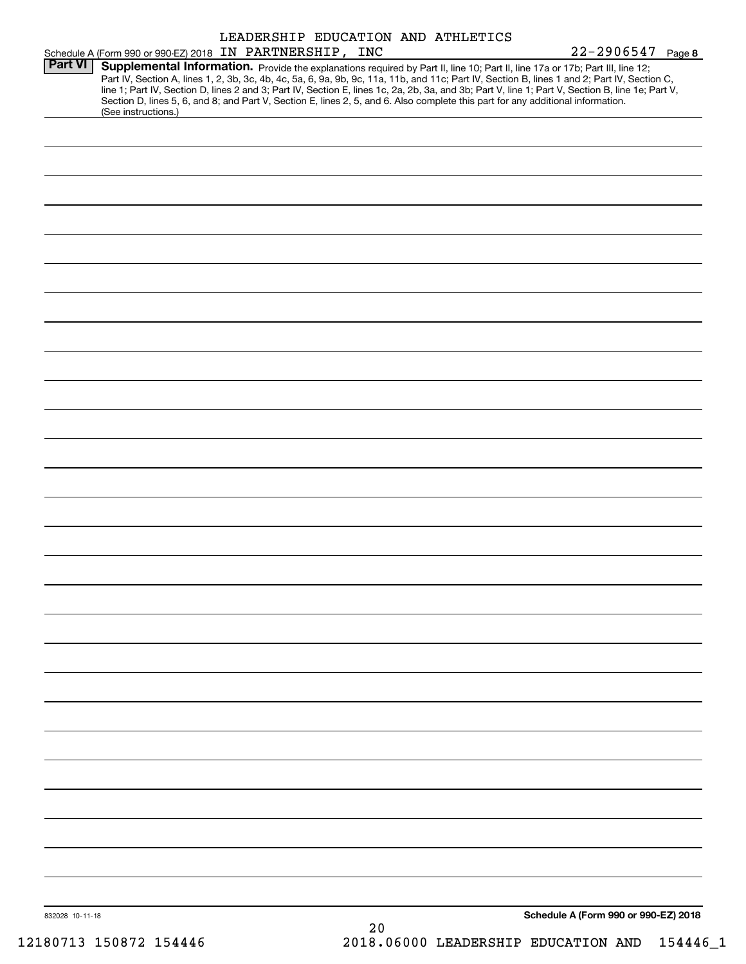|                 |                                                                                                                                                                                                                                                                                                                                                                                                                                                                                                                                                                                             | LEADERSHIP EDUCATION AND ATHLETICS |    |                                      |  |
|-----------------|---------------------------------------------------------------------------------------------------------------------------------------------------------------------------------------------------------------------------------------------------------------------------------------------------------------------------------------------------------------------------------------------------------------------------------------------------------------------------------------------------------------------------------------------------------------------------------------------|------------------------------------|----|--------------------------------------|--|
|                 | Schedule A (Form 990 or 990-EZ) 2018 IN PARTNERSHIP, INC                                                                                                                                                                                                                                                                                                                                                                                                                                                                                                                                    |                                    |    | $22 - 2906547$ Page 8                |  |
| <b>Part VI</b>  | Supplemental Information. Provide the explanations required by Part II, line 10; Part II, line 17a or 17b; Part III, line 12;<br>Part IV, Section A, lines 1, 2, 3b, 3c, 4b, 4c, 5a, 6, 9a, 9b, 9c, 11a, 11b, and 11c; Part IV, Section B, lines 1 and 2; Part IV, Section C,<br>line 1; Part IV, Section D, lines 2 and 3; Part IV, Section E, lines 1c, 2a, 2b, 3a, and 3b; Part V, line 1; Part V, Section B, line 1e; Part V,<br>Section D, lines 5, 6, and 8; and Part V, Section E, lines 2, 5, and 6. Also complete this part for any additional information.<br>(See instructions.) |                                    |    |                                      |  |
|                 |                                                                                                                                                                                                                                                                                                                                                                                                                                                                                                                                                                                             |                                    |    |                                      |  |
|                 |                                                                                                                                                                                                                                                                                                                                                                                                                                                                                                                                                                                             |                                    |    |                                      |  |
|                 |                                                                                                                                                                                                                                                                                                                                                                                                                                                                                                                                                                                             |                                    |    |                                      |  |
|                 |                                                                                                                                                                                                                                                                                                                                                                                                                                                                                                                                                                                             |                                    |    |                                      |  |
|                 |                                                                                                                                                                                                                                                                                                                                                                                                                                                                                                                                                                                             |                                    |    |                                      |  |
|                 |                                                                                                                                                                                                                                                                                                                                                                                                                                                                                                                                                                                             |                                    |    |                                      |  |
|                 |                                                                                                                                                                                                                                                                                                                                                                                                                                                                                                                                                                                             |                                    |    |                                      |  |
|                 |                                                                                                                                                                                                                                                                                                                                                                                                                                                                                                                                                                                             |                                    |    |                                      |  |
|                 |                                                                                                                                                                                                                                                                                                                                                                                                                                                                                                                                                                                             |                                    |    |                                      |  |
|                 |                                                                                                                                                                                                                                                                                                                                                                                                                                                                                                                                                                                             |                                    |    |                                      |  |
|                 |                                                                                                                                                                                                                                                                                                                                                                                                                                                                                                                                                                                             |                                    |    |                                      |  |
|                 |                                                                                                                                                                                                                                                                                                                                                                                                                                                                                                                                                                                             |                                    |    |                                      |  |
|                 |                                                                                                                                                                                                                                                                                                                                                                                                                                                                                                                                                                                             |                                    |    |                                      |  |
|                 |                                                                                                                                                                                                                                                                                                                                                                                                                                                                                                                                                                                             |                                    |    |                                      |  |
|                 |                                                                                                                                                                                                                                                                                                                                                                                                                                                                                                                                                                                             |                                    |    |                                      |  |
|                 |                                                                                                                                                                                                                                                                                                                                                                                                                                                                                                                                                                                             |                                    |    |                                      |  |
|                 |                                                                                                                                                                                                                                                                                                                                                                                                                                                                                                                                                                                             |                                    |    |                                      |  |
|                 |                                                                                                                                                                                                                                                                                                                                                                                                                                                                                                                                                                                             |                                    |    |                                      |  |
|                 |                                                                                                                                                                                                                                                                                                                                                                                                                                                                                                                                                                                             |                                    |    |                                      |  |
|                 |                                                                                                                                                                                                                                                                                                                                                                                                                                                                                                                                                                                             |                                    |    |                                      |  |
|                 |                                                                                                                                                                                                                                                                                                                                                                                                                                                                                                                                                                                             |                                    |    |                                      |  |
|                 |                                                                                                                                                                                                                                                                                                                                                                                                                                                                                                                                                                                             |                                    |    |                                      |  |
|                 |                                                                                                                                                                                                                                                                                                                                                                                                                                                                                                                                                                                             |                                    |    |                                      |  |
|                 |                                                                                                                                                                                                                                                                                                                                                                                                                                                                                                                                                                                             |                                    |    |                                      |  |
|                 |                                                                                                                                                                                                                                                                                                                                                                                                                                                                                                                                                                                             |                                    |    |                                      |  |
|                 |                                                                                                                                                                                                                                                                                                                                                                                                                                                                                                                                                                                             |                                    |    |                                      |  |
|                 |                                                                                                                                                                                                                                                                                                                                                                                                                                                                                                                                                                                             |                                    |    |                                      |  |
|                 |                                                                                                                                                                                                                                                                                                                                                                                                                                                                                                                                                                                             |                                    |    |                                      |  |
|                 |                                                                                                                                                                                                                                                                                                                                                                                                                                                                                                                                                                                             |                                    |    |                                      |  |
| 832028 10-11-18 |                                                                                                                                                                                                                                                                                                                                                                                                                                                                                                                                                                                             |                                    | 20 | Schedule A (Form 990 or 990-EZ) 2018 |  |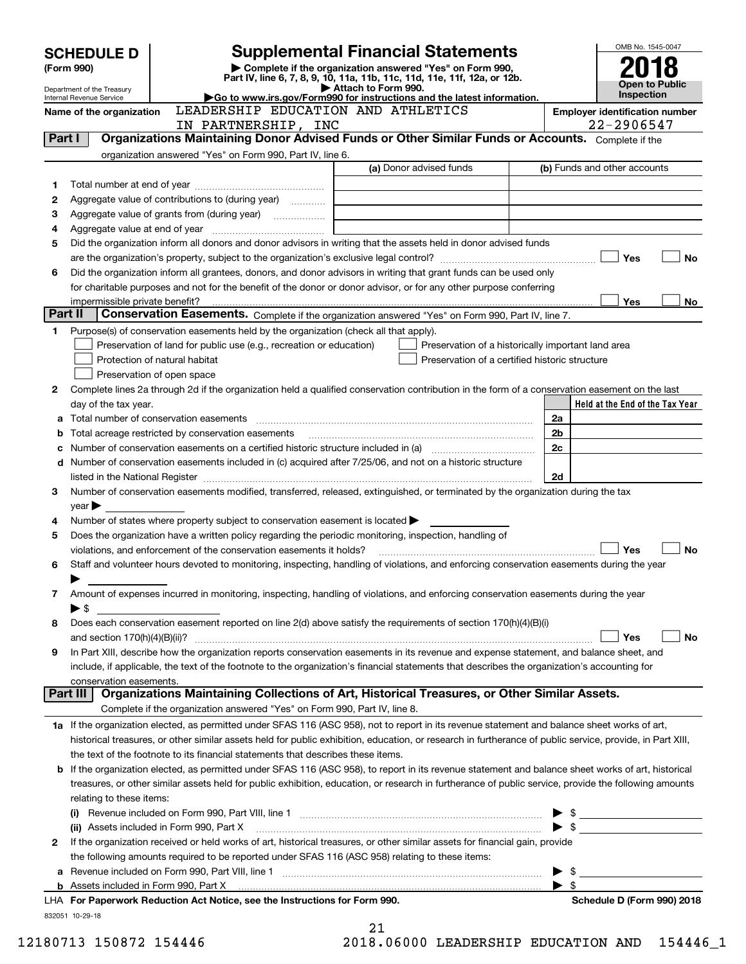|         | <b>SCHEDULE D</b>                                    |                                                                                                        | <b>Supplemental Financial Statements</b>                                                                                                                   |                                  | OMB No. 1545-0047                     |
|---------|------------------------------------------------------|--------------------------------------------------------------------------------------------------------|------------------------------------------------------------------------------------------------------------------------------------------------------------|----------------------------------|---------------------------------------|
|         | (Form 990)                                           |                                                                                                        | Complete if the organization answered "Yes" on Form 990,<br>Part IV, line 6, 7, 8, 9, 10, 11a, 11b, 11c, 11d, 11e, 11f, 12a, or 12b.                       |                                  |                                       |
|         | Department of the Treasury                           |                                                                                                        | Attach to Form 990.                                                                                                                                        |                                  | Open to Public<br><b>Inspection</b>   |
|         | Internal Revenue Service<br>Name of the organization | LEADERSHIP EDUCATION AND ATHLETICS                                                                     | Go to www.irs.gov/Form990 for instructions and the latest information.                                                                                     |                                  | <b>Employer identification number</b> |
|         |                                                      | IN PARTNERSHIP, INC                                                                                    |                                                                                                                                                            |                                  | 22-2906547                            |
| Part I  |                                                      |                                                                                                        | Organizations Maintaining Donor Advised Funds or Other Similar Funds or Accounts. Complete if the                                                          |                                  |                                       |
|         |                                                      | organization answered "Yes" on Form 990, Part IV, line 6.                                              |                                                                                                                                                            |                                  |                                       |
|         |                                                      |                                                                                                        | (a) Donor advised funds                                                                                                                                    |                                  | (b) Funds and other accounts          |
| 1       |                                                      |                                                                                                        |                                                                                                                                                            |                                  |                                       |
| 2       |                                                      | Aggregate value of contributions to (during year)                                                      |                                                                                                                                                            |                                  |                                       |
| З       |                                                      | Aggregate value of grants from (during year) <i>mimimimimial</i>                                       |                                                                                                                                                            |                                  |                                       |
| 4       |                                                      |                                                                                                        | Did the organization inform all donors and donor advisors in writing that the assets held in donor advised funds                                           |                                  |                                       |
| 5       |                                                      |                                                                                                        |                                                                                                                                                            |                                  | Yes<br><b>No</b>                      |
| 6       |                                                      |                                                                                                        | Did the organization inform all grantees, donors, and donor advisors in writing that grant funds can be used only                                          |                                  |                                       |
|         |                                                      |                                                                                                        | for charitable purposes and not for the benefit of the donor or donor advisor, or for any other purpose conferring                                         |                                  |                                       |
|         |                                                      |                                                                                                        |                                                                                                                                                            |                                  | <b>Yes</b><br>No                      |
| Part II |                                                      |                                                                                                        | Conservation Easements. Complete if the organization answered "Yes" on Form 990, Part IV, line 7.                                                          |                                  |                                       |
| 1       |                                                      | Purpose(s) of conservation easements held by the organization (check all that apply).                  |                                                                                                                                                            |                                  |                                       |
|         |                                                      | Preservation of land for public use (e.g., recreation or education)                                    | Preservation of a historically important land area                                                                                                         |                                  |                                       |
|         |                                                      | Protection of natural habitat                                                                          | Preservation of a certified historic structure                                                                                                             |                                  |                                       |
|         |                                                      | Preservation of open space                                                                             |                                                                                                                                                            |                                  |                                       |
| 2       |                                                      |                                                                                                        | Complete lines 2a through 2d if the organization held a qualified conservation contribution in the form of a conservation easement on the last             |                                  |                                       |
|         | day of the tax year.                                 |                                                                                                        |                                                                                                                                                            |                                  | Held at the End of the Tax Year       |
| a       |                                                      |                                                                                                        |                                                                                                                                                            | 2a                               |                                       |
| b       |                                                      | Total acreage restricted by conservation easements                                                     |                                                                                                                                                            | 2 <sub>b</sub><br>2 <sub>c</sub> |                                       |
| c<br>d  |                                                      |                                                                                                        | Number of conservation easements included in (c) acquired after 7/25/06, and not on a historic structure                                                   |                                  |                                       |
|         |                                                      |                                                                                                        |                                                                                                                                                            | 2d                               |                                       |
| З       |                                                      |                                                                                                        | Number of conservation easements modified, transferred, released, extinguished, or terminated by the organization during the tax                           |                                  |                                       |
|         | year                                                 |                                                                                                        |                                                                                                                                                            |                                  |                                       |
| 4       |                                                      | Number of states where property subject to conservation easement is located $\blacktriangleright$      |                                                                                                                                                            |                                  |                                       |
| 5       |                                                      | Does the organization have a written policy regarding the periodic monitoring, inspection, handling of |                                                                                                                                                            |                                  |                                       |
|         |                                                      | violations, and enforcement of the conservation easements it holds?                                    |                                                                                                                                                            |                                  | Yes<br><b>No</b>                      |
| 6       |                                                      |                                                                                                        | Staff and volunteer hours devoted to monitoring, inspecting, handling of violations, and enforcing conservation easements during the year                  |                                  |                                       |
|         |                                                      |                                                                                                        |                                                                                                                                                            |                                  |                                       |
| 7       | $\blacktriangleright$ \$                             |                                                                                                        | Amount of expenses incurred in monitoring, inspecting, handling of violations, and enforcing conservation easements during the year                        |                                  |                                       |
| 8       |                                                      |                                                                                                        | Does each conservation easement reported on line 2(d) above satisfy the requirements of section 170(h)(4)(B)(i)                                            |                                  |                                       |
|         | and section $170(h)(4)(B)(ii)?$                      |                                                                                                        |                                                                                                                                                            |                                  | Yes<br>No                             |
| 9       |                                                      |                                                                                                        | In Part XIII, describe how the organization reports conservation easements in its revenue and expense statement, and balance sheet, and                    |                                  |                                       |
|         |                                                      |                                                                                                        | include, if applicable, the text of the footnote to the organization's financial statements that describes the organization's accounting for               |                                  |                                       |
|         | conservation easements.                              |                                                                                                        |                                                                                                                                                            |                                  |                                       |
|         | Part III                                             |                                                                                                        | Organizations Maintaining Collections of Art, Historical Treasures, or Other Similar Assets.                                                               |                                  |                                       |
|         |                                                      | Complete if the organization answered "Yes" on Form 990, Part IV, line 8.                              |                                                                                                                                                            |                                  |                                       |
|         |                                                      |                                                                                                        | 1a If the organization elected, as permitted under SFAS 116 (ASC 958), not to report in its revenue statement and balance sheet works of art,              |                                  |                                       |
|         |                                                      |                                                                                                        | historical treasures, or other similar assets held for public exhibition, education, or research in furtherance of public service, provide, in Part XIII,  |                                  |                                       |
|         |                                                      | the text of the footnote to its financial statements that describes these items.                       |                                                                                                                                                            |                                  |                                       |
|         |                                                      |                                                                                                        | <b>b</b> If the organization elected, as permitted under SFAS 116 (ASC 958), to report in its revenue statement and balance sheet works of art, historical |                                  |                                       |
|         | relating to these items:                             |                                                                                                        | treasures, or other similar assets held for public exhibition, education, or research in furtherance of public service, provide the following amounts      |                                  |                                       |
|         |                                                      |                                                                                                        |                                                                                                                                                            |                                  |                                       |
|         |                                                      | (ii) Assets included in Form 990, Part X                                                               |                                                                                                                                                            | $\blacktriangleright$ \$         |                                       |
| 2       |                                                      |                                                                                                        | If the organization received or held works of art, historical treasures, or other similar assets for financial gain, provide                               |                                  |                                       |
|         |                                                      | the following amounts required to be reported under SFAS 116 (ASC 958) relating to these items:        |                                                                                                                                                            |                                  |                                       |
|         |                                                      |                                                                                                        |                                                                                                                                                            | $\blacktriangleright$ \$         |                                       |
|         |                                                      |                                                                                                        |                                                                                                                                                            | $\blacktriangleright$ \$         |                                       |
|         |                                                      | LHA For Paperwork Reduction Act Notice, see the Instructions for Form 990.                             |                                                                                                                                                            |                                  | Schedule D (Form 990) 2018            |
|         | 832051 10-29-18                                      |                                                                                                        | 21                                                                                                                                                         |                                  |                                       |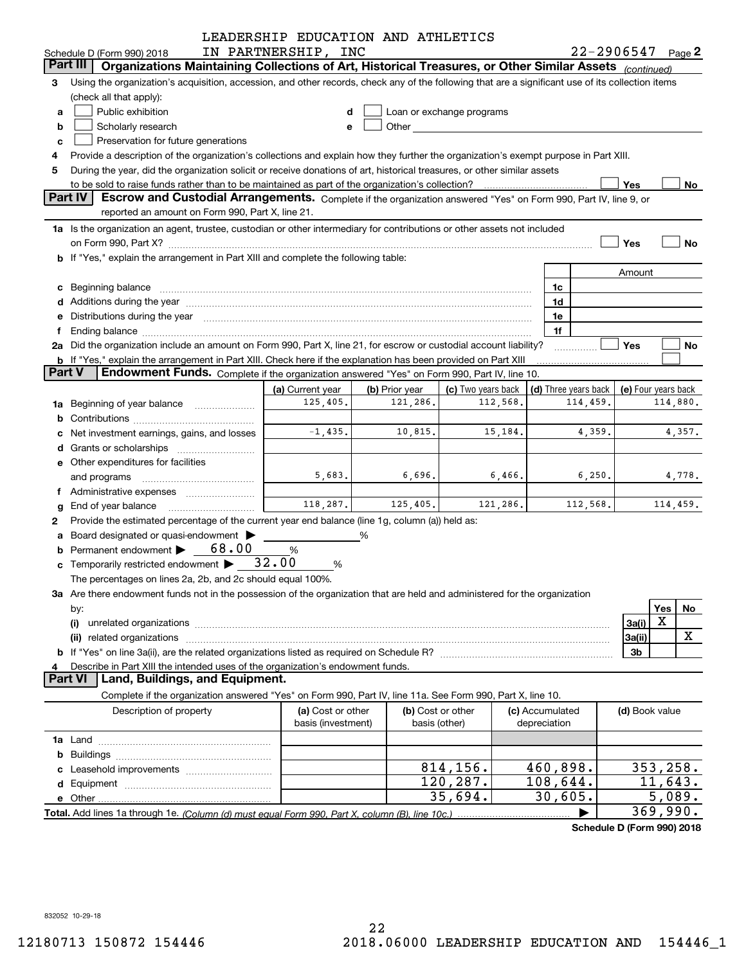|               |                                                                                                                                                                                                                                      | LEADERSHIP EDUCATION AND ATHLETICS |                |                           |  |                      |  |                            |     |           |
|---------------|--------------------------------------------------------------------------------------------------------------------------------------------------------------------------------------------------------------------------------------|------------------------------------|----------------|---------------------------|--|----------------------|--|----------------------------|-----|-----------|
|               | Schedule D (Form 990) 2018                                                                                                                                                                                                           | IN PARTNERSHIP, INC                |                |                           |  |                      |  | $22 - 2906547$ Page 2      |     |           |
|               | Organizations Maintaining Collections of Art, Historical Treasures, or Other Similar Assets (continued)<br><b>Part III</b>                                                                                                           |                                    |                |                           |  |                      |  |                            |     |           |
| 3             | Using the organization's acquisition, accession, and other records, check any of the following that are a significant use of its collection items                                                                                    |                                    |                |                           |  |                      |  |                            |     |           |
|               | (check all that apply):                                                                                                                                                                                                              |                                    |                |                           |  |                      |  |                            |     |           |
| a             | Public exhibition                                                                                                                                                                                                                    |                                    |                | Loan or exchange programs |  |                      |  |                            |     |           |
| b             | Scholarly research                                                                                                                                                                                                                   | e                                  |                |                           |  |                      |  |                            |     |           |
| c             | Preservation for future generations                                                                                                                                                                                                  |                                    |                |                           |  |                      |  |                            |     |           |
|               | Provide a description of the organization's collections and explain how they further the organization's exempt purpose in Part XIII.                                                                                                 |                                    |                |                           |  |                      |  |                            |     |           |
| 5             | During the year, did the organization solicit or receive donations of art, historical treasures, or other similar assets                                                                                                             |                                    |                |                           |  |                      |  |                            |     |           |
|               | to be sold to raise funds rather than to be maintained as part of the organization's collection?                                                                                                                                     |                                    |                |                           |  |                      |  | Yes                        |     | No        |
|               | Part IV<br>Escrow and Custodial Arrangements. Complete if the organization answered "Yes" on Form 990, Part IV, line 9, or                                                                                                           |                                    |                |                           |  |                      |  |                            |     |           |
|               | reported an amount on Form 990, Part X, line 21.                                                                                                                                                                                     |                                    |                |                           |  |                      |  |                            |     |           |
|               | 1a Is the organization an agent, trustee, custodian or other intermediary for contributions or other assets not included                                                                                                             |                                    |                |                           |  |                      |  |                            |     |           |
|               |                                                                                                                                                                                                                                      |                                    |                |                           |  |                      |  | Yes                        |     | No        |
|               | b If "Yes," explain the arrangement in Part XIII and complete the following table:                                                                                                                                                   |                                    |                |                           |  |                      |  |                            |     |           |
|               |                                                                                                                                                                                                                                      |                                    |                |                           |  |                      |  | Amount                     |     |           |
|               | c Beginning balance <b>contract to the contract of the contract of the contract of the contract of the contract of the contract of the contract of the contract of the contract of the contract of the contract of the contract </b> |                                    |                |                           |  | 1c                   |  |                            |     |           |
|               |                                                                                                                                                                                                                                      |                                    |                |                           |  | 1d                   |  |                            |     |           |
|               | e Distributions during the year manufactured and continuum and contact the year manufactured and contact the year manufactured and contact the year manufactured and contact the year manufactured and contact the year manufa       |                                    |                |                           |  | 1e                   |  |                            |     |           |
|               |                                                                                                                                                                                                                                      |                                    |                |                           |  | 1f                   |  |                            |     |           |
|               | 2a Did the organization include an amount on Form 990, Part X, line 21, for escrow or custodial account liability?                                                                                                                   |                                    |                |                           |  |                      |  | Yes                        |     | No        |
|               | <b>b</b> If "Yes," explain the arrangement in Part XIII. Check here if the explanation has been provided on Part XIII                                                                                                                |                                    |                |                           |  |                      |  |                            |     |           |
| <b>Part V</b> | Endowment Funds. Complete if the organization answered "Yes" on Form 990, Part IV, line 10.                                                                                                                                          |                                    |                |                           |  |                      |  |                            |     |           |
|               |                                                                                                                                                                                                                                      | (a) Current year                   | (b) Prior year | (c) Two years back        |  | (d) Three years back |  | (e) Four years back        |     |           |
|               | 1a Beginning of year balance                                                                                                                                                                                                         | 125,405.                           | 121,286.       | 112,568.                  |  | 114,459.             |  | 114,880.                   |     |           |
| b             |                                                                                                                                                                                                                                      |                                    |                |                           |  |                      |  |                            |     |           |
|               | Net investment earnings, gains, and losses                                                                                                                                                                                           | $-1,435.$                          | 10,815.        | 15,184.                   |  |                      |  | 4,357.                     |     |           |
|               |                                                                                                                                                                                                                                      | 4,359.                             |                |                           |  |                      |  |                            |     |           |
|               |                                                                                                                                                                                                                                      |                                    |                |                           |  |                      |  |                            |     |           |
|               | e Other expenditures for facilities                                                                                                                                                                                                  | 5,683.                             | 6,696.         | 6,466.                    |  | 6,250.               |  |                            |     | 4,778.    |
|               | and programs                                                                                                                                                                                                                         |                                    |                |                           |  |                      |  |                            |     |           |
|               |                                                                                                                                                                                                                                      | 118, 287.                          | 125, 405.      | 121.286.                  |  | 112,568.             |  |                            |     | 114,459.  |
| g             | End of year balance                                                                                                                                                                                                                  |                                    |                |                           |  |                      |  |                            |     |           |
| 2             | Provide the estimated percentage of the current year end balance (line 1g, column (a)) held as:                                                                                                                                      |                                    |                |                           |  |                      |  |                            |     |           |
|               | Board designated or quasi-endowment                                                                                                                                                                                                  |                                    | %              |                           |  |                      |  |                            |     |           |
|               | Permanent endowment $\triangleright$ 68.00                                                                                                                                                                                           | %                                  |                |                           |  |                      |  |                            |     |           |
|               | <b>c</b> Temporarily restricted endowment $\triangleright$ 32.00                                                                                                                                                                     | %                                  |                |                           |  |                      |  |                            |     |           |
|               | The percentages on lines 2a, 2b, and 2c should equal 100%.                                                                                                                                                                           |                                    |                |                           |  |                      |  |                            |     |           |
|               | 3a Are there endowment funds not in the possession of the organization that are held and administered for the organization                                                                                                           |                                    |                |                           |  |                      |  |                            |     |           |
|               | by:                                                                                                                                                                                                                                  |                                    |                |                           |  |                      |  |                            | Yes | No        |
|               | (i)                                                                                                                                                                                                                                  |                                    |                |                           |  |                      |  | 3a(i)                      | X   |           |
|               | related organizations<br>(ii)                                                                                                                                                                                                        |                                    |                |                           |  |                      |  | 3a(ii)                     |     | х         |
|               |                                                                                                                                                                                                                                      |                                    |                |                           |  |                      |  | 3b                         |     |           |
|               | Describe in Part XIII the intended uses of the organization's endowment funds.                                                                                                                                                       |                                    |                |                           |  |                      |  |                            |     |           |
|               | Land, Buildings, and Equipment.<br><b>Part VI</b>                                                                                                                                                                                    |                                    |                |                           |  |                      |  |                            |     |           |
|               | Complete if the organization answered "Yes" on Form 990, Part IV, line 11a. See Form 990, Part X, line 10.                                                                                                                           |                                    |                |                           |  |                      |  |                            |     |           |
|               | Description of property                                                                                                                                                                                                              | (a) Cost or other                  |                | (b) Cost or other         |  | (c) Accumulated      |  | (d) Book value             |     |           |
|               |                                                                                                                                                                                                                                      | basis (investment)                 |                | basis (other)             |  | depreciation         |  |                            |     |           |
|               |                                                                                                                                                                                                                                      |                                    |                |                           |  |                      |  |                            |     |           |
|               |                                                                                                                                                                                                                                      |                                    |                |                           |  |                      |  |                            |     |           |
|               |                                                                                                                                                                                                                                      |                                    |                | 814,156.                  |  | 460,898.             |  |                            |     | 353, 258. |
|               |                                                                                                                                                                                                                                      |                                    |                | 120,287.                  |  | 108,644.             |  |                            |     | 11,643.   |
|               |                                                                                                                                                                                                                                      |                                    |                | 35,694.                   |  | 30,605.              |  |                            |     | 5,089.    |
|               | Total. Add lines 1a through 1e. (Column (d) must equal Form 990. Part X. column (B). line 10c.)                                                                                                                                      |                                    |                |                           |  |                      |  | 369,990.                   |     |           |
|               |                                                                                                                                                                                                                                      |                                    |                |                           |  |                      |  | Schedule D (Form 990) 2018 |     |           |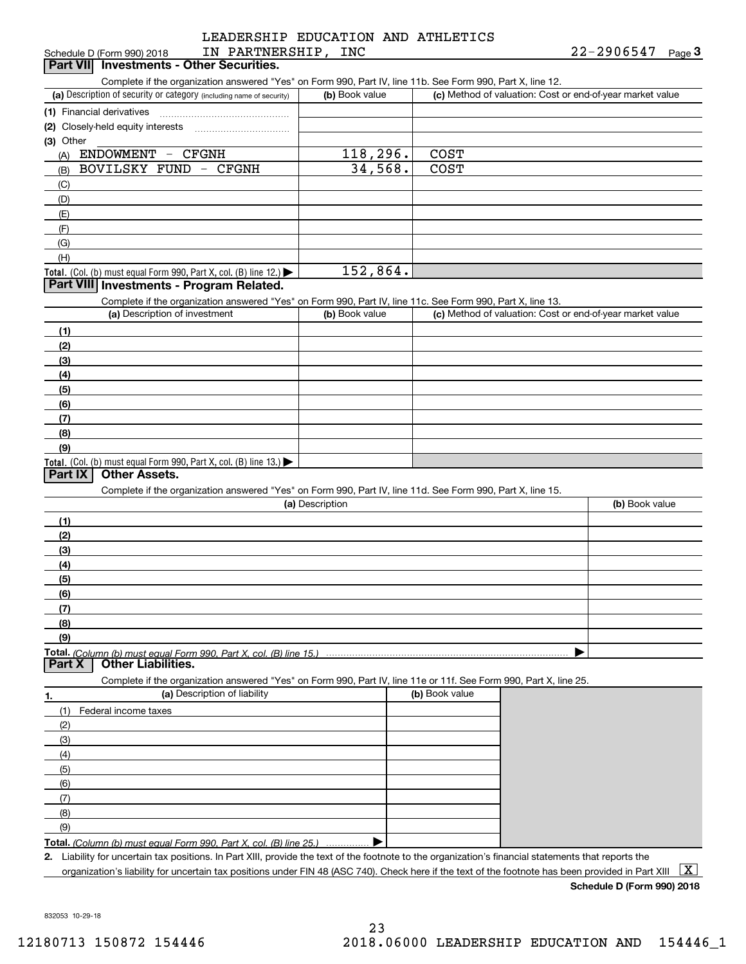#### Schedule D (Form 990) 2018 IN PARTNERSHIP,INC 22-2906547 Page LEADERSHIP EDUCATION AND ATHLETICS

| Schedule D (Form 990) 2018 |  | PARTNERSHIP<br>IN                               | INC | $22 - 2906547$ | نة Page |
|----------------------------|--|-------------------------------------------------|-----|----------------|---------|
|                            |  | <b>Part VII</b> Investments - Other Securities. |     |                |         |

Complete if the organization answered "Yes" on Form 990, Part IV, line 11b. See Form 990, Part X, line 12.

| (a) Description of security or category (including name of security)       | (b) Book value | (c) Method of valuation: Cost or end-of-year market value |
|----------------------------------------------------------------------------|----------------|-----------------------------------------------------------|
| (1) Financial derivatives                                                  |                |                                                           |
| (2) Closely-held equity interests                                          |                |                                                           |
| (3) Other                                                                  |                |                                                           |
| ENDOWMENT<br><b>CFGNH</b><br>$\overline{\phantom{0}}$<br>(A)               | 118, 296.      | <b>COST</b>                                               |
| BOVILSKY FUND<br><b>CFGNH</b><br>$-$<br>(B)                                | 34,568.        | <b>COST</b>                                               |
| (C)                                                                        |                |                                                           |
| (D)                                                                        |                |                                                           |
| (E)                                                                        |                |                                                           |
| (F)                                                                        |                |                                                           |
| (G)                                                                        |                |                                                           |
| (H)                                                                        |                |                                                           |
| <b>Total.</b> (Col. (b) must equal Form 990, Part X, col. (B) line $12$ .) | 152,864.       |                                                           |

# **Part VIII Investments - Program Related.**

Complete if the organization answered "Yes" on Form 990, Part IV, line 11c. See Form 990, Part X, line 13.

| (a) Description of investment                                       | (b) Book value | (c) Method of valuation: Cost or end-of-year market value |
|---------------------------------------------------------------------|----------------|-----------------------------------------------------------|
| (1)                                                                 |                |                                                           |
| (2)                                                                 |                |                                                           |
| $\frac{1}{2}$                                                       |                |                                                           |
| (4)                                                                 |                |                                                           |
| $\left(5\right)$                                                    |                |                                                           |
| (6)                                                                 |                |                                                           |
| (7)                                                                 |                |                                                           |
| (8)                                                                 |                |                                                           |
| (9)                                                                 |                |                                                           |
| Total. (Col. (b) must equal Form 990, Part X, col. (B) line $13.$ ) |                |                                                           |

### **Part IX Other Assets.**

Complete if the organization answered "Yes" on Form 990, Part IV, line 11d. See Form 990, Part X, line 15.

| (a) Description | (b) Book value |
|-----------------|----------------|
| (1)             |                |
| (2)             |                |
| (3)             |                |
| (4)             |                |
| $\frac{1}{2}$   |                |
| (6)             |                |
|                 |                |
| (8)             |                |
| (9)             |                |
|                 |                |

#### **Part X Other Liabilities.**

Complete if the organization answered "Yes" on Form 990, Part IV, line 11e or 11f. See Form 990, Part X, line 25.

| 1.  | (a) Description of liability                                       | (b) Book value |
|-----|--------------------------------------------------------------------|----------------|
| (1) | Federal income taxes                                               |                |
| (2) |                                                                    |                |
| (3) |                                                                    |                |
| (4) |                                                                    |                |
| (5) |                                                                    |                |
| (6) |                                                                    |                |
| (7) |                                                                    |                |
| (8) |                                                                    |                |
| (9) |                                                                    |                |
|     | $Total (Colving (b) must equal Form 000. Part X, and (D) line 25)$ |                |

**Total.**  *(Column (b) must equal Form 990, Part X, col. (B) line 25.)* . . . . . . . . . . . . . . . …. ▶

**2.**Liability for uncertain tax positions. In Part XIII, provide the text of the footnote to the organization's financial statements that reports the organization's liability for uncertain tax positions under FIN 48 (ASC 740). Check here if the text of the footnote has been provided in Part XIII  $~\boxed{\rm X}$ 

**Schedule D (Form 990) 2018**

832053 10-29-18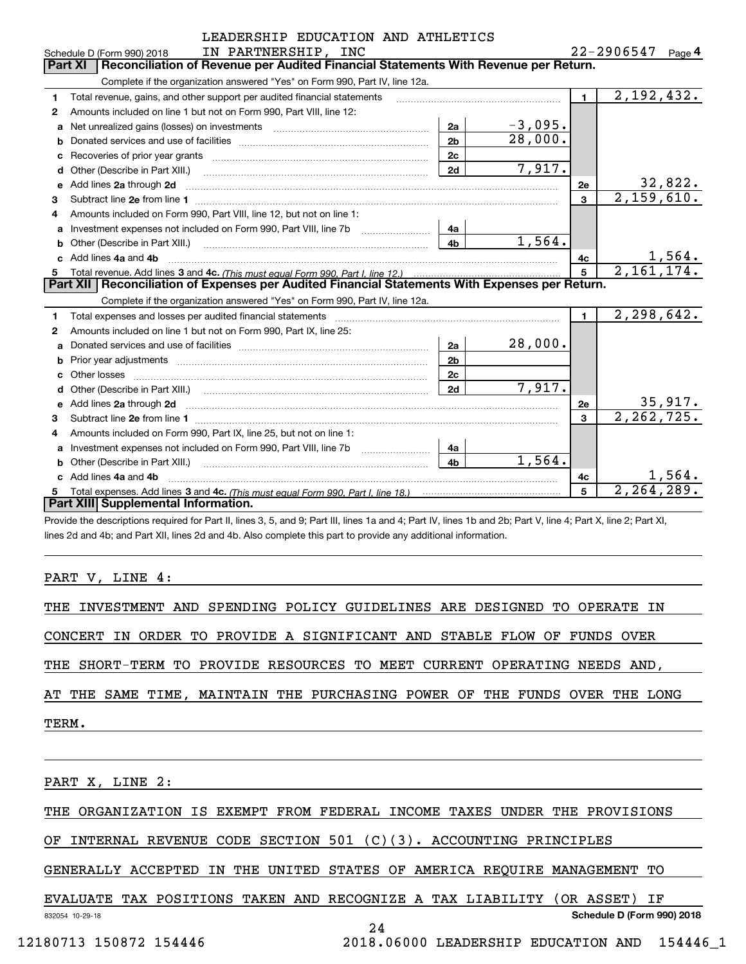|              | LEADERSHIP EDUCATION AND ATHLETICS                                                                                                                                                                                                 |                |           |                       |                          |                |  |  |  |  |
|--------------|------------------------------------------------------------------------------------------------------------------------------------------------------------------------------------------------------------------------------------|----------------|-----------|-----------------------|--------------------------|----------------|--|--|--|--|
|              | IN PARTNERSHIP, INC<br>Schedule D (Form 990) 2018                                                                                                                                                                                  |                |           | $22 - 2906547$ Page 4 |                          |                |  |  |  |  |
|              | Reconciliation of Revenue per Audited Financial Statements With Revenue per Return.<br><b>Part XI</b>                                                                                                                              |                |           |                       |                          |                |  |  |  |  |
|              | Complete if the organization answered "Yes" on Form 990, Part IV, line 12a.                                                                                                                                                        |                |           |                       |                          |                |  |  |  |  |
| 1            | Total revenue, gains, and other support per audited financial statements                                                                                                                                                           |                |           | $\mathbf{1}$          | 2,192,432.               |                |  |  |  |  |
| $\mathbf{2}$ | Amounts included on line 1 but not on Form 990, Part VIII, line 12:                                                                                                                                                                |                |           |                       |                          |                |  |  |  |  |
| a            | Net unrealized gains (losses) on investments [11] matter contracts and the unrealized gains (losses) on investments                                                                                                                | 2a             | $-3,095.$ |                       |                          |                |  |  |  |  |
| b            |                                                                                                                                                                                                                                    | 2 <sub>b</sub> | 28,000.   |                       |                          |                |  |  |  |  |
| c            |                                                                                                                                                                                                                                    | 2c             |           |                       |                          |                |  |  |  |  |
| d            | Other (Describe in Part XIII.)                                                                                                                                                                                                     | 2d             | 7,917.    |                       |                          |                |  |  |  |  |
| е            | Add lines 2a through 2d                                                                                                                                                                                                            |                |           | <b>2e</b>             |                          | <u>32,822.</u> |  |  |  |  |
| З            |                                                                                                                                                                                                                                    |                |           | 3                     | 2,159,610.               |                |  |  |  |  |
| 4            | Amounts included on Form 990, Part VIII, line 12, but not on line 1:                                                                                                                                                               |                |           |                       |                          |                |  |  |  |  |
| a            |                                                                                                                                                                                                                                    | 4a             |           |                       |                          |                |  |  |  |  |
|              |                                                                                                                                                                                                                                    | 4 <sub>b</sub> | 1,564.    |                       |                          |                |  |  |  |  |
|              | c Add lines 4a and 4b                                                                                                                                                                                                              |                |           | 4c                    |                          | 1,564.         |  |  |  |  |
| 5            |                                                                                                                                                                                                                                    |                |           | 5                     | 2,161,174.               |                |  |  |  |  |
|              | Part XII   Reconciliation of Expenses per Audited Financial Statements With Expenses per Return.                                                                                                                                   |                |           |                       |                          |                |  |  |  |  |
|              | Complete if the organization answered "Yes" on Form 990, Part IV, line 12a.                                                                                                                                                        |                |           |                       |                          |                |  |  |  |  |
| 1            |                                                                                                                                                                                                                                    |                |           | $\mathbf{1}$          | 2,298,642.               |                |  |  |  |  |
| 2            | Amounts included on line 1 but not on Form 990, Part IX, line 25:                                                                                                                                                                  |                |           |                       |                          |                |  |  |  |  |
| a            |                                                                                                                                                                                                                                    | 2a             | 28,000.   |                       |                          |                |  |  |  |  |
|              | Prior year adjustments <i>www.www.www.www.www.www.www.www.www.</i> ww.                                                                                                                                                             | 2 <sub>b</sub> |           |                       |                          |                |  |  |  |  |
| c.           |                                                                                                                                                                                                                                    | 2c             |           |                       |                          |                |  |  |  |  |
|              |                                                                                                                                                                                                                                    | 2d             | 7,917.    |                       |                          |                |  |  |  |  |
| е            | Add lines 2a through 2d <b>manufactures</b> in the contract of the contract of the contract of the contract of the contract of the contract of the contract of the contract of the contract of the contract of the contract of the |                |           | <b>2e</b>             |                          | 35,917.        |  |  |  |  |
| З            |                                                                                                                                                                                                                                    |                |           | 3                     | $\overline{2,262,725}$ . |                |  |  |  |  |
| 4            | Amounts included on Form 990, Part IX, line 25, but not on line 1:                                                                                                                                                                 |                |           |                       |                          |                |  |  |  |  |
| a            |                                                                                                                                                                                                                                    | 4a             |           |                       |                          |                |  |  |  |  |
|              | Other (Describe in Part XIII.)                                                                                                                                                                                                     | 4 <sub>b</sub> | 1.564.    |                       |                          |                |  |  |  |  |
|              | Add lines 4a and 4b                                                                                                                                                                                                                |                |           | 4c                    |                          | 1,564.         |  |  |  |  |
|              |                                                                                                                                                                                                                                    |                |           | 5                     | 2,264,289.               |                |  |  |  |  |
|              | Part XIII Supplemental Information.                                                                                                                                                                                                |                |           |                       |                          |                |  |  |  |  |

Provide the descriptions required for Part II, lines 3, 5, and 9; Part III, lines 1a and 4; Part IV, lines 1b and 2b; Part V, line 4; Part X, line 2; Part XI, lines 2d and 4b; and Part XII, lines 2d and 4b. Also complete this part to provide any additional information.

PART V, LINE 4:

|                 |  |  |  |  |  |                                                                    | THE INVESTMENT AND SPENDING POLICY GUIDELINES ARE DESIGNED TO OPERATE IN   |  |
|-----------------|--|--|--|--|--|--------------------------------------------------------------------|----------------------------------------------------------------------------|--|
|                 |  |  |  |  |  |                                                                    | CONCERT IN ORDER TO PROVIDE A SIGNIFICANT AND STABLE FLOW OF FUNDS OVER    |  |
|                 |  |  |  |  |  |                                                                    | THE SHORT-TERM TO PROVIDE RESOURCES TO MEET CURRENT OPERATING NEEDS AND,   |  |
|                 |  |  |  |  |  |                                                                    | AT THE SAME TIME, MAINTAIN THE PURCHASING POWER OF THE FUNDS OVER THE LONG |  |
| TERM.           |  |  |  |  |  |                                                                    |                                                                            |  |
|                 |  |  |  |  |  |                                                                    |                                                                            |  |
| PART X, LINE 2: |  |  |  |  |  |                                                                    |                                                                            |  |
|                 |  |  |  |  |  |                                                                    | THE ORGANIZATION IS EXEMPT FROM FEDERAL INCOME TAXES UNDER THE PROVISIONS  |  |
|                 |  |  |  |  |  | OF INTERNAL REVENUE CODE SECTION 501 (C)(3). ACCOUNTING PRINCIPLES |                                                                            |  |
|                 |  |  |  |  |  |                                                                    |                                                                            |  |

GENERALLY ACCEPTED IN THE UNITED STATES OF AMERICA REQUIRE MANAGEMENT TO

832054 10-29-18 EVALUATE TAX POSITIONS TAKEN AND RECOGNIZE A TAX LIABILITY (OR ASSET) IF

**Schedule D (Form 990) 2018**

24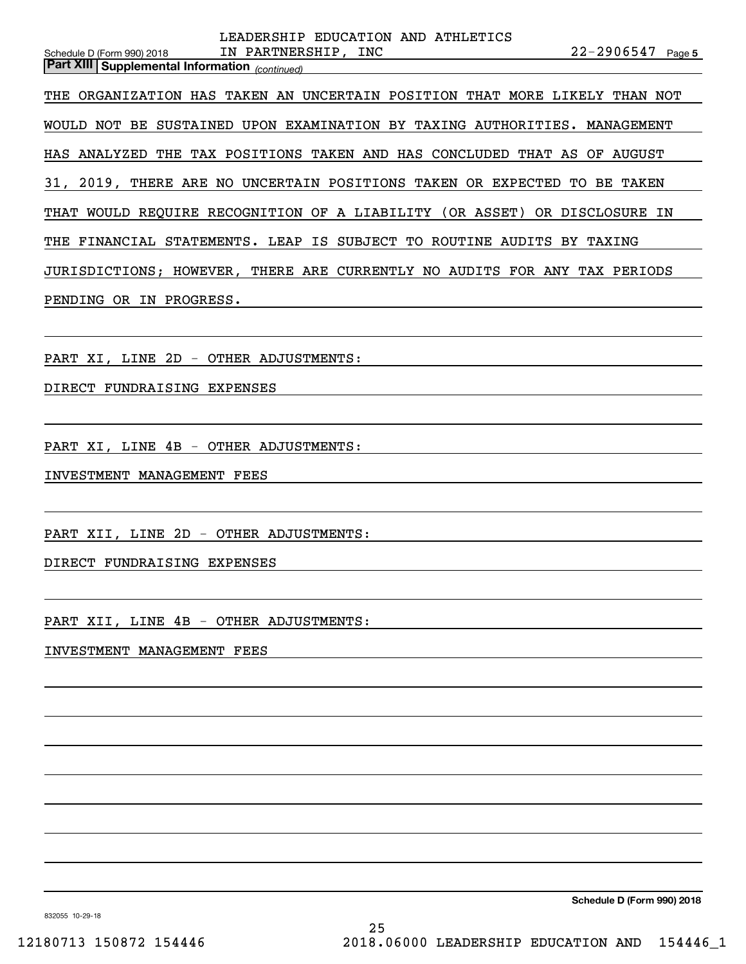| LEADERSHIP EDUCATION AND ATHLETICS                                                                                                             |
|------------------------------------------------------------------------------------------------------------------------------------------------|
| $22-2906547$ Page 5<br>IN PARTNERSHIP, INC<br>Schedule D (Form 990) 2018<br>Part XIII Supplemental Information (continued) <b>Supplemental</b> |
|                                                                                                                                                |
| THE ORGANIZATION HAS TAKEN AN UNCERTAIN POSITION THAT MORE LIKELY THAN NOT                                                                     |
| WOULD NOT BE SUSTAINED UPON EXAMINATION BY TAXING AUTHORITIES. MANAGEMENT                                                                      |
| HAS ANALYZED THE TAX POSITIONS TAKEN AND HAS CONCLUDED THAT AS OF AUGUST                                                                       |
| 31, 2019, THERE ARE NO UNCERTAIN POSITIONS TAKEN OR EXPECTED TO BE TAKEN                                                                       |
| THAT WOULD REQUIRE RECOGNITION OF A LIABILITY (OR ASSET) OR DISCLOSURE IN                                                                      |
| THE FINANCIAL STATEMENTS. LEAP IS SUBJECT TO ROUTINE AUDITS BY TAXING                                                                          |
| JURISDICTIONS; HOWEVER, THERE ARE CURRENTLY NO AUDITS FOR ANY TAX PERIODS                                                                      |
| PENDING OR IN PROGRESS.                                                                                                                        |
|                                                                                                                                                |
| PART XI, LINE 2D - OTHER ADJUSTMENTS:                                                                                                          |
| DIRECT FUNDRAISING EXPENSES                                                                                                                    |
|                                                                                                                                                |
|                                                                                                                                                |
| PART XI, LINE 4B - OTHER ADJUSTMENTS:                                                                                                          |
| INVESTMENT MANAGEMENT FEES                                                                                                                     |
|                                                                                                                                                |
| PART XII, LINE 2D - OTHER ADJUSTMENTS:                                                                                                         |
| DIRECT FUNDRAISING EXPENSES                                                                                                                    |
|                                                                                                                                                |
| PART XII, LINE 4B - OTHER ADJUSTMENTS:                                                                                                         |
| INVESTMENT MANAGEMENT FEES                                                                                                                     |
|                                                                                                                                                |
|                                                                                                                                                |
|                                                                                                                                                |
|                                                                                                                                                |
|                                                                                                                                                |
|                                                                                                                                                |
|                                                                                                                                                |
|                                                                                                                                                |
|                                                                                                                                                |

**Schedule D (Form 990) 2018**

832055 10-29-18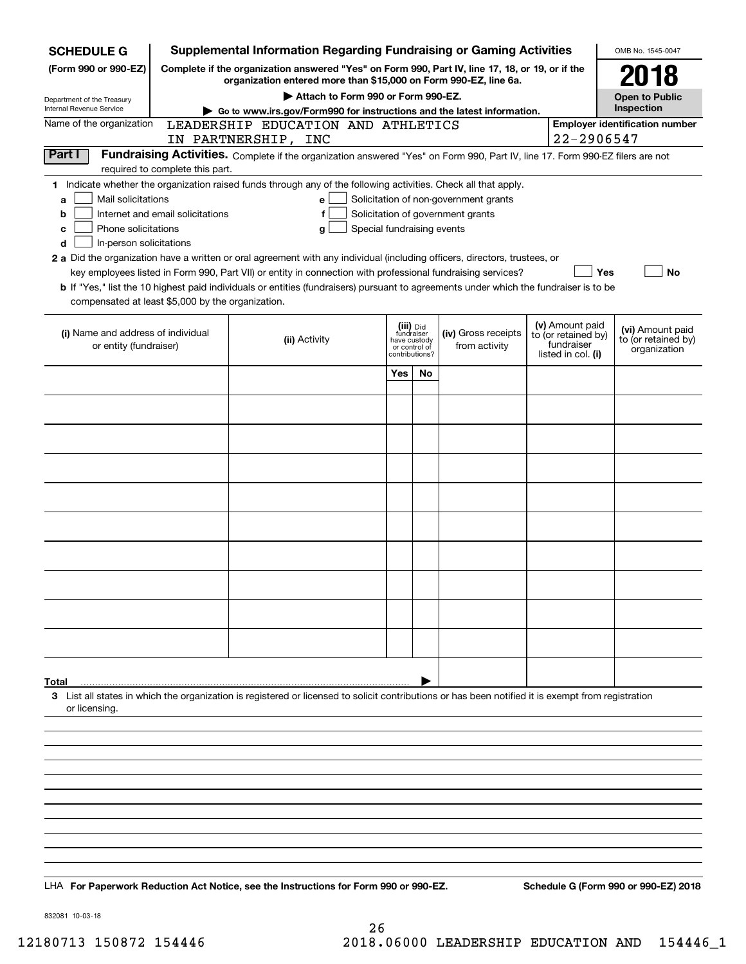| <b>SCHEDULE G</b>                                                                        |                                                                                                                                                                              | <b>Supplemental Information Regarding Fundraising or Gaming Activities</b>                                                                                                                                                                                                                                                                                                                           |                                                                            |           |                                                                            |  |                                                                            | OMB No. 1545-0047                                       |  |  |  |  |
|------------------------------------------------------------------------------------------|------------------------------------------------------------------------------------------------------------------------------------------------------------------------------|------------------------------------------------------------------------------------------------------------------------------------------------------------------------------------------------------------------------------------------------------------------------------------------------------------------------------------------------------------------------------------------------------|----------------------------------------------------------------------------|-----------|----------------------------------------------------------------------------|--|----------------------------------------------------------------------------|---------------------------------------------------------|--|--|--|--|
| (Form 990 or 990-EZ)                                                                     | Complete if the organization answered "Yes" on Form 990, Part IV, line 17, 18, or 19, or if the                                                                              |                                                                                                                                                                                                                                                                                                                                                                                                      | 2018                                                                       |           |                                                                            |  |                                                                            |                                                         |  |  |  |  |
|                                                                                          | organization entered more than \$15,000 on Form 990-EZ, line 6a.                                                                                                             |                                                                                                                                                                                                                                                                                                                                                                                                      | <b>Open to Public</b>                                                      |           |                                                                            |  |                                                                            |                                                         |  |  |  |  |
| Department of the Treasury<br>Internal Revenue Service                                   | Go to www.irs.gov/Form990 for instructions and the latest information.                                                                                                       |                                                                                                                                                                                                                                                                                                                                                                                                      | Inspection                                                                 |           |                                                                            |  |                                                                            |                                                         |  |  |  |  |
| Name of the organization                                                                 | LEADERSHIP EDUCATION AND ATHLETICS                                                                                                                                           |                                                                                                                                                                                                                                                                                                                                                                                                      | <b>Employer identification number</b>                                      |           |                                                                            |  |                                                                            |                                                         |  |  |  |  |
|                                                                                          | 22-2906547<br>IN PARTNERSHIP, INC<br>Part I<br>Fundraising Activities. Complete if the organization answered "Yes" on Form 990, Part IV, line 17. Form 990-EZ filers are not |                                                                                                                                                                                                                                                                                                                                                                                                      |                                                                            |           |                                                                            |  |                                                                            |                                                         |  |  |  |  |
|                                                                                          | required to complete this part.                                                                                                                                              |                                                                                                                                                                                                                                                                                                                                                                                                      |                                                                            |           |                                                                            |  |                                                                            |                                                         |  |  |  |  |
| Mail solicitations<br>a<br>b<br>Phone solicitations<br>с<br>In-person solicitations<br>d | Internet and email solicitations                                                                                                                                             | 1 Indicate whether the organization raised funds through any of the following activities. Check all that apply.<br>e<br>Special fundraising events<br>g<br>2 a Did the organization have a written or oral agreement with any individual (including officers, directors, trustees, or<br>key employees listed in Form 990, Part VII) or entity in connection with professional fundraising services? |                                                                            |           | Solicitation of non-government grants<br>Solicitation of government grants |  | Yes                                                                        | No                                                      |  |  |  |  |
| compensated at least \$5,000 by the organization.                                        |                                                                                                                                                                              | <b>b</b> If "Yes," list the 10 highest paid individuals or entities (fundraisers) pursuant to agreements under which the fundraiser is to be                                                                                                                                                                                                                                                         |                                                                            |           |                                                                            |  |                                                                            |                                                         |  |  |  |  |
| (i) Name and address of individual<br>or entity (fundraiser)                             |                                                                                                                                                                              | (ii) Activity                                                                                                                                                                                                                                                                                                                                                                                        | (iii) Did<br>fundraiser<br>have custody<br>or control of<br>contributions? |           | (iv) Gross receipts<br>from activity                                       |  | (v) Amount paid<br>to (or retained by)<br>fundraiser<br>listed in col. (i) | (vi) Amount paid<br>to (or retained by)<br>organization |  |  |  |  |
|                                                                                          |                                                                                                                                                                              |                                                                                                                                                                                                                                                                                                                                                                                                      | Yes                                                                        | <b>No</b> |                                                                            |  |                                                                            |                                                         |  |  |  |  |
|                                                                                          |                                                                                                                                                                              |                                                                                                                                                                                                                                                                                                                                                                                                      |                                                                            |           |                                                                            |  |                                                                            |                                                         |  |  |  |  |
|                                                                                          |                                                                                                                                                                              |                                                                                                                                                                                                                                                                                                                                                                                                      |                                                                            |           |                                                                            |  |                                                                            |                                                         |  |  |  |  |
|                                                                                          |                                                                                                                                                                              |                                                                                                                                                                                                                                                                                                                                                                                                      |                                                                            |           |                                                                            |  |                                                                            |                                                         |  |  |  |  |
|                                                                                          |                                                                                                                                                                              |                                                                                                                                                                                                                                                                                                                                                                                                      |                                                                            |           |                                                                            |  |                                                                            |                                                         |  |  |  |  |
|                                                                                          |                                                                                                                                                                              |                                                                                                                                                                                                                                                                                                                                                                                                      |                                                                            |           |                                                                            |  |                                                                            |                                                         |  |  |  |  |
|                                                                                          |                                                                                                                                                                              |                                                                                                                                                                                                                                                                                                                                                                                                      |                                                                            |           |                                                                            |  |                                                                            |                                                         |  |  |  |  |
|                                                                                          |                                                                                                                                                                              |                                                                                                                                                                                                                                                                                                                                                                                                      |                                                                            |           |                                                                            |  |                                                                            |                                                         |  |  |  |  |
|                                                                                          |                                                                                                                                                                              |                                                                                                                                                                                                                                                                                                                                                                                                      |                                                                            |           |                                                                            |  |                                                                            |                                                         |  |  |  |  |
|                                                                                          |                                                                                                                                                                              |                                                                                                                                                                                                                                                                                                                                                                                                      |                                                                            |           |                                                                            |  |                                                                            |                                                         |  |  |  |  |
|                                                                                          |                                                                                                                                                                              |                                                                                                                                                                                                                                                                                                                                                                                                      |                                                                            |           |                                                                            |  |                                                                            |                                                         |  |  |  |  |
|                                                                                          |                                                                                                                                                                              |                                                                                                                                                                                                                                                                                                                                                                                                      |                                                                            |           |                                                                            |  |                                                                            |                                                         |  |  |  |  |
| Total                                                                                    |                                                                                                                                                                              | 3 List all states in which the organization is registered or licensed to solicit contributions or has been notified it is exempt from registration                                                                                                                                                                                                                                                   |                                                                            |           |                                                                            |  |                                                                            |                                                         |  |  |  |  |
| or licensing.                                                                            |                                                                                                                                                                              |                                                                                                                                                                                                                                                                                                                                                                                                      |                                                                            |           |                                                                            |  |                                                                            |                                                         |  |  |  |  |
|                                                                                          |                                                                                                                                                                              |                                                                                                                                                                                                                                                                                                                                                                                                      |                                                                            |           |                                                                            |  |                                                                            |                                                         |  |  |  |  |
|                                                                                          |                                                                                                                                                                              |                                                                                                                                                                                                                                                                                                                                                                                                      |                                                                            |           |                                                                            |  |                                                                            |                                                         |  |  |  |  |
|                                                                                          |                                                                                                                                                                              |                                                                                                                                                                                                                                                                                                                                                                                                      |                                                                            |           |                                                                            |  |                                                                            |                                                         |  |  |  |  |
|                                                                                          |                                                                                                                                                                              |                                                                                                                                                                                                                                                                                                                                                                                                      |                                                                            |           |                                                                            |  |                                                                            |                                                         |  |  |  |  |
|                                                                                          |                                                                                                                                                                              |                                                                                                                                                                                                                                                                                                                                                                                                      |                                                                            |           |                                                                            |  |                                                                            |                                                         |  |  |  |  |
|                                                                                          |                                                                                                                                                                              |                                                                                                                                                                                                                                                                                                                                                                                                      |                                                                            |           |                                                                            |  |                                                                            |                                                         |  |  |  |  |
|                                                                                          |                                                                                                                                                                              | LHA For Paperwork Reduction Act Notice, see the Instructions for Form 990 or 990-EZ.                                                                                                                                                                                                                                                                                                                 |                                                                            |           |                                                                            |  |                                                                            | Schedule G (Form 990 or 990-EZ) 2018                    |  |  |  |  |

832081 10-03-18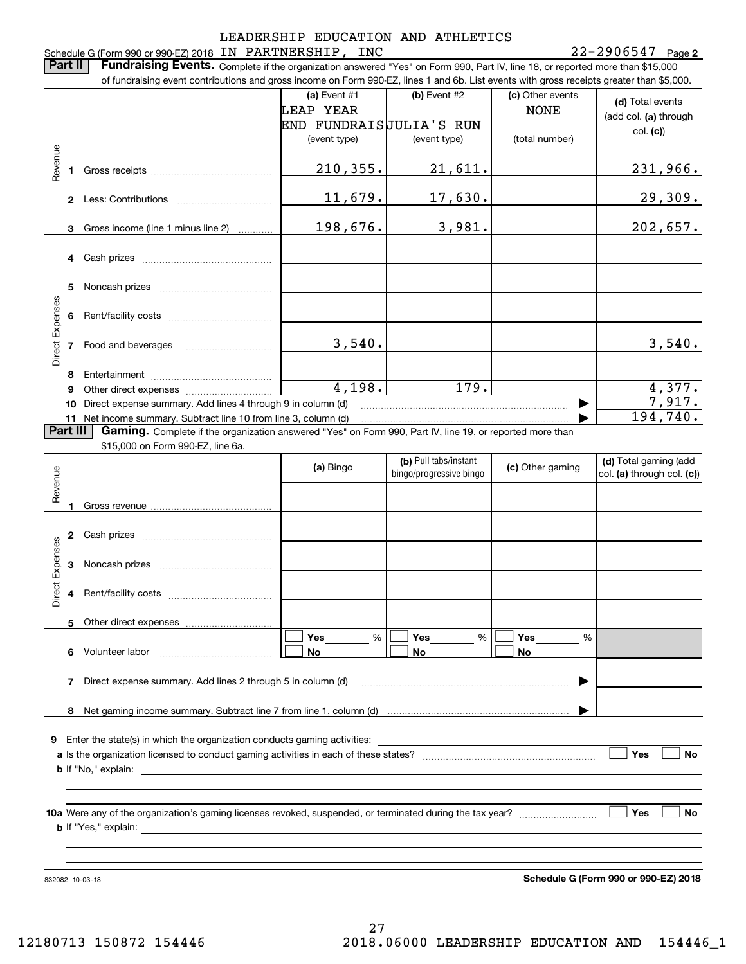### Schedule G (Form 990 or 990-EZ) 2018 Page IN PARTNERSHIP, INC 22-2906547 LEADERSHIP EDUCATION AND ATHLETICS

**Part II** | Fundraising Events. Complete if the organization answered "Yes" on Form 990, Part IV, line 18, or reported more than \$15,000 of fundraising event contributions and gross income on Form 990-EZ, lines 1 and 6b. List events with gross receipts greater than \$5,000.

|                 |          | of fundraising event contributions and gross income on Form 990-EZ, lines 1 and 6b. List events with gross receipts greater than \$5,000. |                         |                                                  |                  |                                                     |  |
|-----------------|----------|-------------------------------------------------------------------------------------------------------------------------------------------|-------------------------|--------------------------------------------------|------------------|-----------------------------------------------------|--|
|                 |          |                                                                                                                                           | (a) Event $#1$          | (b) Event #2                                     | (c) Other events | (d) Total events                                    |  |
|                 |          |                                                                                                                                           | LEAP YEAR               |                                                  | <b>NONE</b>      |                                                     |  |
|                 |          |                                                                                                                                           | END FUNDRAISUULIA'S RUN |                                                  |                  | (add col. (a) through                               |  |
|                 |          |                                                                                                                                           | (event type)            | (event type)                                     | (total number)   | col. (c)                                            |  |
|                 |          |                                                                                                                                           |                         |                                                  |                  |                                                     |  |
| Revenue         |          |                                                                                                                                           | 210, 355.               | 21,611.                                          |                  | 231,966.                                            |  |
|                 |          |                                                                                                                                           |                         |                                                  |                  |                                                     |  |
|                 |          |                                                                                                                                           | 11,679.                 | 17,630.                                          |                  | <u>29,309.</u>                                      |  |
|                 |          |                                                                                                                                           |                         |                                                  |                  |                                                     |  |
|                 | 3        | Gross income (line 1 minus line 2)                                                                                                        | 198,676.                | 3,981.                                           |                  | 202,657.                                            |  |
|                 |          |                                                                                                                                           |                         |                                                  |                  |                                                     |  |
|                 |          |                                                                                                                                           |                         |                                                  |                  |                                                     |  |
|                 |          |                                                                                                                                           |                         |                                                  |                  |                                                     |  |
|                 |          |                                                                                                                                           |                         |                                                  |                  |                                                     |  |
| Direct Expenses |          |                                                                                                                                           |                         |                                                  |                  |                                                     |  |
|                 |          |                                                                                                                                           |                         |                                                  |                  |                                                     |  |
|                 |          |                                                                                                                                           |                         |                                                  |                  |                                                     |  |
|                 |          | 7 Food and beverages                                                                                                                      | 3,540.                  |                                                  |                  | 3,540.                                              |  |
|                 |          |                                                                                                                                           |                         |                                                  |                  |                                                     |  |
|                 | 8        |                                                                                                                                           |                         |                                                  |                  |                                                     |  |
|                 | 9        |                                                                                                                                           | 4,198.                  | $\overline{179}$ .                               |                  | 4,377.                                              |  |
|                 | 10       | Direct expense summary. Add lines 4 through 9 in column (d)                                                                               |                         |                                                  |                  | 7,917.                                              |  |
|                 |          | 11 Net income summary. Subtract line 10 from line 3, column (d)                                                                           |                         |                                                  |                  | 194,740.                                            |  |
|                 | Part III | Gaming. Complete if the organization answered "Yes" on Form 990, Part IV, line 19, or reported more than                                  |                         |                                                  |                  |                                                     |  |
|                 |          | \$15,000 on Form 990-EZ, line 6a.                                                                                                         |                         |                                                  |                  |                                                     |  |
|                 |          |                                                                                                                                           | (a) Bingo               | (b) Pull tabs/instant<br>bingo/progressive bingo | (c) Other gaming | (d) Total gaming (add<br>col. (a) through col. (c)) |  |
| Revenue         |          |                                                                                                                                           |                         |                                                  |                  |                                                     |  |
|                 |          |                                                                                                                                           |                         |                                                  |                  |                                                     |  |
|                 |          |                                                                                                                                           |                         |                                                  |                  |                                                     |  |
|                 |          |                                                                                                                                           |                         |                                                  |                  |                                                     |  |
|                 |          |                                                                                                                                           |                         |                                                  |                  |                                                     |  |
|                 |          |                                                                                                                                           |                         |                                                  |                  |                                                     |  |
| Expenses        | 3        |                                                                                                                                           |                         |                                                  |                  |                                                     |  |
|                 |          |                                                                                                                                           |                         |                                                  |                  |                                                     |  |
| Direct          |          |                                                                                                                                           |                         |                                                  |                  |                                                     |  |
|                 |          |                                                                                                                                           |                         |                                                  |                  |                                                     |  |
|                 |          | 5 Other direct expenses                                                                                                                   |                         |                                                  |                  |                                                     |  |
|                 |          |                                                                                                                                           | $\%$<br>Yes             | %<br>Yes                                         | Yes<br>%         |                                                     |  |
|                 |          | 6 Volunteer labor                                                                                                                         | No                      | No                                               | No               |                                                     |  |
|                 |          |                                                                                                                                           |                         |                                                  |                  |                                                     |  |
|                 | 7        | Direct expense summary. Add lines 2 through 5 in column (d)                                                                               |                         |                                                  |                  |                                                     |  |
|                 |          |                                                                                                                                           |                         |                                                  |                  |                                                     |  |
|                 |          |                                                                                                                                           |                         |                                                  |                  |                                                     |  |
|                 |          |                                                                                                                                           |                         |                                                  |                  |                                                     |  |
| 9               |          | Enter the state(s) in which the organization conducts gaming activities:                                                                  |                         |                                                  |                  | No                                                  |  |
| Yes             |          |                                                                                                                                           |                         |                                                  |                  |                                                     |  |
|                 |          | <b>b</b> If "No," explain: $\qquad \qquad$                                                                                                |                         |                                                  |                  |                                                     |  |
|                 |          |                                                                                                                                           |                         |                                                  |                  |                                                     |  |
|                 |          |                                                                                                                                           |                         |                                                  |                  |                                                     |  |
|                 |          |                                                                                                                                           |                         |                                                  |                  | Yes<br>No                                           |  |
|                 |          |                                                                                                                                           |                         |                                                  |                  |                                                     |  |
|                 |          |                                                                                                                                           |                         |                                                  |                  |                                                     |  |
|                 |          |                                                                                                                                           |                         |                                                  |                  |                                                     |  |
|                 |          |                                                                                                                                           |                         |                                                  |                  |                                                     |  |

832082 10-03-18

**Schedule G (Form 990 or 990-EZ) 2018**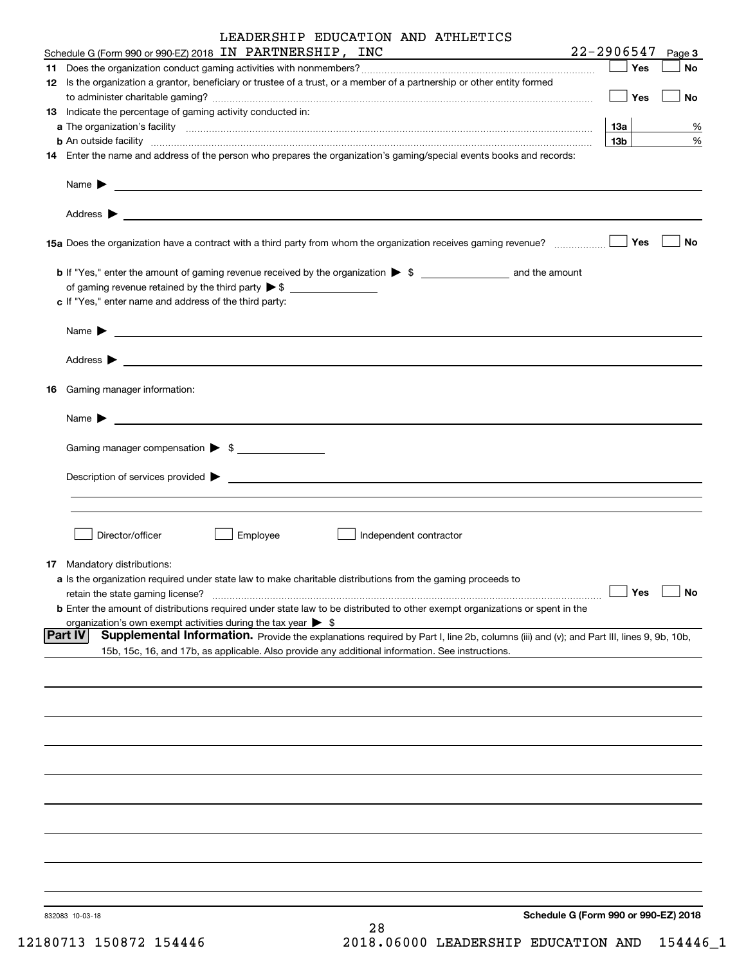| LEADERSHIP EDUCATION AND ATHLETICS                                                                                                                                                                                                                           |            |                     |        |
|--------------------------------------------------------------------------------------------------------------------------------------------------------------------------------------------------------------------------------------------------------------|------------|---------------------|--------|
| Schedule G (Form 990 or 990-EZ) 2018 IN PARTNERSHIP, INC                                                                                                                                                                                                     | 22-2906547 |                     | Page 3 |
| 12 Is the organization a grantor, beneficiary or trustee of a trust, or a member of a partnership or other entity formed                                                                                                                                     |            | Yes<br>$\mathbb{R}$ | No     |
|                                                                                                                                                                                                                                                              |            | $\Box$ Yes          | No     |
| 13 Indicate the percentage of gaming activity conducted in:                                                                                                                                                                                                  |            |                     |        |
|                                                                                                                                                                                                                                                              |            | 13а                 | %      |
| <b>b</b> An outside facility <b>contained a contract and a contract of the contract of the contract of the contract of the contract of the contract of the contract of the contract of the contract of the contract of the contract o</b>                    |            | 13 <sub>b</sub>     | %      |
| 14 Enter the name and address of the person who prepares the organization's gaming/special events books and records:                                                                                                                                         |            |                     |        |
|                                                                                                                                                                                                                                                              |            |                     |        |
|                                                                                                                                                                                                                                                              |            |                     |        |
| 15 Yes                                                                                                                                                                                                                                                       |            |                     | No     |
|                                                                                                                                                                                                                                                              |            |                     |        |
| of gaming revenue retained by the third party $\triangleright$ \$                                                                                                                                                                                            |            |                     |        |
| c If "Yes," enter name and address of the third party:                                                                                                                                                                                                       |            |                     |        |
|                                                                                                                                                                                                                                                              |            |                     |        |
|                                                                                                                                                                                                                                                              |            |                     |        |
| 16 Gaming manager information:                                                                                                                                                                                                                               |            |                     |        |
| <u> 1989 - Johann Barbara, martin amerikan basal dan berasal dan berasal dalam basal dan berasal dan berasal dan</u><br>Name $\blacktriangleright$                                                                                                           |            |                     |        |
| Gaming manager compensation > \$                                                                                                                                                                                                                             |            |                     |        |
| $Description of services provided$ $\triangleright$                                                                                                                                                                                                          |            |                     |        |
|                                                                                                                                                                                                                                                              |            |                     |        |
| Director/officer<br>Employee<br>Independent contractor                                                                                                                                                                                                       |            |                     |        |
| <b>17</b> Mandatory distributions:                                                                                                                                                                                                                           |            |                     |        |
| a Is the organization required under state law to make charitable distributions from the gaming proceeds to<br>retain the state gaming license?                                                                                                              |            | Yes                 | No     |
| <b>b</b> Enter the amount of distributions required under state law to be distributed to other exempt organizations or spent in the                                                                                                                          |            |                     |        |
| organization's own exempt activities during the tax year $\triangleright$ \$                                                                                                                                                                                 |            |                     |        |
| <b>Part IV</b><br>Supplemental Information. Provide the explanations required by Part I, line 2b, columns (iii) and (v); and Part III, lines 9, 9b, 10b,<br>15b, 15c, 16, and 17b, as applicable. Also provide any additional information. See instructions. |            |                     |        |
|                                                                                                                                                                                                                                                              |            |                     |        |
|                                                                                                                                                                                                                                                              |            |                     |        |
|                                                                                                                                                                                                                                                              |            |                     |        |
|                                                                                                                                                                                                                                                              |            |                     |        |
|                                                                                                                                                                                                                                                              |            |                     |        |
|                                                                                                                                                                                                                                                              |            |                     |        |
|                                                                                                                                                                                                                                                              |            |                     |        |
|                                                                                                                                                                                                                                                              |            |                     |        |
|                                                                                                                                                                                                                                                              |            |                     |        |
| Schedule G (Form 990 or 990-EZ) 2018<br>832083 10-03-18<br>28                                                                                                                                                                                                |            |                     |        |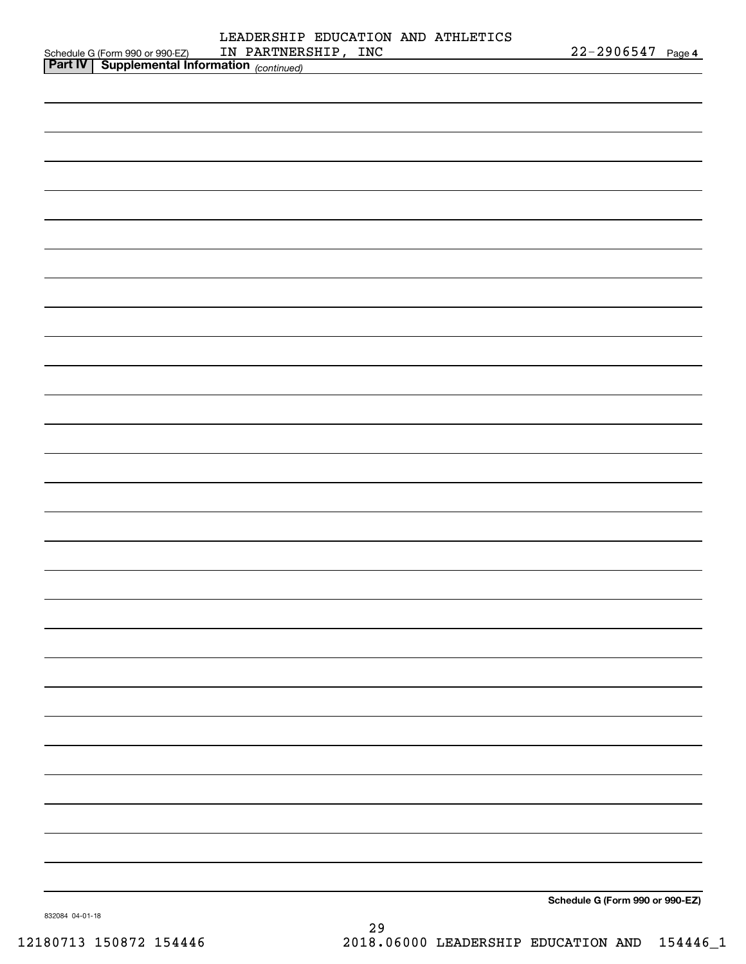|                                                                                            |                     |  | LEADERSHIP EDUCATION AND ATHLETICS |                                 |  |
|--------------------------------------------------------------------------------------------|---------------------|--|------------------------------------|---------------------------------|--|
| Schedule G (Form 990 or 990-EZ) IN PARTNER<br>Part IV Supplemental Information (continued) | IN PARTNERSHIP, INC |  |                                    | $22 - 2906547$ Page 4           |  |
|                                                                                            |                     |  |                                    |                                 |  |
|                                                                                            |                     |  |                                    |                                 |  |
|                                                                                            |                     |  |                                    |                                 |  |
|                                                                                            |                     |  |                                    |                                 |  |
|                                                                                            |                     |  |                                    |                                 |  |
|                                                                                            |                     |  |                                    |                                 |  |
|                                                                                            |                     |  |                                    |                                 |  |
|                                                                                            |                     |  |                                    |                                 |  |
|                                                                                            |                     |  |                                    |                                 |  |
|                                                                                            |                     |  |                                    |                                 |  |
|                                                                                            |                     |  |                                    |                                 |  |
|                                                                                            |                     |  |                                    |                                 |  |
|                                                                                            |                     |  |                                    |                                 |  |
|                                                                                            |                     |  |                                    |                                 |  |
|                                                                                            |                     |  |                                    |                                 |  |
|                                                                                            |                     |  |                                    |                                 |  |
|                                                                                            |                     |  |                                    |                                 |  |
|                                                                                            |                     |  |                                    |                                 |  |
|                                                                                            |                     |  |                                    |                                 |  |
|                                                                                            |                     |  |                                    |                                 |  |
|                                                                                            |                     |  |                                    |                                 |  |
|                                                                                            |                     |  |                                    |                                 |  |
|                                                                                            |                     |  |                                    |                                 |  |
|                                                                                            |                     |  |                                    |                                 |  |
|                                                                                            |                     |  |                                    |                                 |  |
|                                                                                            |                     |  |                                    |                                 |  |
|                                                                                            |                     |  |                                    |                                 |  |
|                                                                                            |                     |  |                                    |                                 |  |
|                                                                                            |                     |  |                                    |                                 |  |
|                                                                                            |                     |  |                                    |                                 |  |
|                                                                                            |                     |  |                                    |                                 |  |
|                                                                                            |                     |  |                                    |                                 |  |
|                                                                                            |                     |  |                                    |                                 |  |
|                                                                                            |                     |  |                                    |                                 |  |
|                                                                                            |                     |  |                                    |                                 |  |
|                                                                                            |                     |  |                                    |                                 |  |
|                                                                                            |                     |  |                                    |                                 |  |
|                                                                                            |                     |  |                                    |                                 |  |
|                                                                                            |                     |  |                                    |                                 |  |
|                                                                                            |                     |  |                                    |                                 |  |
|                                                                                            |                     |  |                                    |                                 |  |
|                                                                                            |                     |  |                                    |                                 |  |
|                                                                                            |                     |  |                                    |                                 |  |
|                                                                                            |                     |  |                                    |                                 |  |
|                                                                                            |                     |  |                                    |                                 |  |
|                                                                                            |                     |  |                                    |                                 |  |
|                                                                                            |                     |  |                                    |                                 |  |
|                                                                                            |                     |  |                                    |                                 |  |
|                                                                                            |                     |  |                                    |                                 |  |
|                                                                                            |                     |  |                                    |                                 |  |
|                                                                                            |                     |  |                                    |                                 |  |
|                                                                                            |                     |  |                                    |                                 |  |
|                                                                                            |                     |  |                                    | Schedule G (Form 990 or 990-EZ) |  |

832084 04-01-18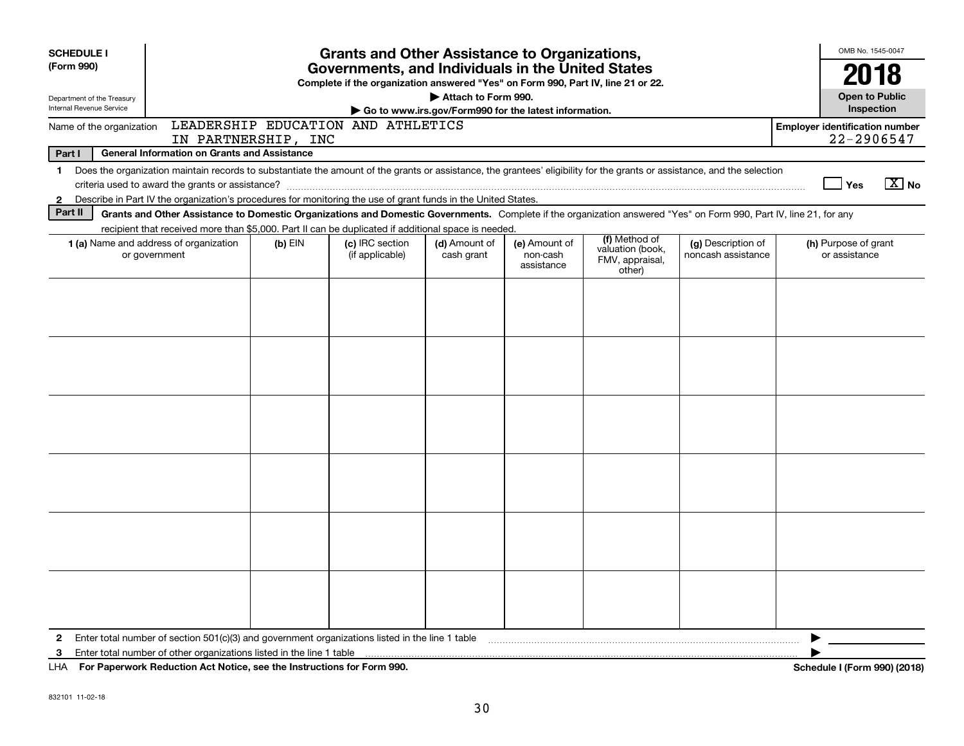|                                                                                                                                                                                                                                                                                                                          | OMB No. 1545-0047                     |  |  |  |  |  |  |  |
|--------------------------------------------------------------------------------------------------------------------------------------------------------------------------------------------------------------------------------------------------------------------------------------------------------------------------|---------------------------------------|--|--|--|--|--|--|--|
| (Form 990)<br>Governments, and Individuals in the United States<br>Complete if the organization answered "Yes" on Form 990, Part IV, line 21 or 22.                                                                                                                                                                      | 2018                                  |  |  |  |  |  |  |  |
| Attach to Form 990.<br>Department of the Treasury<br><b>Internal Revenue Service</b><br>Go to www.irs.gov/Form990 for the latest information.                                                                                                                                                                            | <b>Open to Public</b><br>Inspection   |  |  |  |  |  |  |  |
| LEADERSHIP EDUCATION AND ATHLETICS<br><b>Employer identification number</b><br>Name of the organization<br>IN PARTNERSHIP, INC                                                                                                                                                                                           |                                       |  |  |  |  |  |  |  |
| Part I<br><b>General Information on Grants and Assistance</b>                                                                                                                                                                                                                                                            |                                       |  |  |  |  |  |  |  |
| Does the organization maintain records to substantiate the amount of the grants or assistance, the grantees' eligibility for the grants or assistance, and the selection<br>$\mathbf 1$<br>Describe in Part IV the organization's procedures for monitoring the use of grant funds in the United States.<br>$\mathbf{2}$ | $\boxed{\text{X}}$ No<br>Yes          |  |  |  |  |  |  |  |
| Part II<br>Grants and Other Assistance to Domestic Organizations and Domestic Governments. Complete if the organization answered "Yes" on Form 990, Part IV, line 21, for any                                                                                                                                            |                                       |  |  |  |  |  |  |  |
| recipient that received more than \$5,000. Part II can be duplicated if additional space is needed.<br>(f) Method of                                                                                                                                                                                                     |                                       |  |  |  |  |  |  |  |
| 1 (a) Name and address of organization<br>(b) EIN<br>(c) IRC section<br>(d) Amount of<br>(e) Amount of<br>(g) Description of<br>valuation (book,<br>or government<br>(if applicable)<br>cash grant<br>non-cash<br>noncash assistance<br>FMV, appraisal,<br>assistance<br>other)                                          | (h) Purpose of grant<br>or assistance |  |  |  |  |  |  |  |
|                                                                                                                                                                                                                                                                                                                          |                                       |  |  |  |  |  |  |  |
|                                                                                                                                                                                                                                                                                                                          |                                       |  |  |  |  |  |  |  |
|                                                                                                                                                                                                                                                                                                                          |                                       |  |  |  |  |  |  |  |
|                                                                                                                                                                                                                                                                                                                          |                                       |  |  |  |  |  |  |  |
|                                                                                                                                                                                                                                                                                                                          |                                       |  |  |  |  |  |  |  |
|                                                                                                                                                                                                                                                                                                                          |                                       |  |  |  |  |  |  |  |
|                                                                                                                                                                                                                                                                                                                          |                                       |  |  |  |  |  |  |  |
|                                                                                                                                                                                                                                                                                                                          |                                       |  |  |  |  |  |  |  |
|                                                                                                                                                                                                                                                                                                                          |                                       |  |  |  |  |  |  |  |
|                                                                                                                                                                                                                                                                                                                          |                                       |  |  |  |  |  |  |  |
|                                                                                                                                                                                                                                                                                                                          |                                       |  |  |  |  |  |  |  |
|                                                                                                                                                                                                                                                                                                                          |                                       |  |  |  |  |  |  |  |
| $\mathbf{2}$<br>▶<br>Enter total number of other organizations listed in the line 1 table <i>[1] table</i> [1] manufactured in the line of the response of the line of the line of the line of the line of the line of the line of the line of the line<br>3                                                             |                                       |  |  |  |  |  |  |  |

**For Paperwork Reduction Act Notice, see the Instructions for Form 990. Schedule I (Form 990) (2018)** LHA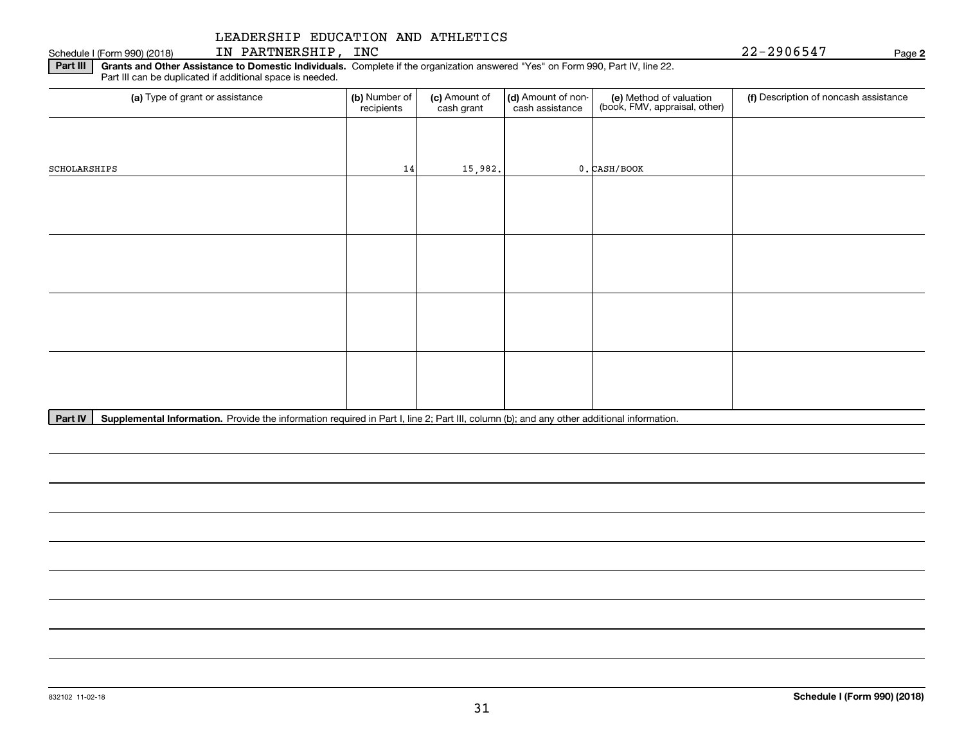#### **Part III** | Grants and Other Assistance to Domestic Individuals. Complete if the organization answered "Yes" on Form 990, Part IV, line 22. Schedule I (Form 990) (2018) Page IN PARTNERSHIP, INC 22-2906547

Part III can be duplicated if additional space is needed.

| (a) Type of grant or assistance             | (b) Number of<br>recipients | (c) Amount of<br>cash grant | (d) Amount of non-<br>cash assistance | (e) Method of valuation<br>(book, FMV, appraisal, other)      | (f) Description of noncash assistance |
|---------------------------------------------|-----------------------------|-----------------------------|---------------------------------------|---------------------------------------------------------------|---------------------------------------|
|                                             |                             |                             |                                       |                                                               |                                       |
| SCHOLARSHIPS                                | 14                          | 15,982.                     |                                       | $0$ . $CASH/BOOK$                                             |                                       |
|                                             |                             |                             |                                       |                                                               |                                       |
|                                             |                             |                             |                                       |                                                               |                                       |
|                                             |                             |                             |                                       |                                                               |                                       |
|                                             |                             |                             |                                       |                                                               |                                       |
|                                             |                             |                             |                                       |                                                               |                                       |
|                                             |                             |                             |                                       |                                                               |                                       |
|                                             |                             |                             |                                       |                                                               |                                       |
|                                             |                             |                             |                                       |                                                               |                                       |
| المناسب المسامين المعددة المستحدث والمستحدث | .                           | $\cdots$<br>$\sim$ $\sim$   | $\sim$<br>$\cdot$ .                   | $\sim$ $\sim$ $\sim$ $\sim$ $\sim$ $\sim$ $\sim$<br>$\cdot$ . |                                       |

Part IV | Supplemental Information. Provide the information required in Part I, line 2; Part III, column (b); and any other additional information.

**2**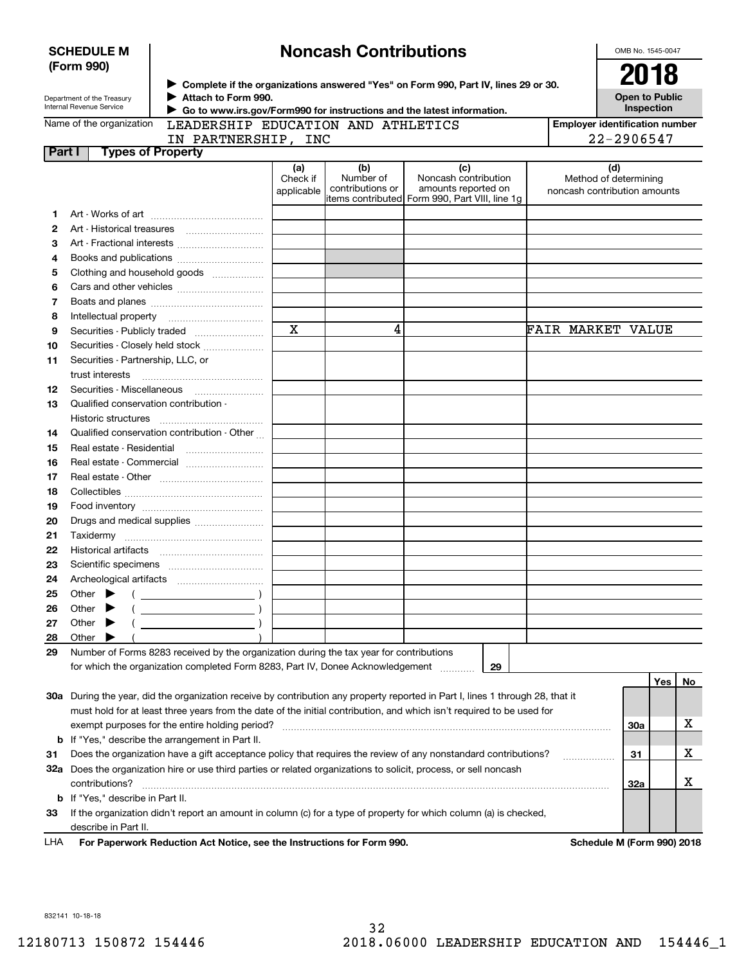| <b>SCHEDULE M</b> |                                                        | <b>Noncash Contributions</b>                                                            |                                                                                                                                              |                  |                                                                                                                                |                              |                                       | OMB No. 1545-0047 |    |
|-------------------|--------------------------------------------------------|-----------------------------------------------------------------------------------------|----------------------------------------------------------------------------------------------------------------------------------------------|------------------|--------------------------------------------------------------------------------------------------------------------------------|------------------------------|---------------------------------------|-------------------|----|
|                   | (Form 990)                                             |                                                                                         | 2018<br>> Complete if the organizations answered "Yes" on Form 990, Part IV, lines 29 or 30.<br>Attach to Form 990.<br><b>Open to Public</b> |                  |                                                                                                                                |                              |                                       |                   |    |
|                   |                                                        |                                                                                         |                                                                                                                                              |                  |                                                                                                                                |                              |                                       |                   |    |
|                   | Department of the Treasury<br>Internal Revenue Service |                                                                                         |                                                                                                                                              |                  |                                                                                                                                |                              |                                       |                   |    |
|                   |                                                        |                                                                                         |                                                                                                                                              |                  | Go to www.irs.gov/Form990 for instructions and the latest information.                                                         |                              | Inspection                            |                   |    |
|                   | Name of the organization                               | LEADERSHIP EDUCATION AND ATHLETICS                                                      |                                                                                                                                              |                  |                                                                                                                                |                              | <b>Employer identification number</b> |                   |    |
| Part I            |                                                        | IN PARTNERSHIP, INC<br><b>Types of Property</b>                                         |                                                                                                                                              |                  |                                                                                                                                |                              | 22-2906547                            |                   |    |
|                   |                                                        |                                                                                         | (a)                                                                                                                                          | (b)              | (c)                                                                                                                            |                              | (d)                                   |                   |    |
|                   |                                                        |                                                                                         | Check if                                                                                                                                     | Number of        | Noncash contribution                                                                                                           |                              | Method of determining                 |                   |    |
|                   |                                                        |                                                                                         | applicable                                                                                                                                   | contributions or | amounts reported on                                                                                                            | noncash contribution amounts |                                       |                   |    |
|                   |                                                        |                                                                                         |                                                                                                                                              |                  | litems contributed Form 990, Part VIII, line 1g                                                                                |                              |                                       |                   |    |
| 1.                |                                                        |                                                                                         |                                                                                                                                              |                  |                                                                                                                                |                              |                                       |                   |    |
| 2                 |                                                        |                                                                                         |                                                                                                                                              |                  |                                                                                                                                |                              |                                       |                   |    |
| 3                 |                                                        |                                                                                         |                                                                                                                                              |                  |                                                                                                                                |                              |                                       |                   |    |
| 4                 |                                                        |                                                                                         |                                                                                                                                              |                  |                                                                                                                                |                              |                                       |                   |    |
| 5                 |                                                        | Clothing and household goods                                                            |                                                                                                                                              |                  |                                                                                                                                |                              |                                       |                   |    |
| 6                 |                                                        |                                                                                         |                                                                                                                                              |                  |                                                                                                                                |                              |                                       |                   |    |
| 7                 |                                                        |                                                                                         |                                                                                                                                              |                  |                                                                                                                                |                              |                                       |                   |    |
| 8                 |                                                        |                                                                                         | $\mathbf X$                                                                                                                                  | 4                |                                                                                                                                | <b>FAIR MARKET VALUE</b>     |                                       |                   |    |
| 9                 |                                                        |                                                                                         |                                                                                                                                              |                  |                                                                                                                                |                              |                                       |                   |    |
| 10                |                                                        | Securities - Closely held stock                                                         |                                                                                                                                              |                  |                                                                                                                                |                              |                                       |                   |    |
| 11                | Securities - Partnership, LLC, or                      |                                                                                         |                                                                                                                                              |                  |                                                                                                                                |                              |                                       |                   |    |
|                   | trust interests                                        |                                                                                         |                                                                                                                                              |                  |                                                                                                                                |                              |                                       |                   |    |
| 12<br>13          | Qualified conservation contribution -                  |                                                                                         |                                                                                                                                              |                  |                                                                                                                                |                              |                                       |                   |    |
|                   | Historic structures                                    |                                                                                         |                                                                                                                                              |                  |                                                                                                                                |                              |                                       |                   |    |
| 14                |                                                        | Qualified conservation contribution - Other                                             |                                                                                                                                              |                  |                                                                                                                                |                              |                                       |                   |    |
| 15                |                                                        | Real estate - Residential                                                               |                                                                                                                                              |                  |                                                                                                                                |                              |                                       |                   |    |
| 16                |                                                        | Real estate - Commercial                                                                |                                                                                                                                              |                  |                                                                                                                                |                              |                                       |                   |    |
| 17                |                                                        |                                                                                         |                                                                                                                                              |                  |                                                                                                                                |                              |                                       |                   |    |
| 18                |                                                        |                                                                                         |                                                                                                                                              |                  |                                                                                                                                |                              |                                       |                   |    |
| 19                |                                                        |                                                                                         |                                                                                                                                              |                  |                                                                                                                                |                              |                                       |                   |    |
| 20                |                                                        | Drugs and medical supplies                                                              |                                                                                                                                              |                  |                                                                                                                                |                              |                                       |                   |    |
| 21                |                                                        |                                                                                         |                                                                                                                                              |                  |                                                                                                                                |                              |                                       |                   |    |
| 22                |                                                        |                                                                                         |                                                                                                                                              |                  |                                                                                                                                |                              |                                       |                   |    |
| 23                |                                                        |                                                                                         |                                                                                                                                              |                  |                                                                                                                                |                              |                                       |                   |    |
| 24                |                                                        |                                                                                         |                                                                                                                                              |                  |                                                                                                                                |                              |                                       |                   |    |
| 25                | Other                                                  |                                                                                         |                                                                                                                                              |                  |                                                                                                                                |                              |                                       |                   |    |
| 26                | Other                                                  | $\overline{\phantom{a}}$ )                                                              |                                                                                                                                              |                  |                                                                                                                                |                              |                                       |                   |    |
| 27                | Other                                                  |                                                                                         |                                                                                                                                              |                  |                                                                                                                                |                              |                                       |                   |    |
| 28                | Other                                                  |                                                                                         |                                                                                                                                              |                  |                                                                                                                                |                              |                                       |                   |    |
| 29                |                                                        | Number of Forms 8283 received by the organization during the tax year for contributions |                                                                                                                                              |                  |                                                                                                                                |                              |                                       |                   |    |
|                   |                                                        | for which the organization completed Form 8283, Part IV, Donee Acknowledgement          |                                                                                                                                              |                  | 29                                                                                                                             |                              |                                       |                   |    |
|                   |                                                        |                                                                                         |                                                                                                                                              |                  |                                                                                                                                |                              |                                       | Yes               | No |
|                   |                                                        |                                                                                         |                                                                                                                                              |                  | 30a During the year, did the organization receive by contribution any property reported in Part I, lines 1 through 28, that it |                              |                                       |                   |    |
|                   |                                                        |                                                                                         |                                                                                                                                              |                  | must hold for at least three years from the date of the initial contribution, and which isn't required to be used for          |                              |                                       |                   |    |
|                   |                                                        | exempt purposes for the entire holding period?                                          |                                                                                                                                              |                  |                                                                                                                                |                              | 30a                                   |                   | х  |
|                   |                                                        | <b>b</b> If "Yes," describe the arrangement in Part II.                                 |                                                                                                                                              |                  |                                                                                                                                |                              |                                       |                   |    |
| 31                |                                                        |                                                                                         |                                                                                                                                              |                  | Does the organization have a gift acceptance policy that requires the review of any nonstandard contributions?                 |                              | 31                                    |                   | х  |
|                   |                                                        |                                                                                         |                                                                                                                                              |                  | 32a Does the organization hire or use third parties or related organizations to solicit, process, or sell noncash              |                              |                                       |                   |    |
|                   | contributions?                                         |                                                                                         |                                                                                                                                              |                  |                                                                                                                                |                              | 32a                                   |                   | X  |
|                   | <b>b</b> If "Yes," describe in Part II.                |                                                                                         |                                                                                                                                              |                  |                                                                                                                                |                              |                                       |                   |    |
| 33                |                                                        |                                                                                         |                                                                                                                                              |                  | If the organization didn't report an amount in column (c) for a type of property for which column (a) is checked,              |                              |                                       |                   |    |
|                   | describe in Part II.                                   |                                                                                         |                                                                                                                                              |                  |                                                                                                                                |                              |                                       |                   |    |

**For Paperwork Reduction Act Notice, see the Instructions for Form 990. Schedule M (Form 990) 2018** LHA

832141 10-18-18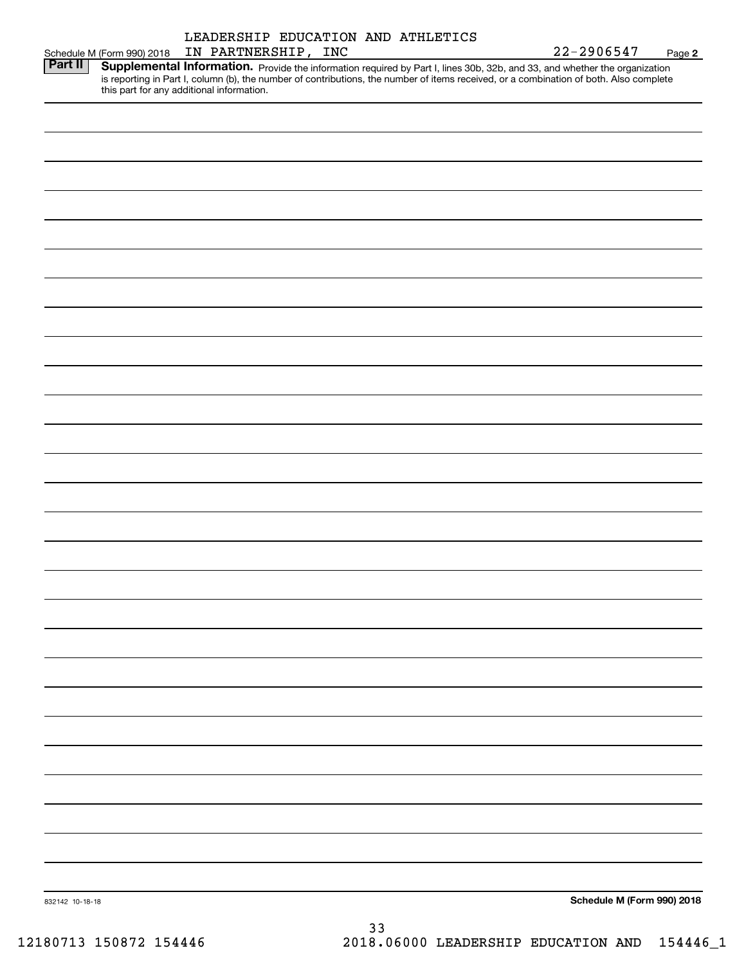|                 |                            | LEADERSHIP EDUCATION AND ATHLETICS                                                                                                                                                                                                                                                                                |                            |        |
|-----------------|----------------------------|-------------------------------------------------------------------------------------------------------------------------------------------------------------------------------------------------------------------------------------------------------------------------------------------------------------------|----------------------------|--------|
| Part II         | Schedule M (Form 990) 2018 | IN PARTNERSHIP, INC                                                                                                                                                                                                                                                                                               | 22-2906547                 | Page 2 |
|                 |                            | Supplemental Information. Provide the information required by Part I, lines 30b, 32b, and 33, and whether the organization<br>is reporting in Part I, column (b), the number of contributions, the number of items received, or a combination of both. Also complete<br>this part for any additional information. |                            |        |
|                 |                            |                                                                                                                                                                                                                                                                                                                   |                            |        |
|                 |                            |                                                                                                                                                                                                                                                                                                                   |                            |        |
|                 |                            |                                                                                                                                                                                                                                                                                                                   |                            |        |
|                 |                            |                                                                                                                                                                                                                                                                                                                   |                            |        |
|                 |                            |                                                                                                                                                                                                                                                                                                                   |                            |        |
|                 |                            |                                                                                                                                                                                                                                                                                                                   |                            |        |
|                 |                            |                                                                                                                                                                                                                                                                                                                   |                            |        |
|                 |                            |                                                                                                                                                                                                                                                                                                                   |                            |        |
|                 |                            |                                                                                                                                                                                                                                                                                                                   |                            |        |
|                 |                            |                                                                                                                                                                                                                                                                                                                   |                            |        |
|                 |                            |                                                                                                                                                                                                                                                                                                                   |                            |        |
|                 |                            |                                                                                                                                                                                                                                                                                                                   |                            |        |
|                 |                            |                                                                                                                                                                                                                                                                                                                   |                            |        |
|                 |                            |                                                                                                                                                                                                                                                                                                                   |                            |        |
|                 |                            |                                                                                                                                                                                                                                                                                                                   |                            |        |
|                 |                            |                                                                                                                                                                                                                                                                                                                   |                            |        |
|                 |                            |                                                                                                                                                                                                                                                                                                                   |                            |        |
|                 |                            |                                                                                                                                                                                                                                                                                                                   |                            |        |
|                 |                            |                                                                                                                                                                                                                                                                                                                   |                            |        |
|                 |                            |                                                                                                                                                                                                                                                                                                                   |                            |        |
|                 |                            |                                                                                                                                                                                                                                                                                                                   |                            |        |
|                 |                            |                                                                                                                                                                                                                                                                                                                   |                            |        |
|                 |                            |                                                                                                                                                                                                                                                                                                                   |                            |        |
|                 |                            |                                                                                                                                                                                                                                                                                                                   |                            |        |
|                 |                            |                                                                                                                                                                                                                                                                                                                   |                            |        |
|                 |                            |                                                                                                                                                                                                                                                                                                                   |                            |        |
|                 |                            |                                                                                                                                                                                                                                                                                                                   |                            |        |
|                 |                            |                                                                                                                                                                                                                                                                                                                   |                            |        |
|                 |                            |                                                                                                                                                                                                                                                                                                                   |                            |        |
|                 |                            |                                                                                                                                                                                                                                                                                                                   |                            |        |
|                 |                            |                                                                                                                                                                                                                                                                                                                   |                            |        |
| 832142 10-18-18 |                            |                                                                                                                                                                                                                                                                                                                   | Schedule M (Form 990) 2018 |        |
|                 |                            | 33                                                                                                                                                                                                                                                                                                                |                            |        |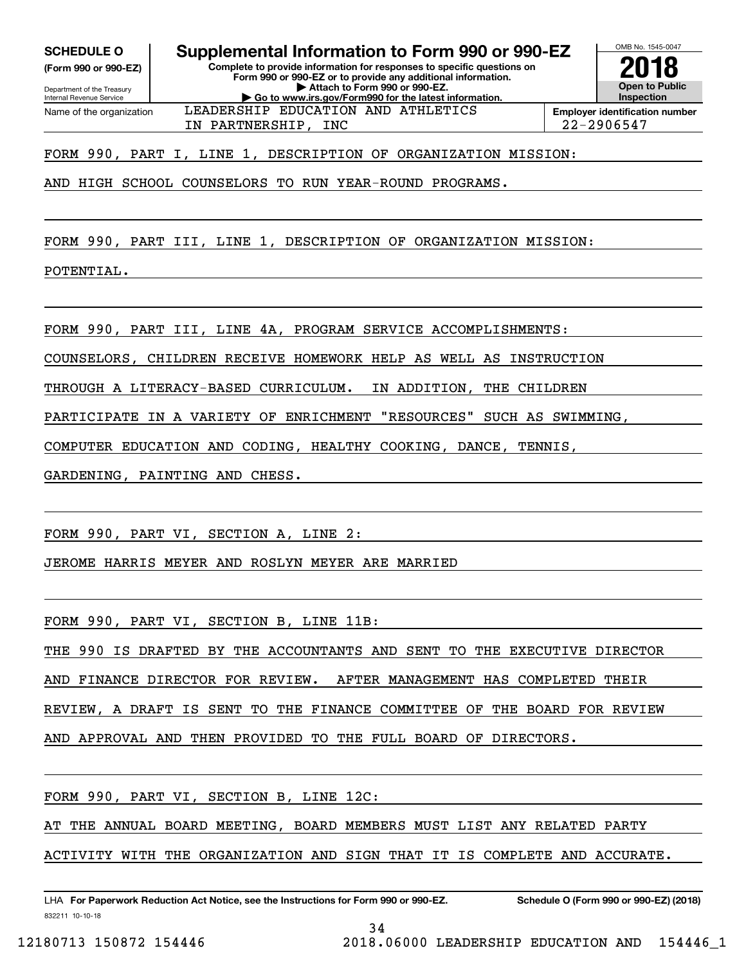**(Form 990 or 990-EZ)**

Department of the Treasury Internal Revenue Service Name of the organization

**Complete to provide information for responses to specific questions on Form 990 or 990-EZ or to provide any additional information. | Attach to Form 990 or 990-EZ. | Go to www.irs.gov/Form990 for the latest information. SCHEDULE O Supplemental Information to Form 990 or 990-EZ** LEADERSHIP EDUCATION AND ATHLETICS



IN PARTNERSHIP, INC 22-2906547

FORM 990, PART I, LINE 1, DESCRIPTION OF ORGANIZATION MISSION:

AND HIGH SCHOOL COUNSELORS TO RUN YEAR-ROUND PROGRAMS.

FORM 990, PART III, LINE 1, DESCRIPTION OF ORGANIZATION MISSION:

POTENTIAL.

FORM 990, PART III, LINE 4A, PROGRAM SERVICE ACCOMPLISHMENTS:

COUNSELORS, CHILDREN RECEIVE HOMEWORK HELP AS WELL AS INSTRUCTION

THROUGH A LITERACY-BASED CURRICULUM. IN ADDITION, THE CHILDREN

PARTICIPATE IN A VARIETY OF ENRICHMENT "RESOURCES" SUCH AS SWIMMING,

COMPUTER EDUCATION AND CODING, HEALTHY COOKING, DANCE, TENNIS,

GARDENING, PAINTING AND CHESS.

FORM 990, PART VI, SECTION A, LINE 2:

JEROME HARRIS MEYER AND ROSLYN MEYER ARE MARRIED

FORM 990, PART VI, SECTION B, LINE 11B:

THE 990 IS DRAFTED BY THE ACCOUNTANTS AND SENT TO THE EXECUTIVE DIRECTOR

AND FINANCE DIRECTOR FOR REVIEW. AFTER MANAGEMENT HAS COMPLETED THEIR

REVIEW, A DRAFT IS SENT TO THE FINANCE COMMITTEE OF THE BOARD FOR REVIEW

AND APPROVAL AND THEN PROVIDED TO THE FULL BOARD OF DIRECTORS.

FORM 990, PART VI, SECTION B, LINE 12C:

AT THE ANNUAL BOARD MEETING, BOARD MEMBERS MUST LIST ANY RELATED PARTY

ACTIVITY WITH THE ORGANIZATION AND SIGN THAT IT IS COMPLETE AND ACCURATE.

34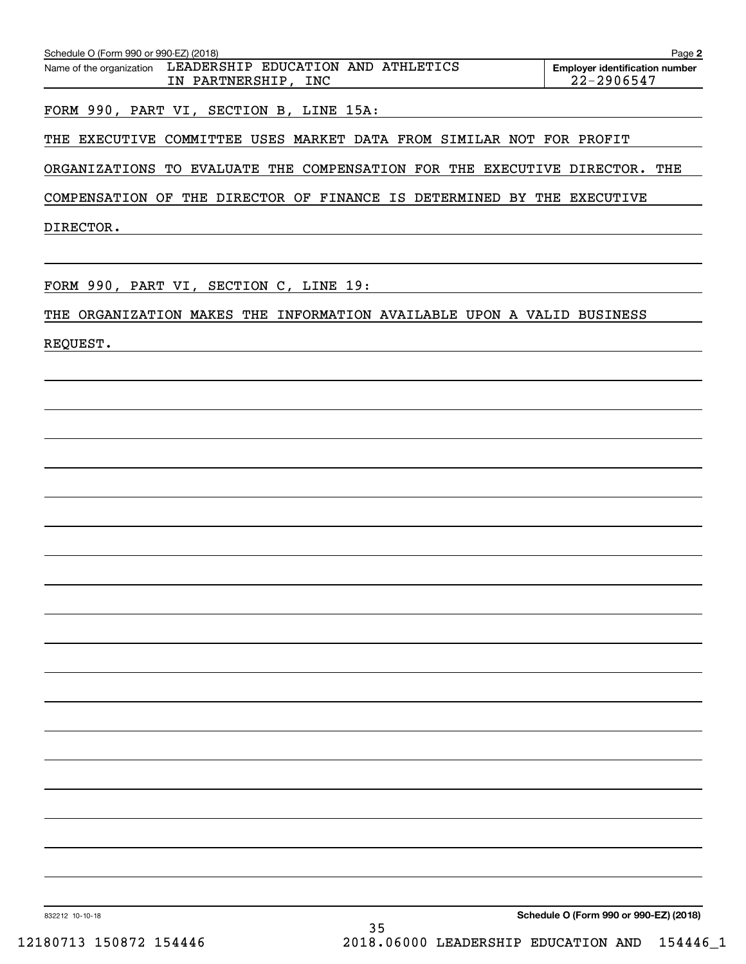| Schedule O (Form 990 or 990-EZ) (2018)<br>Page 2<br>LEADERSHIP EDUCATION AND ATHLETICS<br>Name of the organization<br><b>Employer identification number</b> |                                                                        |            |  |  |  |  |  |  |
|-------------------------------------------------------------------------------------------------------------------------------------------------------------|------------------------------------------------------------------------|------------|--|--|--|--|--|--|
|                                                                                                                                                             | IN PARTNERSHIP, INC                                                    | 22-2906547 |  |  |  |  |  |  |
| FORM 990, PART VI, SECTION B, LINE 15A:                                                                                                                     |                                                                        |            |  |  |  |  |  |  |
|                                                                                                                                                             | THE EXECUTIVE COMMITTEE USES MARKET DATA FROM SIMILAR NOT FOR PROFIT   |            |  |  |  |  |  |  |
|                                                                                                                                                             | ORGANIZATIONS TO EVALUATE THE COMPENSATION FOR THE EXECUTIVE DIRECTOR. | THE        |  |  |  |  |  |  |

COMPENSATION OF THE DIRECTOR OF FINANCE IS DETERMINED BY THE EXECUTIVE

DIRECTOR.

FORM 990, PART VI, SECTION C, LINE 19:

THE ORGANIZATION MAKES THE INFORMATION AVAILABLE UPON A VALID BUSINESS

REQUEST.

**Schedule O (Form 990 or 990-EZ) (2018)**

832212 10-10-18